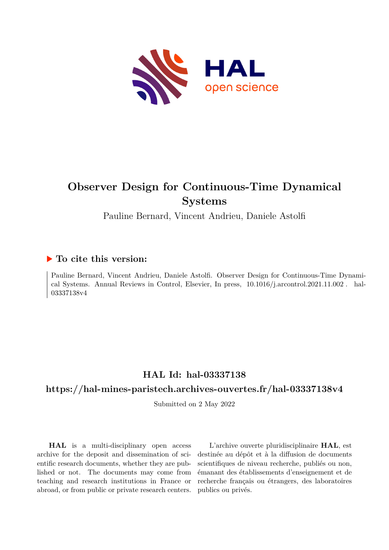

# **Observer Design for Continuous-Time Dynamical Systems**

Pauline Bernard, Vincent Andrieu, Daniele Astolfi

## **To cite this version:**

Pauline Bernard, Vincent Andrieu, Daniele Astolfi. Observer Design for Continuous-Time Dynamical Systems. Annual Reviews in Control, Elsevier, In press,  $10.1016/j.$ arcontrol.2021.11.002. hal-03337138v4

## **HAL Id: hal-03337138**

## **<https://hal-mines-paristech.archives-ouvertes.fr/hal-03337138v4>**

Submitted on 2 May 2022

**HAL** is a multi-disciplinary open access archive for the deposit and dissemination of scientific research documents, whether they are published or not. The documents may come from teaching and research institutions in France or abroad, or from public or private research centers.

L'archive ouverte pluridisciplinaire **HAL**, est destinée au dépôt et à la diffusion de documents scientifiques de niveau recherche, publiés ou non, émanant des établissements d'enseignement et de recherche français ou étrangers, des laboratoires publics ou privés.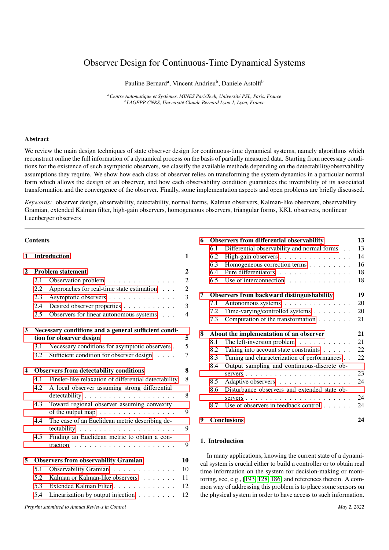## Observer Design for Continuous-Time Dynamical Systems

Pauline Bernard<sup>a</sup>, Vincent Andrieu<sup>b</sup>, Daniele Astolfi<sup>b</sup>

<sup>a</sup> Centre Automatique et Systèmes, MINES ParisTech, Université PSL, Paris, France *<sup>b</sup>LAGEPP CNRS, Universit´e Claude Bernard Lyon 1, Lyon, France*

## Abstract

We review the main design techniques of state observer design for continuous-time dynamical systems, namely algorithms which reconstruct online the full information of a dynamical process on the basis of partially measured data. Starting from necessary conditions for the existence of such asymptotic observers, we classify the available methods depending on the detectability/observability assumptions they require. We show how each class of observer relies on transforming the system dynamics in a particular normal form which allows the design of an observer, and how each observability condition guarantees the invertibility of its associated transformation and the convergence of the observer. Finally, some implementation aspects and open problems are briefly discussed.

*Keywords:* observer design, observability, detectability, normal forms, Kalman observers, Kalman-like observers, observability Gramian, extended Kalman filter, high-gain observers, homogeneous observers, triangular forms, KKL observers, nonlinear Luenberger observers

## **Contents**

| 1            | Introduction                                         |                                                        | 1                |                                                                  | 6.2        | High-gain observers                                                                                                              | 14       |
|--------------|------------------------------------------------------|--------------------------------------------------------|------------------|------------------------------------------------------------------|------------|----------------------------------------------------------------------------------------------------------------------------------|----------|
|              |                                                      |                                                        |                  |                                                                  | 6.3        | Homogeneous correction terms                                                                                                     | 16       |
| $\mathbf{2}$ |                                                      | <b>Problem statement</b>                               | $\boldsymbol{2}$ |                                                                  | 6.4        | Pure differentiators                                                                                                             | 18       |
|              | 2.1                                                  | Observation problem                                    | 2                |                                                                  | 6.5        | Use of interconnection                                                                                                           | 18       |
|              | 2.2                                                  | Approaches for real-time state estimation              | $\overline{c}$   |                                                                  |            |                                                                                                                                  |          |
|              | 2.3                                                  | Asymptotic observers                                   | 3                | 7                                                                |            | Observers from backward distinguishability                                                                                       | 19       |
|              | 2.4                                                  | Desired observer properties                            | 3                |                                                                  | 7.1        | Autonomous systems                                                                                                               | 20       |
|              | 2.5                                                  | Observers for linear autonomous systems                | $\overline{4}$   |                                                                  | 7.2<br>7.3 | Time-varying/controlled systems<br>Computation of the transformation                                                             | 20<br>21 |
| 3            | Necessary conditions and a general sufficient condi- |                                                        |                  | 8                                                                |            | About the implementation of an observer                                                                                          | 21       |
|              |                                                      | tion for observer design                               | 5                |                                                                  | 8.1        | The left-inversion problem $\dots \dots \dots$                                                                                   | 21       |
|              | 3.1                                                  | Necessary conditions for asymptotic observers.         | 5                |                                                                  | 8.2        | Taking into account state constraints                                                                                            | 22       |
|              | 3.2                                                  | Sufficient condition for observer design               | 7                |                                                                  | 8.3        | Tuning and characterization of performances                                                                                      | 22       |
|              |                                                      |                                                        |                  |                                                                  | 8.4        | Output sampling and continuous-discrete ob-                                                                                      |          |
| 4            |                                                      | <b>Observers from detectability conditions</b>         | 8                |                                                                  |            |                                                                                                                                  | 23       |
|              | 4.1                                                  | Finsler-like relaxation of differential detectability  | 8                |                                                                  | 8.5        | Adaptive observers                                                                                                               | 24       |
|              | 4.2                                                  | A local observer assuming strong differential          |                  |                                                                  | 8.6        | Disturbance observers and extended state ob-                                                                                     |          |
|              |                                                      |                                                        | $\,8\,$          |                                                                  |            |                                                                                                                                  | 24       |
|              | 4.3                                                  | Toward regional observer assuming convexity            |                  |                                                                  | 8.7        | Use of observers in feedback control                                                                                             | 24       |
|              |                                                      | of the output map $\ldots \ldots \ldots \ldots \ldots$ | 9                |                                                                  |            |                                                                                                                                  |          |
|              | 4.4                                                  | The case of an Euclidean metric describing de-         | 9                | 9                                                                |            | <b>Conclusions</b>                                                                                                               | 24       |
|              | 4.5                                                  | Finding an Euclidean metric to obtain a con-           | 9                | 1. Introduction                                                  |            |                                                                                                                                  |          |
| 5            | <b>Observers from observability Gramian</b>          |                                                        | 10               |                                                                  |            | In many applications, knowing the current state of a dynami-                                                                     |          |
|              | 5.1                                                  | Observability Gramian                                  | 10               |                                                                  |            | cal system is crucial either to build a controller or to obtain real                                                             |          |
|              | 5.2                                                  | Kalman or Kalman-like observers                        | 11               |                                                                  |            | time information on the system for decision-making or moni-<br>toring, see, e.g., [193, 128, 186] and references therein. A com- |          |
|              | 5.3                                                  | Extended Kalman Filter                                 | 12               |                                                                  |            | mon way of addressing this problem is to place some sensors on                                                                   |          |
|              | 5.4                                                  | Linearization by output injection $\ldots \ldots$      | 12               | the physical system in order to have access to such information. |            |                                                                                                                                  |          |
|              |                                                      | Preprint submitted to Annual Reviews in Control        |                  |                                                                  |            | May 2, 2022                                                                                                                      |          |

|                                              | 6.1                                               | Differential observability and normal forms          | 13 |  |  |  |
|----------------------------------------------|---------------------------------------------------|------------------------------------------------------|----|--|--|--|
|                                              | 6.2                                               | High-gain observers                                  | 14 |  |  |  |
|                                              | 6.3                                               | Homogeneous correction terms                         | 16 |  |  |  |
|                                              | 6.4                                               | Pure differentiators                                 | 18 |  |  |  |
|                                              | 6.5                                               | Use of interconnection $\ldots \ldots \ldots \ldots$ | 18 |  |  |  |
| 7                                            | <b>Observers from backward distinguishability</b> |                                                      |    |  |  |  |
|                                              | 7.1                                               | Autonomous systems                                   | 20 |  |  |  |
|                                              | 7.2                                               | Time-varying/controlled systems                      | 20 |  |  |  |
|                                              | 7.3                                               | Computation of the transformation                    | 21 |  |  |  |
| 8<br>About the implementation of an observer |                                                   |                                                      |    |  |  |  |
|                                              | 8.1                                               | The left-inversion problem $\dots \dots \dots$       | 21 |  |  |  |
|                                              | 8.2                                               | Taking into account state constraints                | 22 |  |  |  |
|                                              | 8.3                                               | Tuning and characterization of performances          | 22 |  |  |  |
|                                              | 8.4                                               | Output sampling and continuous-discrete ob-          |    |  |  |  |
|                                              |                                                   |                                                      | 23 |  |  |  |
|                                              | 8.5                                               | Adaptive observers                                   | 24 |  |  |  |
|                                              | 8.6                                               | Disturbance observers and extended state ob-         |    |  |  |  |
|                                              |                                                   |                                                      | 24 |  |  |  |
|                                              | 8.7                                               | Use of observers in feedback control $\ldots$ .      | 24 |  |  |  |
| 9                                            |                                                   | <b>Conclusions</b>                                   | 24 |  |  |  |

6 Observers from differential observability 13

## 1. Introduction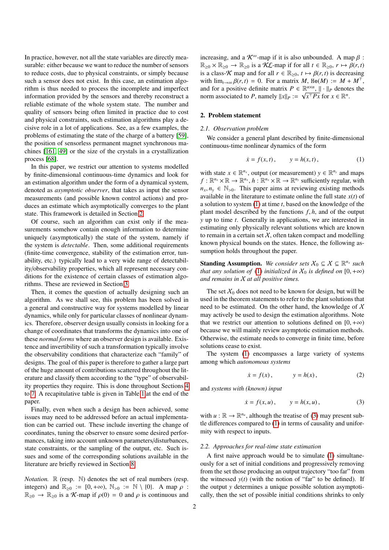In practice, however, not all the state variables are directly measurable: either because we want to reduce the number of sensors to reduce costs, due to physical constraints, or simply because such a sensor does not exist. In this case, an estimation algorithm is thus needed to process the incomplete and imperfect information provided by the sensors and thereby reconstruct a reliable estimate of the whole system state. The number and quality of sensors being often limited in practice due to cost and physical constraints, such estimation algorithms play a decisive role in a lot of applications. See, as a few examples, the problems of estimating the state of the charge of a battery [59], the position of sensorless permanent magnet synchronous machines [161, 49] or the size of the crystals in a crystallization process [68].

In this paper, we restrict our attention to systems modelled by finite-dimensional continuous-time dynamics and look for an estimation algorithm under the form of a dynamical system, denoted as *asymptotic observer*, that takes as input the sensor measurements (and possible known control actions) and produces an estimate which asymptotically converges to the plant state. This framework is detailed in Section 2.

Of course, such an algorithm can exist only if the measurements somehow contain enough information to determine uniquely (asymptotically) the state of the system, namely if the system is *detectable*. Then, some additional requirements (finite-time convergence, stability of the estimation error, tunability, etc.) typically lead to a very wide range of detectability/observability properties, which all represent necessary conditions for the existence of certain classes of estimation algorithms. These are reviewed in Section 3.

Then, it comes the question of actually designing such an algorithm. As we shall see, this problem has been solved in a general and constructive way for systems modelled by linear dynamics, while only for particular classes of nonlinear dynamics. Therefore, observer design usually consists in looking for a change of coordinates that transforms the dynamics into one of these *normal forms* where an observer design is available. Existence and invertibility of such a transformation typically involve the observability conditions that characterize each "family" of designs. The goal of this paper is therefore to gather a large part of the huge amount of contributions scattered throughout the literature and classify them according to the "type" of observability properties they require. This is done throughout Sections 4 to 7. A recapitulative table is given in Table 1 at the end of the paper.

Finally, even when such a design has been achieved, some issues may need to be addressed before an actual implementation can be carried out. These include inverting the change of coordinates, tuning the observer to ensure some desired performances, taking into account unknown parameters/disturbances, state constraints, or the sampling of the output, etc. Such issues and some of the corresponding solutions available in the literature are briefly reviewed in Section 8.

*Notation.*  $\mathbb R$  (resp.  $\mathbb N$ ) denotes the set of real numbers (resp. integers) and  $\mathbb{R}_{\geq 0} := [0, +\infty), \mathbb{N}_{>0} := \mathbb{N} \setminus \{0\}.$  A map  $\rho$ :  $\mathbb{R}_{\geq 0} \to \mathbb{R}_{\geq 0}$  is a *K*-map if  $\rho(0) = 0$  and  $\rho$  is continuous and increasing, and a  $\mathcal{K}^{\infty}$ -map if it is also unbounded. A map  $\beta$ :  $\mathbb{R}_{\geq 0} \times \mathbb{R}_{\geq 0} \to \mathbb{R}_{\geq 0}$  is a KL-map if for all  $t \in \mathbb{R}_{\geq 0}$ ,  $r \mapsto \beta(r, t)$ is a class-K map and for all  $r \in \mathbb{R}_{\geq 0}$ ,  $t \mapsto \beta(r, t)$  is decreasing with  $\lim_{t\to\infty} \beta(r,t) = 0$ . For a matrix *M*, He(*M*) :=  $M + M^{\top}$ , and for a positive definite matrix  $P \in \mathbb{R}^{n \times n}$ ,  $\|\cdot\|_P$  denotes the norm associated to *P*, namely  $||x||_P := \sqrt{x^T P x}$  for  $x \in \mathbb{R}^n$ .

## 2. Problem statement

## *2.1. Observation problem*

We consider a general plant described by finite-dimensional continuous-time nonlinear dynamics of the form

$$
\dot{x} = f(x, t), \qquad y = h(x, t), \tag{1}
$$

with state  $x \in \mathbb{R}^{n_x}$ , output (or measurement)  $y \in \mathbb{R}^{n_y}$  and maps  $f: \mathbb{R}^{n_x} \times \mathbb{R} \to \mathbb{R}^{n_x}$ ,  $h: \mathbb{R}^{n_x} \times \mathbb{R} \to \mathbb{R}^{n_y}$  sufficiently regular, with  $n_x, n_y \in \mathbb{N}_{>0}$ . This paper aims at reviewing existing methods available in the literature to estimate online the full state *x*(*t*) of a solution to system (1) at time *t*, based on the knowledge of the plant model described by the functions *<sup>f</sup>*, *<sup>h</sup>*, and of the output *y* up to time *t*. Generally in applications, we are interested in estimating only physically relevant solutions which are known to remain in a certain set  $X$ , often taken compact and modelling known physical bounds on the states. Hence, the following assumption holds throughout the paper.

**Standing Assumption.** We consider sets  $X_0 \subseteq X \subseteq \mathbb{R}^{n_x}$  such *that any solution of* (1) *initialized in*  $X_0$  *is defined on* [0, + $\infty$ ) *and remains in* X *at all positive times.*

The set  $\chi_0$  does not need to be known for design, but will be used in the theorem statements to refer to the plant solutions that need to be estimated. On the other hand, the knowledge of  $X$ may actively be used to design the estimation algorithms. Note that we restrict our attention to solutions defined on  $[0, +\infty)$ because we will mainly review asymptotic estimation methods. Otherwise, the estimate needs to converge in finite time, before solutions cease to exist.

The system (1) encompasses a large variety of systems among which *autonomous systems*

$$
\dot{x} = f(x), \qquad y = h(x), \tag{2}
$$

and *systems with (known) input*

$$
\dot{x} = f(x, u), \qquad y = h(x, u),
$$
\n(3)

with  $u : \mathbb{R} \to \mathbb{R}^{n_u}$ , although the treatise of (3) may present subtle differences compared to (1) in terms of causality and uniformity with respect to inputs.

## *2.2. Approaches for real-time state estimation*

A first naive approach would be to simulate (1) simultaneously for a set of initial conditions and progressively removing from the set those producing an output trajectory "too far" from the witnessed  $y(t)$  (with the notion of "far" to be defined). If the output *y* determines a unique possible solution asymptotically, then the set of possible initial conditions shrinks to only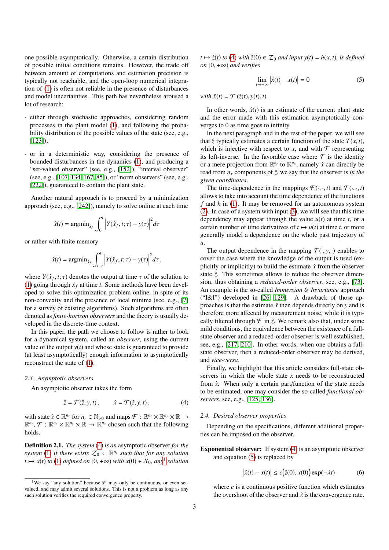one possible asymptotically. Otherwise, a certain distribution of possible initial conditions remains. However, the trade off between amount of computations and estimation precision is typically not reachable, and the open-loop numerical integration of (1) is often not reliable in the presence of disturbances and model uncertainties. This path has nevertheless aroused a lot of research:

- either through stochastic approaches, considering random processes in the plant model (1), and following the probability distribution of the possible values of the state (see, e.g., [123]);
- or in a deterministic way, considering the presence of bounded disturbances in the dynamics (1), and producing a "set-valued observer" (see, e.g., [152]), "interval observer" (see, e.g., [107, 134, 167, 85]), or "norm observers" (see, e.g., [222]), guaranteed to contain the plant state.

Another natural approach is to proceed by a minimization approach (see, e.g., [242]), namely to solve online at each time

$$
\hat{x}(t) = \operatorname{argmin}_{\hat{x}_f} \int_0^t \left| Y(\hat{x}_f, t; \tau) - y(\tau) \right|^2 d\tau
$$

or rather with finite memory

$$
\hat{x}(t) = \operatorname{argmin}_{\hat{x}_f} \int_{t-\bar{t}}^t \left| Y(\hat{x}_f, t; \tau) - y(\tau) \right|^2 d\tau,
$$

where  $Y(\hat{x}_f, t; \tau)$  denotes the output at time  $\tau$  of the solution to (1) going through  $\hat{x}_c$  at time t. Some methods have been devel-(1) going through  $\hat{x}_f$  at time *t*. Some methods have been developed to solve this optimization problem online, in spite of its non-convexity and the presence of local minima (see, e.g., [7] for a survey of existing algorithms). Such algorithms are often denoted as *finite-horizon observers* and the theory is usually developed in the discrete-time context.

In this paper, the path we choose to follow is rather to look for a dynamical system, called an *observer*, using the current value of the output  $y(t)$  and whose state is guaranteed to provide (at least asymptotically) enough information to asymptotically reconstruct the state of (1).

#### *2.3. Asymptotic observers*

An asymptotic observer takes the form

$$
\dot{\hat{z}} = \mathcal{F}(\hat{z}, y, t), \qquad \hat{x} = \mathcal{T}(\hat{z}, y, t), \tag{4}
$$

with state  $\hat{z} \in \mathbb{R}^{n_z}$  for  $n_z \in \mathbb{N}_{>0}$  and maps  $\mathcal{F} : \mathbb{R}^{n_z} \times \mathbb{R}^{n_y} \times \mathbb{R} \to$  $\mathbb{R}^{n_z}, \mathcal{T} : \mathbb{R}^{n_z} \times \mathbb{R}^{n_y} \times \mathbb{R} \to \mathbb{R}^{n_x}$  chosen such that the following holds.

Definition 2.1. *The system* (4) *is an* asymptotic observer *for the system* (1) *if there exists*  $\mathcal{Z}_0 \subset \mathbb{R}^{n_z}$  *such that for any solution*  $t \mapsto x(t)$  *to* (1) *defined on* [0, +∞) *with*  $x(0) \in X_0$ *, any*<sup>1</sup> *solution* 

 $t \mapsto \hat{z}(t)$  *to* (4) *with*  $\hat{z}(0) \in \mathcal{Z}_0$  *and input y*(*t*) = *h*(*x*, *t*)*, is defined on* [0, <sup>+</sup>∞) *and verifies*

$$
\lim_{t \to +\infty} \left| \hat{x}(t) - x(t) \right| = 0 \tag{5}
$$

*with*  $\hat{x}(t) = \mathcal{T}(\hat{z}(t), y(t), t)$ *.* 

In other words,  $\hat{x}(t)$  is an estimate of the current plant state and the error made with this estimation asymptotically converges to 0 as time goes to infinity.

In the next paragraph and in the rest of the paper, we will see that  $\hat{z}$  typically estimates a certain function of the state  $T(x, t)$ , which is injective with respect to  $x$ , and with  $\mathcal T$  representing its left-inverse. In the favorable case where  $\mathcal T$  is the identity or a mere projection from  $\mathbb{R}^{n_z}$  to  $\mathbb{R}^{n_x}$ , namely  $\hat{x}$  can directly be read from  $n<sub>x</sub>$  components of  $\hat{z}$ , we say that the observer is *in the given coordinates*.

The time-dependence in the mappings  $\mathcal{F}(\cdot, \cdot, t)$  and  $\mathcal{T}(\cdot, \cdot, t)$ allows to take into account the time dependence of the functions *f* and *h* in (1). It may be removed for an autonomous system (2). In case of a system with input (3), we will see that this time dependency may appear through the value  $u(t)$  at time *t*, or a certain number of time derivatives of  $t \mapsto u(t)$  at time *t*, or more generally model a dependence on the whole past trajectory of *u*.

The output dependence in the mapping  $\mathcal{T}(\cdot, y, \cdot)$  enables to cover the case where the knowledge of the output is used (explicitly or implicitly) to build the estimate  $\hat{x}$  from the observer state  $\hat{z}$ . This sometimes allows to reduce the observer dimension, thus obtaining a *reduced-order observer*, see, e.g., [73]. An example is the so-called *Immersion* & *Invariance* approach ("I&I") developed in [26, 129]. A drawback of those approaches is that the estimate  $\hat{x}$  then depends directly on *y* and is therefore more affected by measurement noise, while it is typically filtered through  $\mathcal F$  in  $\hat z$ . We remark also that, under some mild conditions, the equivalence between the existence of a fullstate observer and a reduced-order observer is well established, see, e.g., [217, 210]. In other words, when one obtains a fullstate observer, then a reduced-order observer may be derived, and *vice-versa*.

Finally, we highlight that this article considers full-state observers in which the whole state *x* needs to be reconstructed from  $\hat{z}$ . When only a certain part/function of the state needs to be estimated, one may consider the so-called *functional observers*, see, e.g., [125, 136].

#### *2.4. Desired observer properties*

Depending on the specifications, different additional properties can be imposed on the observer.

Exponential observer: If system (4) is an asymptotic observer and equation (5) is replaced by

$$
\left|\hat{x}(t) - x(t)\right| \le c\left(\hat{z}(0), x(0)\right) \exp(-\lambda t) \tag{6}
$$

where  $c$  is a continuous positive function which estimates the overshoot of the observer and  $\lambda$  is the convergence rate.

<sup>&</sup>lt;sup>1</sup>We say "any solution" because  $\mathcal F$  may only be continuous, or even setvalued, and may admit several solutions. This is not a problem as long as any such solution verifies the required convergence property.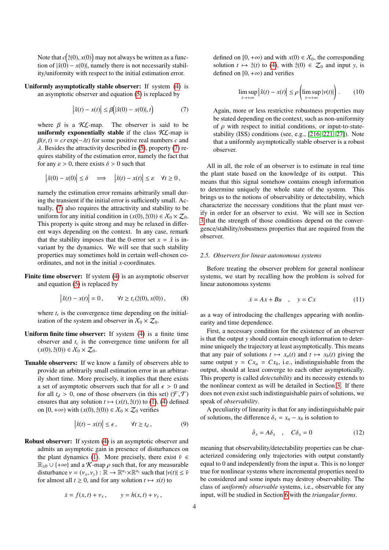Note that  $c(\hat{z}(0), x(0))$  may not always be written as a function of  $|\hat{z}(0) - x(0)|$  namely there is not necessarily stabiltion of  $|\hat{x}(0) - x(0)|$ , namely there is not necessarily stability/uniformity with respect to the initial estimation error.

Uniformly asymptotically stable observer: If system (4) is an asymptotic observer and equation (5) is replaced by

$$
\left|\hat{x}(t) - x(t)\right| \le \beta\big(|\hat{x}(0) - x(0)|, t\big) \tag{7}
$$

where  $\beta$  is a KL-map. The observer is said to be **uniformly exponentially stable** if the class KL-map is  $\beta(r, t) = cr \exp(-\lambda t)$  for some positive real numbers *c* and  $\lambda$ . Besides the attractivity described in (5), property (7) requires stability of the estimation error, namely the fact that for any  $\varepsilon > 0$ , there exists  $\delta > 0$  such that

$$
|\hat{x}(0) - x(0)| \le \delta \implies |\hat{x}(t) - x(t)| \le \varepsilon \quad \forall t \ge 0,
$$

namely the estimation error remains arbitrarily small during the transient if the initial error is sufficiently small. Actually, (7) also requires the attractivity and stability to be uniform for any initial condition in  $(x(0), \hat{z}(0)) \in X_0 \times \mathcal{Z}_0$ . This property is quite strong and may be relaxed in different ways depending on the context. In any case, remark that the stability imposes that the 0-error set  $x = \hat{x}$  is invariant by the dynamics. We will see that such stability properties may sometimes hold in certain well-chosen coordinates, and not in the initial *x*-coordinates.

Finite time observer: If system (4) is an asymptotic observer and equation (5) is replaced by

$$
\left|\hat{x}(t) - x(t)\right| = 0, \qquad \forall t \ge t_c(\hat{z}(0), x(0)), \qquad (8)
$$

where  $t_c$  is the convergence time depending on the initialization of the system and observer in  $X_0 \times \mathcal{Z}_0$ .

- Uniform finite time observer: If system (4) is a finite time observer and  $t_c$  is the convergence time uniform for all  $(x(0),\hat{z}(0)) \in X_0 \times \mathcal{Z}_0.$
- Tunable observers: If we know a family of observers able to provide an arbitrarily small estimation error in an arbitrarily short time. More precisely, it implies that there exists a set of asymptotic observers such that for all  $\epsilon > 0$  and for all  $t_d > 0$ , one of those observers (in this set)  $(\mathcal{F}, \mathcal{T})$ ensures that any solution  $t \mapsto (x(t), \hat{z}(t))$  to (1), (4) defined on [0, +∞) with  $(x(0), \hat{z}(0)) \in X_0 \times Z_0$  verifies

$$
\left|\hat{x}(t) - x(t)\right| \le \epsilon, \qquad \forall t \ge t_d, \tag{9}
$$

Robust observer: If system (4) is an asymptotic observer and admits an asymptotic gain in presence of disturbances on the plant dynamics (1). More precisely, there exist  $\bar{v} \in$  $\mathbb{R}_{\geq 0} \cup \{+\infty\}$  and a K-map  $\rho$  such that, for any measurable disturbance  $v = (v_x, v_y) : \mathbb{R} \to \mathbb{R}^{n_x} \times \mathbb{R}^{n_y}$  such that  $|v(t)| \leq \bar{v}$ <br>for almost all  $t > 0$  and for any solution  $t \mapsto v(t)$  to for almost all  $t \geq 0$ , and for any solution  $t \mapsto x(t)$  to

$$
\dot{x} = f(x, t) + v_x, \qquad y = h(x, t) + v_y,
$$

defined on [0, +∞) and with  $x(0) \in X_0$ , the corresponding solution  $t \mapsto \hat{z}(t)$  to (4), with  $\hat{z}(0) \in \mathcal{Z}_0$  and input *y*, is defined on  $[0, +\infty)$  and verifies

$$
\limsup_{t \to +\infty} \left| \hat{x}(t) - x(t) \right| \le \rho \left( \limsup_{t \to +\infty} |\nu(t)| \right). \tag{10}
$$

Again, more or less restrictive robustness properties may be stated depending on the context, such as non-uniformity of  $\rho$  with respect to initial conditions, or input-to-statestability (ISS) conditions (see, e.g., [216, 221, 27]). Note that a uniformly asymptotically stable observer is a robust observer.

All in all, the role of an observer is to estimate in real time the plant state based on the knowledge of its output. This means that this signal somehow contains enough information to determine uniquely the whole state of the system. This brings us to the notions of observability or detectability, which characterize the necessary conditions that the plant must verify in order for an observer to exist. We will see in Section 3 that the strength of those conditions depend on the convergence/stability/robustness properties that are required from the observer.

## *2.5. Observers for linear autonomous systems*

Before treating the observer problem for general nonlinear systems, we start by recalling how the problem is solved for linear autonomous systems

$$
\dot{x} = Ax + Bu \quad , \quad y = Cx \tag{11}
$$

as a way of introducing the challenges appearing with nonlinearity and time dependence.

First, a necessary condition for the existence of an observer is that the output *y* should contain enough information to determine uniquely the trajectory at least asymptotically. This means that any pair of solutions  $t \mapsto x_a(t)$  and  $t \mapsto x_b(t)$  giving the same output  $y = Cx_a = Cx_b$ , i.e., indistinguishable from the output, should at least converge to each other asymptotically. This property is called *detectability* and its necessity extends to the nonlinear context as will be detailed in Section 3. If there does not even exist such indistinguishable pairs of solutions, we speak of *observability*.

A peculiarity of linearity is that for any indistinguishable pair of solutions, the difference  $\delta_x = x_a - x_b$  is solution to

$$
\dot{\delta}_x = A \delta_x \quad , \quad C \delta_x = 0 \tag{12}
$$

meaning that observability/detectability properties can be characterized considering only trajectories with output constantly equal to 0 and independently from the input *u*. This is no longer true for nonlinear systems where incremental properties need to be considered and some inputs may destroy observability. The class of *uniformly observable* systems, i.e., observable for any input, will be studied in Section 6 with the *triangular forms*.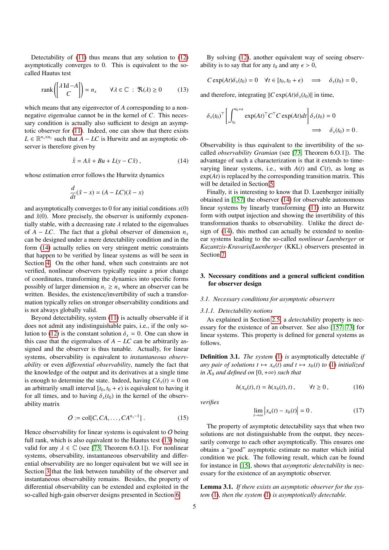Detectability of (11) thus means that any solution to (12) asymptotically converges to 0. This is equivalent to the socalled Hautus test

$$
rank\begin{pmatrix} \lambda \operatorname{Id} - A \\ C \end{pmatrix} = n_x \qquad \forall \lambda \in \mathbb{C} : \mathfrak{R}(\lambda) \ge 0 \tag{13}
$$

which means that any eigenvector of *A* corresponding to a nonnegative eigenvalue cannot be in the kernel of *C*. This necessary condition is actually also sufficient to design an asymptotic observer for (11). Indeed, one can show that there exists  $L \in \mathbb{R}^{n_x \times n_y}$  such that  $A - LC$  is Hurwitz and an asymptotic observer is therefore given by

$$
\dot{\hat{x}} = A\hat{x} + Bu + L(y - C\hat{x}), \qquad (14)
$$

whose estimation error follows the Hurwitz dynamics

$$
\frac{d}{dt}(\hat{x} - x) = (A - LC)(\hat{x} - x)
$$

and asymptotically converges to 0 for any initial conditions  $x(0)$ and  $\hat{x}(0)$ . More precisely, the observer is uniformly exponentially stable, with a decreasing rate  $\lambda$  related to the eigenvalues of *A* − *LC*. The fact that a global observer of dimension  $n_x$ can be designed under a mere detectability condition and in the form (14) actually relies on very stringent metric constraints that happen to be verified by linear systems as will be seen in Section 4. On the other hand, when such constraints are not verified, nonlinear observers typically require a prior change of coordinates, transforming the dynamics into specific forms possibly of larger dimension  $n_z \geq n_x$  where an observer can be written. Besides, the existence/invertibility of such a transformation typically relies on stronger observability conditions and is not always globally valid.

Beyond detectability, system (11) is actually observable if it does not admit any indistinguishable pairs, i.e., if the only solution to (12) is the constant solution  $\delta_x = 0$ . One can show in this case that the eigenvalues of  $A - LC$  can be arbitrarily assigned and the observer is thus tunable. Actually, for linear systems, observability is equivalent to *instantaneous observability* or even *di*ff*erential observability*, namely the fact that the knowledge of the output and its derivatives at a single time is enough to determine the state. Indeed, having  $C\delta_x(t) = 0$  on an arbitrarily small interval  $[t_0, t_0 + \epsilon)$  is equivalent to having it for all times, and to having  $\delta_x(t_0)$  in the kernel of the observability matrix

$$
O := \text{col}[C, CA, \dots, CA^{n_x-1}].
$$
 (15)

Hence observability for linear systems is equivalent to  $O$  being full rank, which is also equivalent to the Hautus test (13) being valid for any  $\lambda \in \mathbb{C}$  (see [73, Theorem 6.0.1]). For nonlinear systems, observability, instantaneous observability and differential observability are no longer equivalent but we will see in Section 3 that the link between tunability of the observer and instantaneous observability remains. Besides, the property of differential observability can be extended and exploited in the so-called high-gain observer designs presented in Section 6.

By solving (12), another equivalent way of seeing observability is to say that for any  $t_0$  and any  $\epsilon > 0$ ,

$$
C \exp(At)\delta_x(t_0) = 0 \quad \forall t \in [t_0, t_0 + \epsilon) \quad \Longrightarrow \quad \delta_x(t_0) = 0,
$$

and therefore, integrating  $\|C \exp(At) \delta_x(t_0)\|$  in time,

$$
\delta_x(t_0)^\top \left[ \int_{t_0}^{t_0 + \epsilon} \exp(At)^\top C^\top C \exp(At) dt \right] \delta_x(t_0) = 0
$$
  

$$
\implies \delta_x(t_0) = 0.
$$

Observability is thus equivalent to the invertibility of the socalled *observability Gramian* (see [73, Theorem 6.O.1]). The advantage of such a characterization is that it extends to timevarying linear systems, i.e., with  $A(t)$  and  $C(t)$ , as long as exp(*At*) is replaced by the corresponding transition matrix. This will be detailed in Section 5.

Finally, it is interesting to know that D. Luenberger initially obtained in [157] the observer (14) for observable autonomous linear systems by linearly transforming (11) into an Hurwitz form with output injection and showing the invertibility of this transformation thanks to observability. Unlike the direct design of (14), this method can actually be extended to nonlinear systems leading to the so-called *nonlinear Luenberger* or *Kazantzis-Kravaris*/*Luenberger* (KKL) observers presented in Section 7.

## 3. Necessary conditions and a general sufficient condition for observer design

## *3.1. Necessary conditions for asymptotic observers*

#### *3.1.1. Detectability notions*

As explained in Section 2.5, a *detectability* property is necessary for the existence of an observer. See also [157, 73] for linear systems. This property is defined for general systems as follows.

Definition 3.1. *The system* (1) *is* asymptotically detectable *if any pair of solutions*  $t \mapsto x_a(t)$  *and*  $t \mapsto x_b(t)$  *to* (1) *initialized in*  $X_0$  *and defined on* [0, + $\infty$ ) *such that* 

$$
h(x_a(t),t) = h(x_b(t),t), \qquad \forall t \ge 0, \qquad (16)
$$

*verifies*

$$
\lim_{t \to \infty} \left| x_a(t) - x_b(t) \right| = 0. \tag{17}
$$

The property of asymptotic detectability says that when two solutions are not distinguishable from the output, they necessarily converge to each other asymptotically. This ensures one obtains a "good" asymptotic estimate no matter which initial condition we pick. The following result, which can be found for instance in [15], shows that *asymptotic detectability* is necessary for the existence of an asymptotic observer.

Lemma 3.1. *If there exists an asymptotic observer for the system* (1)*, then the system* (1) *is asymptotically detectable.*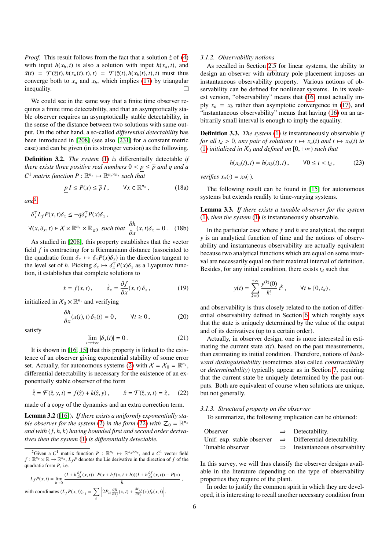*Proof.* This result follows from the fact that a solution  $\hat{z}$  of (4) with input  $h(x_b, t)$  is also a solution with input  $h(x_a, t)$ , and  $\hat{x}(t) = \mathcal{T}(\hat{z}(t), h(x_a(t), t), t) = \mathcal{T}(\hat{z}(t), h(x_b(t), t), t)$  must thus converge both to  $x_a$  and  $x_b$ , which implies (17) by triangular  $\Box$ inequality.

We could see in the same way that a finite time observer requires a finite time detectability, and that an asymptotically stable observer requires an asymptotically stable detectability, in the sense of the distance between two solutions with same output. On the other hand, a so-called *di*ff*erential detectability* has been introduced in [208] (see also [231] for a constant metric case) and can be given (in its stronger version) as the following.

Definition 3.2. *The system* (1) *is* differentially detectable *if there exists three positive real numbers*  $0 < p \leq \overline{p}$  *and q and a*  $C^1$  *matrix function*  $P: \mathbb{R}^{n_x} \mapsto \mathbb{R}^{n_x \times n_x}$  *such that* 

$$
\underline{p} I \le P(x) \le \overline{p} I, \qquad \forall x \in \mathbb{R}^{n_x}, \tag{18a}
$$

*and*2

$$
\delta_x^{\top} L_f P(x, t) \delta_x \le -q \delta_x^{\top} P(x) \delta_x,
$$
  

$$
\forall (x, \delta_x, t) \in X \times \mathbb{R}^{n_x} \times \mathbb{R}_{\ge 0} \text{ such that } \frac{\partial h}{\partial x}(x, t) \delta_x = 0. \quad (18b)
$$

 $\frac{\partial x}{\partial x}$  and  $\frac{\partial y}{\partial x}$  are that  $\frac{\partial z}{\partial x}$  (100) field *f* is contracting for a Riemaniann distance (associated to the quadratic form  $\delta_x \mapsto \delta_x P(x) \delta_x$  in the direction tangent to the level set of *h*. Picking  $\delta_x \mapsto \delta_x^T P(x) \delta_x$  as a Lyapunov function it establishes that complete solutions to tion, it establishes that complete solutions to

$$
\dot{x} = f(x, t), \qquad \dot{\delta}_x = \frac{\partial f}{\partial x}(x, t) \, \delta_x, \tag{19}
$$

initialized in  $X_0 \times \mathbb{R}^{n_x}$  and verifying

$$
\frac{\partial h}{\partial x}(x(t),t)\,\delta_x(t) = 0\,, \qquad \forall t \ge 0\,, \tag{20}
$$

satisfy

$$
\lim_{t \to +\infty} |\delta_x(t)| = 0. \tag{21}
$$

It is shown in [16, 15] that this property is linked to the existence of an observer giving exponential stability of some error set. Actually, for autonomous systems (2) with  $X = X_0 = \mathbb{R}^{n_x}$ , differential detectability is necessary for the existence of an exponentially stable observer of the form

$$
\dot{\hat{z}} = \mathcal{F}(\hat{z}, y, t) = f(\hat{z}) + k(\hat{z}, y), \qquad \hat{x} = \mathcal{T}(\hat{z}, y, t) = \hat{z}, \quad (22)
$$

made of a copy of the dynamics and an extra correction term.

Lemma 3.2 ([16]). *If there exists a uniformly exponentially stable observer for the system* (2) *in the form* (22) *with*  $Z_0 = \mathbb{R}^{n_x}$ *and with* (*f*, *<sup>h</sup>*, *<sup>k</sup>*) *having bounded first and second order derivatives then the system* (1) *is di*ff*erentially detectable.*

$$
L_f P(x,t) = \lim_{h \to 0} \frac{(I + h \frac{\partial f}{\partial x}(x,t))^{\top} P(x + h f(x,t+h))(I + h \frac{\partial f}{\partial x}(x,t)) - P(x)}{h},
$$
  
with coordinates  $(L_f P(x,t))_{i,j} = \sum_k \left[ 2P_{ik} \frac{\partial f_k}{\partial x_j}(x,t) + \frac{\partial P_{ij}}{\partial x_k}(x) f_k(x,t) \right].$ 

#### *3.1.2. Observability notions*

As recalled in Section 2.5 for linear systems, the ability to design an observer with arbitrary pole placement imposes an instantaneous observability property. Various notions of observability can be defined for nonlinear systems. In its weakest version, "observability" means that (16) must actually imply  $x_a = x_b$  rather than asymptotic convergence in (17), and "instantaneous observability" means that having (16) on an arbitrarily small interval is enough to imply the equality.

Definition 3.3. *The system* (1) *is* instantaneously observable *if for all t<sub>d</sub>* > 0*, any pair of solutions*  $t \mapsto x_a(t)$  *and*  $t \mapsto x_b(t)$  *<i>to* (1) *initialized in*  $X_0$  *and defined on* [0, + $\infty$ ) *such that* 

$$
h(x_a(t), t) = h(x_b(t), t), \t\forall 0 \le t < t_d,
$$
 (23)

*verifies*  $x_a(\cdot) = x_b(\cdot)$ *.* 

The following result can be found in [15] for autonomous systems but extends readily to time-varying systems.

Lemma 3.3. *If there exists a tunable observer for the system* (1)*, then the system* (1) *is* instantaneously observable*.*

In the particular case where *f* and *h* are analytical, the output *y* is an analytical function of time and the notions of observability and instantaneous observability are actually equivalent because two analytical functions which are equal on some interval are necessarily equal on their maximal interval of definition. Besides, for any initial condition, there exists  $t_d$  such that

$$
y(t) = \sum_{k=0}^{+\infty} \frac{y^{(k)}(0)}{k!} t^k, \qquad \forall t \in [0, t_d),
$$

and observability is thus closely related to the notion of differential observability defined in Section 6, which roughly says that the state is uniquely determined by the value of the output and of its derivatives (up to a certain order).

Actually, in observer design, one is more interested in estimating the current state  $x(t)$ , based on the past measurements, than estimating its initial condition. Therefore, notions of *backward distinguishability* (sometimes also called *constructibility* or *determinability*) typically appear as in Section 7, requiring that the current state be uniquely determined by the past outputs. Both are equivalent of course when solutions are unique, but not generally.

#### *3.1.3. Structural property on the observer*

To summarize, the following implication can be obtained:

| Observer                                                             |               | $\Rightarrow$ Detectability. |
|----------------------------------------------------------------------|---------------|------------------------------|
| Unif. exp. stable observer $\Rightarrow$ Differential detectability. |               |                              |
| Tunable observer                                                     | $\Rightarrow$ | Instantaneous observability  |

In this survey, we will thus classify the observer designs available in the literature depending on the type of observability properties they require of the plant.

In order to justify the common spirit in which they are developed, it is interesting to recall another necessary condition from

<sup>&</sup>lt;sup>2</sup>Given a C<sup>1</sup> matrix function  $P : \mathbb{R}^{n_x} \mapsto \mathbb{R}^{n_x \times n_x}$ , and a C<sup>1</sup> vector field  $f: \mathbb{R}^{n_x} \times \mathbb{R} \to \mathbb{R}^{n_x}$ ,  $L_f P$  denotes the Lie derivative in the direction of *f* of the quadratic form *P*, i.e.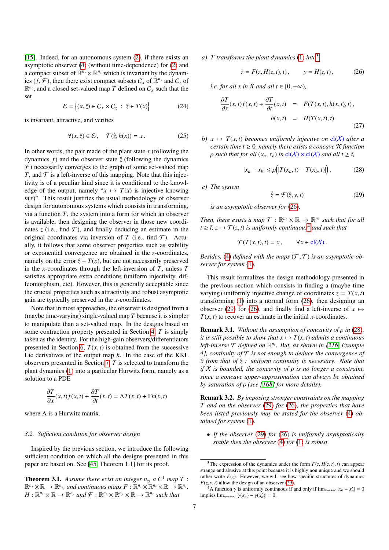[15]. Indeed, for an autonomous system (2), if there exists an asymptotic observer (4) (without time-dependence) for (2) and a compact subset of  $\mathbb{R}^{n_x} \times \mathbb{R}^{n_z}$  which is invariant by the dynamics  $(f, \mathcal{F})$ , then there exist compact subsets  $C_x$  of  $\mathbb{R}^{n_x}$  and  $C_z$  of  $\mathbb{R}^{n_z}$  and a closed set-valued man  $T$  defined on  $C$  such that the  $\mathbb{R}^{n_z}$ , and a closed set-valued map *T* defined on  $C_x$  such that the set

$$
\mathcal{E} = \{(x, \hat{z}) \in C_x \times C_z \; : \; \hat{z} \in T(x) \}
$$
 (24)

is invariant, attractive, and verifies

$$
\forall (x, \hat{z}) \in \mathcal{E}, \quad \mathcal{T}(\hat{z}, h(x)) = x. \tag{25}
$$

In other words, the pair made of the plant state  $x$  (following the dynamics  $f$ ) and the observer state  $\hat{z}$  (following the dynamics  $\mathcal F$ ) necessarily converges to the graph of some set-valued map *T*, and  $\mathcal T$  is a left-inverse of this mapping. Note that this injectivity is of a peculiar kind since it is conditional to the knowledge of the output, namely " $x \mapsto T(x)$  is injective knowing  $h(x)$ ". This result justifies the usual methodology of observer design for autonomous systems which consists in transforming, via a function *T*, the system into a form for which an observer is available, then designing the observer in those new coordinates  $\zeta$  (i.e., find  $\mathcal{F}$ ), and finally deducing an estimate in the original coordinates via inversion of  $T$  (i.e., find  $T$ ). Actually, it follows that some observer properties such as stability or exponential convergence are obtained in the *z*-coordinates, namely on the error  $\hat{z} - T(x)$ , but are not necessarily preserved in the *x*-coordinates through the left-inversion of *T*, unless *T* satisfies appropriate extra conditions (uniform injectivity, diffeomorphism, etc). However, this is generally acceptable since the crucial properties such as attractivity and robust asymptotic gain are typically preserved in the *x*-coordinates.

Note that in most approaches, the observer is designed from a (maybe time-varying) single-valued map *T* because it is simpler to manipulate than a set-valued map. In the designs based on some contraction property presented in Section 4, *T* is simply taken as the identity. For the high-gain observers/differentiators presented in Section 6,  $T(x, t)$  is obtained from the successive Lie derivatives of the output map *h*. In the case of the KKL observers presented in Section 7, *T* is selected to transform the plant dynamics (1) into a particular Hurwitz form, namely as a solution to a PDE

$$
\frac{\partial T}{\partial x}(x,t)f(x,t) + \frac{\partial T}{\partial t}(x,t) = \Lambda T(x,t) + \Gamma h(x,t)
$$

where  $\Lambda$  is a Hurwitz matrix.

## *3.2. Su*ffi*cient condition for observer design*

Inspired by the previous section, we introduce the following sufficient condition on which all the designs presented in this paper are based on. See [45, Theorem 1.1] for its proof.

**Theorem 3.1.** Assume there exist an integer  $n_z$ , a  $C^1$  map  $T$  :  $\mathbb{R}^{n_x} \times \mathbb{R} \to \mathbb{R}^{n_z}$ , and continuous maps  $F: \mathbb{R}^{n_z} \times \mathbb{R}^{n_y} \times \mathbb{R} \to \mathbb{R}^{n_z}$ ,  $H: \mathbb{R}^{n_z} \times \mathbb{R} \to \mathbb{R}^{n_y}$  and  $\mathcal{F}: \mathbb{R}^{n_z} \times \mathbb{R}^{n_y} \times \mathbb{R} \to \mathbb{R}^{n_z}$  such that

*a) T transforms the plant dynamics* (1) *into*3

$$
\dot{z} = F(z, H(z, t), t), \qquad y = H(z, t),
$$
 (26)

*i.e. for all x in X and all t*  $\in$  [0, + $\infty$ ),

$$
\frac{\partial T}{\partial x}(x,t)f(x,t) + \frac{\partial T}{\partial t}(x,t) = F(T(x,t),h(x,t),t),
$$
  
\n
$$
h(x,t) = H(T(x,t),t).
$$
\n(27)

*b*)  $x \mapsto T(x, t)$  *becomes uniformly injective on*  $cl(X)$  *after a certain time*  $\bar{t} \geq 0$ *, namely there exists a concave*  $K$  *function*  $\rho$  *such that for all*  $(x_a, x_b)$  *in*  $cl(X) \times cl(X)$  *and all*  $t \geq \overline{t}$ ,

$$
|x_a - x_b| \le \rho (|T(x_a, t) - T(x_b, t)|). \tag{28}
$$

*c) The system*

$$
\dot{\hat{z}} = \mathcal{F}(\hat{z}, y, t) \tag{29}
$$

*is an asymptotic observer for* (26)*.*

*Then, there exists a map*  $\mathcal{T}: \mathbb{R}^{n_z} \times \mathbb{R} \to \mathbb{R}^{n_x}$  *such that for all*  $t > \overline{t}$ ,  $z \mapsto \mathcal{T}(z, t)$  *is uniformly continuous*<sup>4</sup> *and such that* 

 $\mathcal{T}(T(x,t), t) = x$ ,  $\forall x \in \text{cl}(\mathcal{X})$ .

*Besides,* (4) *defined with the maps*  $(\mathcal{F}, \mathcal{T})$  *is an asymptotic observer for system* (1)*.*

This result formalizes the design methodology presented in the previous section which consists in finding a (maybe time varying) uniformly injective change of coordinates  $z = T(x, t)$ transforming (1) into a normal form (26), then designing an observer (29) for (26), and finally find a left-inverse of  $x \mapsto$  $T(x, t)$  to recover an estimate in the initial *x*-coordinates.

Remark 3.1. *Without the assumption of concavity of* ρ *in* (28)*, it is still possible to show that*  $x \mapsto T(x, t)$  *admits a continuous left-inverse* T *defined on* R *nz . But, as shown in [216, Example 4], continuity of* T *is not enough to deduce the convergence of x from that of* ˆ *z : uniform continuity is necessary. Note that* ˆ *if* <sup>X</sup> *is bounded, the concavity of* ρ *is no longer a constraint, since a concave upper-approximation can always be obtained by saturation of* ρ *(see [168] for more details).*

Remark 3.2. *By imposing stronger constraints on the mapping T and on the observer* (29) *for* (26)*, the properties that have been listed previously may be stated for the observer* (4) *obtained for system* (1)*.*

• *If the observer* (29) *for* (26) *is uniformly asymptotically stable then the observer* (4) *for* (1) *is robust.*

<sup>&</sup>lt;sup>3</sup>The expression of the dynamics under the form  $F(z, H(z, t), t)$  can appear strange and abusive at this point because it is highly non unique and we should rather write  $F(z)$ . However, we will see how specific structures of dynamics  $F(z, y, t)$  allow the design of an observer (29).

<sup>&</sup>lt;sup>4</sup>A function  $\gamma$  is uniformly continuous if and only if  $\lim_{n\to+\infty} |x_n - x'_n| = 0$ implies  $\lim_{n \to +\infty} |\gamma(x_n) - \gamma(x'_n)| = 0.$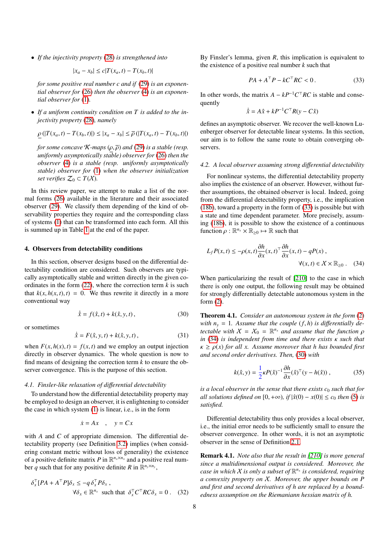• *If the injectivity property* (28) *is strengthened into*

$$
|x_a - x_b| \le c|T(x_a, t) - T(x_b, t)|
$$

*for some positive real number c and if* (29) *is an exponential observer for* (26) *then the observer* (4) *is an exponential observer for* (1)*.*

• *If a uniform continuity condition on T is added to the injectivity property* (28)*, namely*

$$
\underline{\rho}(|T(x_a, t) - T(x_b, t)|) \le |x_a - x_b| \le \overline{\rho}(|T(x_a, t) - T(x_b, t)|)
$$

*for some concave*  $\mathcal{K}$ *-maps*  $(\rho, \overline{\rho})$  *and* (29) *is a stable (resp. uniformly asymptotically stable) observer for* (26) *then the observer* (4) *is a stable (resp. uniformly asymptotically stable) observer for* (1) *when the observer initialization set verifies*  $\mathcal{Z}_0 \subset T(\mathcal{X})$ *.* 

In this review paper, we attempt to make a list of the normal forms (26) available in the literature and their associated observer (29). We classify them depending of the kind of observability properties they require and the corresponding class of systems (1) that can be transformed into each form. All this is summed up in Table 1 at the end of the paper.

## 4. Observers from detectability conditions

In this section, observer designs based on the differential detectability condition are considered. Such observers are typically asymptotically stable and written directly in the given coordinates in the form  $(22)$ , where the correction term  $k$  is such that  $k(x, h(x, t), t) = 0$ . We thus rewrite it directly in a more conventional way

$$
\dot{\hat{x}} = f(\hat{x}, t) + k(\hat{x}, y, t),
$$
\n(30)

or sometimes

$$
\dot{\hat{x}} = F(\hat{x}, y, t) + k(\hat{x}, y, t),
$$
\n(31)

when  $F(x, h(x), t) = f(x, t)$  and we employ an output injection directly in observer dynamics. The whole question is now to find means of designing the correction term *k* to ensure the observer convergence. This is the purpose of this section.

## *4.1. Finsler-like relaxation of di*ff*erential detectability*

To understand how the differential detectability property may be employed to design an observer, it is enlightening to consider the case in which system (1) is linear, i.e., is in the form

$$
\dot{x} = Ax \quad , \quad y = Cx
$$

with *A* and *C* of appropriate dimension. The differential detectability property (see Definition 3.2) implies (when considering constant metric without loss of generality) the existence of a positive definite matrix P in  $\mathbb{R}^{n_x \times n_x}$  and a positive real number *q* such that for any positive definite *R* in  $\mathbb{R}^{n_y \times n_y}$ ,

$$
\delta_x^{\top} [PA + A^{\top} P] \delta_x \le -q \delta_x^{\top} P \delta_x ,
$$
  
\n
$$
\forall \delta_x \in \mathbb{R}^{n_x} \text{ such that } \delta_x^{\top} C^{\top} R C \delta_x = 0 . \quad (32)
$$

By Finsler's lemma, given *R*, this implication is equivalent to the existence of a positive real number *k* such that

$$
PA + ATP - kCT RC < 0.
$$
 (33)

In other words, the matrix  $A - kP^{-1}C^\top RC$  is stable and consequently

$$
\dot{\hat{x}} = A\hat{x} + kP^{-1}C^{\top}R(y - C\hat{x})
$$

defines an asymptotic observer. We recover the well-known Luenberger observer for detectable linear systems. In this section, our aim is to follow the same route to obtain converging observers.

#### *4.2. A local observer assuming strong di*ff*erential detectability*

For nonlinear systems, the differential detectability property also implies the existence of an observer. However, without further assumptions, the obtained observer is local. Indeed, going from the differential detectability property, i.e., the implication (18b), toward a property in the form of (33) is possible but with a state and time dependent parameter. More precisely, assuming (18b), it is possible to show the existence of a continuous function  $\rho : \mathbb{R}^{n_x} \times \mathbb{R}_{\geq 0} \mapsto \mathbb{R}$  such that

$$
L_f P(x,t) \le -\rho(x,t) \frac{\partial h}{\partial x}(x,t)^\top \frac{\partial h}{\partial x}(x,t) - qP(x),
$$
  

$$
\forall (x,t) \in X \times \mathbb{R}_{\ge 0} . \quad (34)
$$

When particularizing the result of [210] to the case in which there is only one output, the following result may be obtained for strongly differentially detectable autonomous system in the form (2).

Theorem 4.1. *Consider an autonomous system in the form* (2) *with*  $n_y = 1$ *. Assume that the couple*  $(f, h)$  *is differentially detectable with*  $X = X_0 = \mathbb{R}^{n_x}$  *and assume that the function*  $\rho$  *in* (34) *is independent from time and there exists v such that in* (34) *is independent from time and there exists* κ *such that*  $\kappa \ge \rho(x)$  *for all x.* Assume moreover that h has bounded first *and second order derivatives. Then,* (30) *with*

$$
k(\hat{x}, y) = \frac{1}{2} \kappa P(\hat{x})^{-1} \frac{\partial h}{\partial x}(\hat{x})^{\top} (y - h(\hat{x})), \qquad (35)
$$

*is a local observer in the sense that there exists c*<sup>0</sup> *such that for all solutions defined on*  $[0, +\infty)$ *, if*  $|\hat{x}(0) - x(0)| \leq c_0$  *then* (5) *is satisfied.*

Differential detectability thus only provides a local observer, i.e., the initial error needs to be sufficiently small to ensure the observer convergence. In other words, it is not an asymptotic observer in the sense of Definition 2.1.

Remark 4.1. *Note also that the result in [210] is more general since a multidimensional output is considered. Moreover, the case in which*  $X$  *is only a subset of*  $\mathbb{R}^{n_x}$  *is considered, requiring a convexity property on* X*. Moreover, the upper bounds on P and first and second derivatives of h are replaced by a boundedness assumption on the Riemaniann hessian matrix of h.*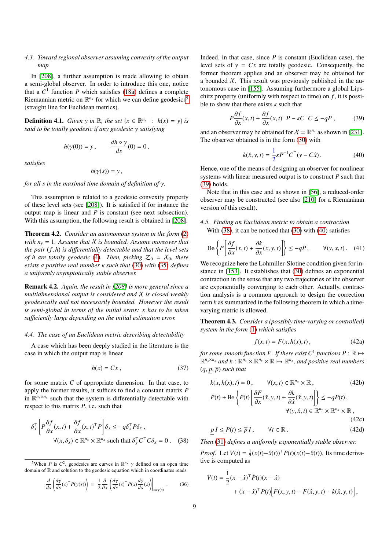## *4.3. Toward regional observer assuming convexity of the output map*

In [208], a further assumption is made allowing to obtain a semi-global observer. In order to introduce this one, notice that a  $C^1$  function  $P$  which satisfies (18a) defines a complete Riemannian metric on  $\mathbb{R}^{n_x}$  for which we can define geodesics<sup>5</sup> (straight line for Euclidean metrics).

**Definition 4.1.** *Given y in*  $\mathbb{R}$ *, the set*  $\{x \in \mathbb{R}^{n_x} : h(x) = y\}$  *is said to be totally geodesic if any geodesic* γ *satisfying*

$$
h(\gamma(0)) = y, \qquad \frac{dh \circ \gamma}{ds}(0) = 0,
$$

*satisfies*

$$
h(\gamma(s))=y\,,
$$

*for all s in the maximal time domain of definition of* γ*.*

This assumption is related to a geodesic convexity property of these level sets (see [208]). It is satisfied if for instance the output map is linear and *P* is constant (see next subsection). With this assumption, the following result is obtained in [208].

Theorem 4.2. *Consider an autonomous system in the form* (2) *with*  $n_v = 1$ *. Assume that X is bounded. Assume moreover that the pair* (*f*, *<sup>h</sup>*) *is di*ff*erentially detectable and that the level sets of h are totally geodesic* (4). Then, picking  $Z_0 = X_0$ , there *exists a positive real number* κ *such that* (30) *with* (35) *defines a uniformly asymptotically stable observer.*

Remark 4.2. *Again, the result in [208] is more general since a multidimensional output is considered and* X *is closed weakly geodesically and not necessarily bounded. However the result is semi-global in terms of the initial error:* κ *has to be taken su*ffi*ciently large depending on the initial estimation error.*

## *4.4. The case of an Euclidean metric describing detectability*

A case which has been deeply studied in the literature is the case in which the output map is linear

$$
h(x) = Cx \,, \tag{37}
$$

for some matrix *C* of appropriate dimension. In that case, to apply the former results, it suffices to find a constant matrix *P* in  $\mathbb{R}^{n_x \times n_x}$  such that the system is differentially detectable with respect to this matrix *P*, i.e. such that

$$
\delta_x^{\top} \left[ P \frac{\partial f}{\partial x}(x, t) + \frac{\partial f}{\partial x}(x, t)^{\top} P \right] \delta_x \leq -q \delta_x^{\top} P \delta_x ,
$$
  

$$
\forall (x, \delta_x) \in \mathbb{R}^{n_x} \times \mathbb{R}^{n_x} \text{ such that } \delta_x^{\top} C^{\top} C \delta_x = 0 . \quad (38)
$$

$$
\frac{d}{ds}\left(\frac{d\gamma}{ds}(s)^{\top}P(\gamma(s))\right) = \frac{1}{2}\frac{\partial}{\partial x}\left(\frac{d\gamma}{ds}(s)^{\top}P(x)\frac{d\gamma}{ds}(s)\right)\Big|_{x=\gamma(s)}.
$$
\n(36)

Indeed, in that case, since  $P$  is constant (Euclidean case), the level sets of  $y = Cx$  are totally geodesic. Consequently, the former theorem applies and an observer may be obtained for a bounded  $X$ . This result was previously published in the autonomous case in [155]. Assuming furthermore a global Lipschitz property (uniformly with respect to time) on *f* , it is possible to show that there exists  $\kappa$  such that

$$
P\frac{\partial f}{\partial x}(x,t) + \frac{\partial f}{\partial x}(x,t)^{\top}P - \kappa C^{\top}C \le -qP\,,\tag{39}
$$

and an observer may be obtained for  $X = \mathbb{R}^{n_x}$  as shown in [231]. The observer obtained is in the form (30) with

$$
k(\hat{x}, y, t) = \frac{1}{2} \kappa P^{-1} C^{\top} (y - C\hat{x}).
$$
 (40)

Hence, one of the means of designing an observer for nonlinear systems with linear measured output is to construct *P* such that (39) holds.

Note that in this case and as shown in [56], a reduced-order observer may be constructed (see also [210] for a Riemaniann version of this result).

*4.5. Finding an Euclidean metric to obtain a contraction* With (38), it can be noticed that (30) with (40) satisfies

$$
\text{He}\left\{P\left[\frac{\partial f}{\partial x}(x,t) + \frac{\partial k}{\partial x}(x,y,t)\right]\right\} \le -qP, \qquad \forall (y,x,t). \quad (41)
$$

We recognize here the Lohmiller-Slotine condition given for instance in [153]. It establishes that (30) defines an exponential contraction in the sense that any two trajectories of the observer are exponentially converging to each other. Actually, contraction analysis is a common approach to design the correction term *k* as summarized in the following theorem in which a timevarying metric is allowed.

Theorem 4.3. *Consider a (possibly time-varying or controlled) system in the form* (1) *which satisfies*

$$
f(x,t) = F(x, h(x), t),
$$
 (42a)

for some smooth function F. If there exist  $C^1$  functions  $P: \mathbb{R} \mapsto$  $\mathbb{R}^{n_x \times n_x}$  and  $k: \mathbb{R}^{n_x} \times \mathbb{R}^{n_y} \times \mathbb{R} \mapsto \mathbb{R}^{n_x}$ , and positive real numbers  $(q, p, \overline{p})$  *such that* 

$$
k(x, h(x), t) = 0, \qquad \forall (x, t) \in \mathbb{R}^{n_x} \times \mathbb{R}, \tag{42b}
$$

$$
\dot{P}(t) + \text{He}\left\{P(t)\left[\frac{\partial F}{\partial x}(\hat{x}, y, t) + \frac{\partial k}{\partial \hat{x}}(\hat{x}, y, t)\right]\right\} \le -q P(t),
$$

$$
\forall (y, \hat{x}, t) \in \mathbb{R}^{n_y} \times \mathbb{R}^{n_x} \times \mathbb{R}, \tag{42c}
$$

$$
\underline{p} I \le P(t) \le \overline{p} I, \qquad \forall t \in \mathbb{R}.
$$
 (42d)

*Then* (31) *defines a uniformly exponentially stable observer.*

*Proof.* Let  $V(t) = \frac{1}{2}(x(t) - \hat{x}(t))^T P(t)(x(t) - \hat{x}(t))$ . Its time derivative is computed as

$$
\dot{V}(t) = \frac{1}{2}(x - \hat{x})^{\top} \dot{P}(t)(x - \hat{x}) \n+ (x - \hat{x})^{\top} P(t) [F(x, y, t) - F(\hat{x}, y, t) - k(\hat{x}, y, t)],
$$

<sup>&</sup>lt;sup>5</sup>When *P* is *C*<sup>2</sup>, geodesics are curves in  $\mathbb{R}^{n_x}$   $\gamma$  defined on an open time domain of  $\mathbb R$  and solution to the geodesic equation which in coordinates reads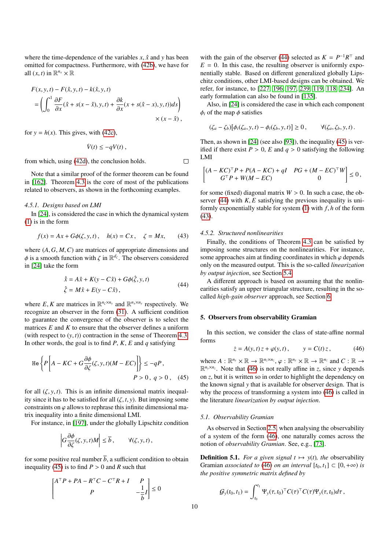where the time-dependence of the variables  $x$ ,  $\hat{x}$  and  $y$  has been omitted for compactness. Furthermore, with (42b), we have for all  $(x, t)$  in  $\mathbb{R}^{n_x} \times \mathbb{R}$ 

$$
F(x, y, t) - F(\hat{x}, y, t) - k(\hat{x}, y, t)
$$
  
= 
$$
\left( \int_0^1 \frac{\partial F}{\partial x} (\hat{x} + s(x - \hat{x}), y, t) + \frac{\partial k}{\partial x} (x + s(\hat{x} - x), y, t) ds \right) \times (x - \hat{x}),
$$

for  $y = h(x)$ . This gives, with (42c),

$$
\dot{V}(t) \le -q V(t) \;,
$$

 $\Box$ 

from which, using (42d), the conclusion holds.

Note that a similar proof of the former theorem can be found in [162]. Theorem 4.3 is the core of most of the publications related to observers, as shown in the forthcoming examples.

## *4.5.1. Designs based on LMI*

In [24], is considered the case in which the dynamical system (1) is in the form

$$
f(x) = Ax + G\phi(\zeta, y, t), \quad h(x) = Cx, \quad \zeta = Mx, \tag{43}
$$

where (*A*,*G*, *<sup>M</sup>*,*C*) are matrices of appropriate dimensions and  $\phi$  is a smooth function with  $\zeta$  in  $\mathbb{R}^{d_{\zeta}}$ . The observers considered<br>in [24] take the form in [24] take the form

$$
\dot{\hat{x}} = A\hat{x} + K(y - C\hat{x}) + G\phi(\hat{\zeta}, y, t)
$$
  

$$
\hat{\zeta} = M\hat{x} + E(y - C\hat{x}),
$$
 (44)

where *E*, *K* are matrices in  $\mathbb{R}^{n_{\zeta} \times n_{y}}$  and  $\mathbb{R}^{n_{x} \times n_{y}}$  respectively. We recognize an observer in the form (31) A sufficient condition recognize an observer in the form (31). A sufficient condition to guarantee the convergence of the observer is to select the matrices *E* and *K* to ensure that the observer defines a uniform (with respect to  $(y, t)$ ) contraction in the sense of Theorem 4.3. In other words, the goal is to find  $P$ ,  $K$ ,  $E$  and  $q$  satisfying

$$
\text{He}\left\{P\left[A - KC + G\frac{\partial\phi}{\partial\zeta}(\zeta, y, t)(M - EC)\right]\right\} \le -qP,
$$
\n
$$
P > 0, \ q > 0 \,, \tag{45}
$$

for all  $(\zeta, y, t)$ . This is an infinite dimensional matrix inequality since it has to be satisfied for all  $(\zeta, t, y)$ . But imposing some constraints on  $\varphi$  allows to rephrase this infinite dimensional matrix inequality into a finite dimensional LMI.

For instance, in [197], under the globally Lipschitz condition

$$
\left| G \frac{\partial \phi}{\partial \zeta}(\zeta, y, t) M \right| \leq \overline{b}, \qquad \forall (\zeta, y, t),
$$

for some positive real number  $\overline{b}$ , a sufficient condition to obtain inequality (45) is to find  $P > 0$  and  $R$  such that

$$
\begin{bmatrix} A^\top P + PA - R^\top C - C^\top R + I & P \\ P & -\frac{1}{b}I \end{bmatrix} \le 0
$$

with the gain of the observer (44) selected as  $K = P^{-1}R^{\top}$  and  $E = 0$ . In this case, the resulting observer is uniformly exponentially stable. Based on different generalized globally Lipschitz conditions, other LMI-based designs can be obtained. We refer, for instance, to [227, 196, 197, 239, 119, 118, 234]. An early formulation can also be found in [135].

Also, in [24] is considered the case in which each component  $\phi_i$  of the map  $\phi$  satisfies

$$
(\zeta_a-\zeta_b)[\phi_i(\zeta_a,y,t)-\phi_i(\zeta_b,y,t)]\geq 0, \qquad \forall (\zeta_a,\zeta_b,y,t).
$$

Then, as shown in [24] (see also [93]), the inequality (45) is verified if there exist  $P > 0$ ,  $E$  and  $q > 0$  satisfying the following LMI

$$
\begin{bmatrix} (A - KC)^{\top} P + P(A - KC) + qI & PG + (M - EC)^{\top} W \\ G^{\top} P + W(M - EC) & 0 \end{bmatrix} \leq 0,
$$

for some (fixed) diagonal matrix  $W > 0$ . In such a case, the observer  $(44)$  with *K*, *E* satisfying the previous inequality is uniformly exponentially stable for system (1) with *<sup>f</sup>*, *<sup>h</sup>* of the form (43).

## *4.5.2. Structured nonlinearities*

Finally, the conditions of Theorem 4.3 can be satisfied by imposing some structures on the nonlinearities. For instance, some approaches aim at finding coordinates in which  $\varphi$  depends only on the measured output. This is the so-called *linearization by output injection*, see Section 5.4.

A different approach is based on assuming that the nonlinearities satisfy an upper triangular structure, resulting in the socalled *high-gain observer* approach, see Section 6.

### 5. Observers from observability Gramian

In this section, we consider the class of state-affine normal forms

$$
\dot{z} = A(y, t) z + \varphi(y, t), \qquad y = C(t) z,
$$
\n(46)

where  $A: \mathbb{R}^{n_y} \times \mathbb{R} \to \mathbb{R}^{n_z \times n_z}, \varphi: \mathbb{R}^{n_y} \times \mathbb{R} \to \mathbb{R}^{n_z}$  and  $C: \mathbb{R} \to \mathbb{R}^{n_z \times n_z}$ . Note that (46) is not really affine in z since y denends  $\mathbb{R}^{n_y \times n_z}$ . Note that (46) is not really affine in *z*, since *y* depends on *z*, but it is written so in order to highlight the dependency on the known signal *y* that is available for observer design. That is why the process of transforming a system into  $(46)$  is called in the literature *linearization by output injection*.

#### *5.1. Observability Gramian*

As observed in Section 2.5, when analysing the observability of a system of the form (46), one naturally comes across the notion of *observability Gramian*. See, e.g., [73].

**Definition 5.1.** *For a given signal*  $t \mapsto y(t)$ *, the* observability Gramian *associated to* (46) *on an interval*  $[t_0, t_1] \subset [0, +\infty)$  *is the positive symmetric matrix defined by*

$$
\mathcal{G}_y(t_0,t_1)=\int_{t_0}^{t_1}\Psi_y(\tau,t_0)^\top C(\tau)^\top C(\tau)\Psi_y(\tau,t_0)d\tau,
$$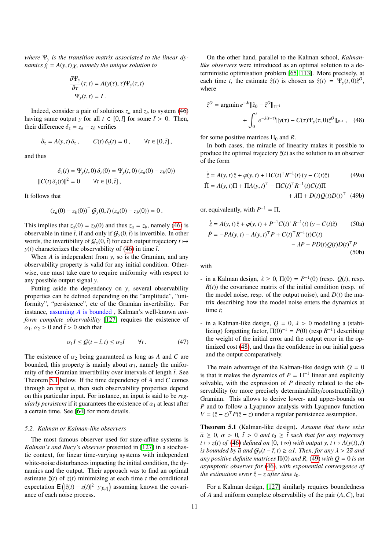*where* Ψ*<sup>y</sup> is the transition matrix associated to the linear dynamics*  $\dot{\chi} = A(y, t) \chi$ *, namely the unique solution to* 

$$
\frac{\partial \Psi_y}{\partial \tau}(\tau, t) = A(y(\tau), \tau) \Psi_y(\tau, t)
$$

$$
\Psi_y(t, t) = I.
$$

Indeed, consider a pair of solutions  $z_a$  and  $z_b$  to system (46) having same output *y* for all  $t \in [0, \bar{t}]$  for some  $\bar{t} > 0$ . Then, their difference  $\delta_z = z_a - z_b$  verifies

$$
\dot{\delta}_z = A(y, t) \, \delta_z \,, \qquad C(t) \, \delta_z(t) = 0 \,, \qquad \forall t \in [0, \bar{t}] \,,
$$

and thus

$$
\delta_z(t) = \Psi_y(t,0) \, \delta_z(0) = \Psi_y(t,0) \, (z_a(0) - z_b(0))
$$
  

$$
||C(t) \, \delta_z(t)||^2 = 0 \qquad \forall t \in [0, \bar{t}],
$$

It follows that

$$
(z_a(0)-z_b(0))^{\top} \mathcal{G}_y(0,\bar{t}) (z_a(0)-z_b(0)) = 0.
$$

This implies that  $z_a(0) = z_b(0)$  and thus  $z_a = z_b$ , namely (46) is observable in time  $\bar{t}$ , if and only if  $G_y(0, \bar{t})$  is invertible. In other words, the invertibility of  $G_y(0, \bar{t})$  for each output trajectory  $t \mapsto$ *y*(*t*) characterizes the observability of (46) in time  $\bar{t}$ .

When *A* is independent from *y*, so is the Gramian, and any observability property is valid for any initial condition. Otherwise, one must take care to require uniformity with respect to any possible output signal *y*.

Putting aside the dependency on *y*, several observability properties can be defined depending on the "amplitude", "uniformity", "persistence", etc of the Gramian invertibility. For instance, assuming *A* is bounded , Kalman's well-known *uniform complete observability* [127] requires the existence of  $\alpha_1, \alpha_2 > 0$  and  $\bar{t} > 0$  such that

$$
\alpha_1 I \le \mathcal{G}(t - \bar{t}, t) \le \alpha_2 I \qquad \forall t. \tag{47}
$$

The existence of  $\alpha_2$  being guaranteed as long as A and C are bounded, this property is mainly about  $\alpha_1$ , namely the uniformity of the Gramian invertibility over intervals of length  $\bar{t}$ . See Theorem 5.1 below. If the time dependency of *A* and *C* comes through an input *u*, then such observability properties depend on this particular input. For instance, an input is said to be *regularly persistent* if it guarantees the existence of  $\alpha_1$  at least after a certain time. See [64] for more details.

#### *5.2. Kalman or Kalman-like observers*

The most famous observer used for state-affine systems is *Kalman's and Bucy's observer* presented in [127] in a stochastic context, for linear time-varying systems with independent white-noise disturbances impacting the initial condition, the dynamics and the output. Their approach was to find an optimal estimate  $\hat{z}(t)$  of  $z(t)$  minimizing at each time *t* the conditional expectation  $E([ \hat{z}(t) - z(t) ]^2 | y_{[0,t]} )$  assuming known the covariance of each noise process.

On the other hand, parallel to the Kalman school, *Kalmanlike observers* were introduced as an optimal solution to a deterministic optimisation problem [65, 113]. More precisely, at each time *t*, the estimate  $\hat{z}(t)$  is chosen as  $\hat{z}(t) = \Psi_y(t, 0)\hat{z}^0$ , where

$$
\hat{z}^{O} = \operatorname{argmin} e^{-\lambda t} ||\hat{z}_{O} - \hat{z}^{O}||_{\Pi_{0}^{-1}} + \int_{0}^{t} e^{-\lambda(t-\tau)} ||y(\tau) - C(\tau)\Psi_{y}(\tau, 0)\hat{z}^{O}||_{R^{-1}}, \quad (48)
$$

for some positive matrices  $\Pi_0$  and *R*.

In both cases, the miracle of linearity makes it possible to produce the optimal trajectory  $\hat{z}(t)$  as the solution to an observer of the form

$$
\dot{\hat{z}} = A(y, t)\hat{z} + \varphi(y, t) + \Pi C(t)^{\top} R^{-1}(t) (y - C(t)\hat{z})
$$
(49a)  
\n
$$
\Pi = A(y, t)\Pi + \Pi A(y, t)^{\top} - \Pi C(t)^{\top} R^{-1}(t)C(t)\Pi
$$
  
\n
$$
+ \lambda \Pi + D(t)Q(t)D(t)^{\top}
$$
(49b)

or, equivalently, with  $P^{-1} = \Pi$ ,

$$
\dot{\hat{z}} = A(y, t)\hat{z} + \varphi(y, t) + P^{-1}C(t)^{\top}R^{-1}(t)(y - C(t)\hat{z}) \qquad (50a)
$$
  

$$
\dot{P} = -PA(y, t) - A(y, t)^{\top}P + C(t)^{\top}R^{-1}(t)C(t) - \lambda P - PD(t)Q(t)D(t)^{\top}P \qquad (50b)
$$

with

- in a Kalman design,  $\lambda \ge 0$ ,  $\Pi(0) = P^{-1}(0)$  (resp.  $Q(t)$ , resp.  $R(t)$ ) the covariance matrix of the initial condition (resp. of  $R(t)$ ) the covariance matrix of the initial condition (resp. of the model noise, resp. of the output noise), and  $D(t)$  the matrix describing how the model noise enters the dynamics at time *t*;
- in a Kalman-like design,  $Q = 0$ ,  $\lambda > 0$  modelling a (stabilizing) forgetting factor,  $\Pi(0)^{-1} = P(0)$  (resp  $R^{-1}$ ) describing the weight of the initial error and the output error in the optimized cost (48), and thus the confidence in our initial guess and the output comparatively.

The main advantage of the Kalman-like design with  $Q = 0$ is that it makes the dynamics of  $P = \Pi^{-1}$  linear and explicitly solvable, with the expression of *P* directly related to the observability (or more precisely determinability/constructibility) Gramian. This allows to derive lower- and upper-bounds on *P* and to follow a Lyapunov analysis with Lyapunov function  $V = (\hat{z} - z)^T P(\hat{z} - z)$  under a regular persistence assumption.

Theorem 5.1 (Kalman-like design). *Assume that there exist*  $\overline{a} \geq 0$ ,  $\alpha > 0$ ,  $\overline{t} > 0$  *and*  $t_0 \geq \overline{t}$  *such that for any trajectory*  $t \mapsto z(t)$  *of* (46) *defined on* [0, +∞) *with output y, t*  $\mapsto A(y(t), t)$ *is bounded by*  $\overline{a}$  *and*  $G_y(t - \overline{t}, t) \geq \alpha I$ . Then, for any  $\lambda > 2\overline{a}$  *and any positive definite matrices*  $\Pi(0)$  *and R,* (49) *with*  $Q = 0$  *is an asymptotic observer for* (46)*, with exponential convergence of the estimation error*  $\hat{z}$  – *z* after time  $t_0$ .

For a Kalman design, [127] similarly requires boundedness of *<sup>A</sup>* and uniform complete observability of the pair (*A*,*C*), but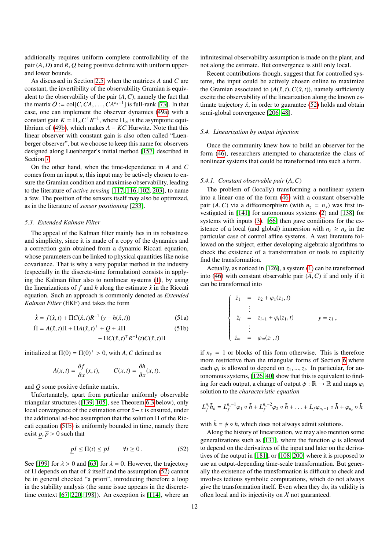additionally requires uniform complete controllability of the pair (*A*, *<sup>D</sup>*) and *<sup>R</sup>*, *<sup>Q</sup>* being positive definite with uniform upperand lower bounds.

As discussed in Section 2.5, when the matrices *A* and *C* are constant, the invertibility of the observability Gramian is equivalent to the observability of the pair  $(A, C)$ , namely the fact that the matrix  $O := \text{col}[C, CA, \dots, CA^{n_x-1}]$  is full-rank [73]. In that case, one can implement the observer dynamics (49a) with a case, one can implement the observer dynamics (49a) with a constant gain  $K = \Pi_{\infty} C^{\top} R^{-1}$ , where  $\Pi_{\infty}$  is the asymptotic equilibrium of (49b), which makes  $A - KC$  Hurwitz. Note that this linear observer with constant gain is also often called "Luenberger observer", but we choose to keep this name for observers designed along Luenberger's initial method [157] described in Section 7.

On the other hand, when the time-dependence in *A* and *C* comes from an input  $u$ , this input may be actively chosen to ensure the Gramian condition and maximise observability, leading to the literature of *active sensing* [117, 116, 102, 203], to name a few. The position of the sensors itself may also be optimized, as in the literature of *sensor positioning* [233].

#### *5.3. Extended Kalman Filter*

The appeal of the Kalman filter mainly lies in its robustness and simplicity, since it is made of a copy of the dynamics and a correction gain obtained from a dynamic Riccati equation, whose parameters can be linked to physical quantities like noise covariance. That is why a very popular method in the industry (especially in the discrete-time formulation) consists in applying the Kalman filter also to nonlinear systems (1), by using the linearizations of  $f$  and  $h$  along the estimate  $\hat{x}$  in the Riccati equation. Such an approach is commonly denoted as *Extended Kalman Filter* (EKF) and takes the form

$$
\dot{\hat{x}} = f(\hat{x}, t) + \Pi C(\hat{x}, t) R^{-1} (y - h(\hat{x}, t))
$$
\n(51a)

$$
\dot{\Pi} = A(\hat{x}, t)\Pi + \Pi A(\hat{x}, t)^{\top} + Q + \lambda \Pi
$$
\n
$$
- \Pi C(\hat{x}, t)^{\top} R^{-1}(t) C(\hat{x}, t) \Pi
$$
\n(51b)

initialized at  $\Pi(0) = \Pi(0)^T > 0$ , with *A*, *C* defined as

$$
A(x,t) = \frac{\partial f}{\partial x}(x,t), \qquad C(x,t) = \frac{\partial h}{\partial x}(x,t).
$$

and *Q* some positive definite matrix.

Unfortunately, apart from particular uniformly observable triangular structures ([139, 105], see Theorem 6.3 below), only local convergence of the estimation error  $\hat{x}$ −*x* is ensured, under the additional ad-hoc assumption that the solution Π of the Riccati equation (51b) is uniformly bounded in time, namely there exist  $p, \overline{p} > 0$  such that

$$
\underline{p}I \le \Pi(t) \le \overline{p}I \qquad \forall t \ge 0. \tag{52}
$$

See [199] for  $\lambda > 0$  and [63] for  $\lambda = 0$ . However, the trajectory of  $\Pi$  depends on that of  $\hat{x}$  itself and the assumption (52) cannot be in general checked "a priori", introducing therefore a loop in the stability analysis (the same issue appears in the discretetime context [67, 220, 198]). An exception is [114], where an

infinitesimal observability assumption is made on the plant, and not along the estimate. But convergence is still only local.

Recent contributions though, suggest that for controlled systems, the input could be actively chosen online to maximize the Gramian associated to  $(A(\hat{x}, t), C(\hat{x}, t))$ , namely sufficiently excite the observability of the linearization along the known estimate trajectory  $\hat{x}$ , in order to guarantee (52) holds and obtain semi-global convergence [206, 48].

## *5.4. Linearization by output injection*

Once the community knew how to build an observer for the form (46), researchers attempted to characterize the class of nonlinear systems that could be transformed into such a form.

#### *5.4.1. Constant observable pair* (*A*,*C*)

The problem of (locally) transforming a nonlinear system into a linear one of the form (46) with a constant observable pair  $(A, C)$  via a diffeomorphism (with  $n<sub>z</sub> = n<sub>x</sub>$ ) was first investigated in [141] for autonomous systems (2) and [138] for systems with inputs (3). [66] then gave conditions for the existence of a local (and global) immersion with  $n_z \geq n_x$  in the particular case of control affine systems. A vast literature followed on the subject, either developing algebraic algorithms to check the existence of a transformation or tools to explicitly find the transformation.

Actually, as noticed in [126], a system (1) can be transformed into (46) with constant observable pair  $(A, C)$  if and only if it can be transformed into

$$
\begin{cases}\n\dot{z}_1 = z_2 + \varphi_1(z_1, t) \\
\vdots \\
\dot{z}_i = z_{i+1} + \varphi_i(z_1, t) \\
\vdots \\
\dot{z}_m = \varphi_m(z_1, t)\n\end{cases} \quad y = z_1,
$$

if  $n<sub>y</sub> = 1$  or blocks of this form otherwise. This is therefore more restrictive than the triangular forms of Section 6 where each  $\varphi_i$  is allowed to depend on  $z_1, ..., z_i$ . In particular, for au-<br>tonomous systems [126, 40] show that this is equivalent to findtonomous systems, [126, 40] show that this is equivalent to finding for each output, a change of output  $\psi : \mathbb{R} \to \mathbb{R}$  and maps  $\varphi_i$ solution to the *characteristic equation*

$$
L_f^{n_z} \tilde{h}_k = L_f^{n_z-1} \varphi_1 \circ \tilde{h} + L_f^{n_z-2} \varphi_2 \circ \tilde{h} + \ldots + L_f \varphi_{n_z-1} \circ \tilde{h} + \varphi_{n_z} \circ \tilde{h}
$$

with  $\tilde{h} = \psi \circ h$ , which does not always admit solutions.

Along the history of linearization, we may also mention some generalizations such as [131], where the function  $\varphi$  is allowed to depend on the derivatives of the input and later on the derivatives of the output in [181], or [108, 200] where it is proposed to use an output-depending time-scale transformation. But generally the existence of the transformation is difficult to check and involves tedious symbolic computations, which do not always give the transformation itself. Even when they do, its validity is often local and its injectivity on  $X$  not guaranteed.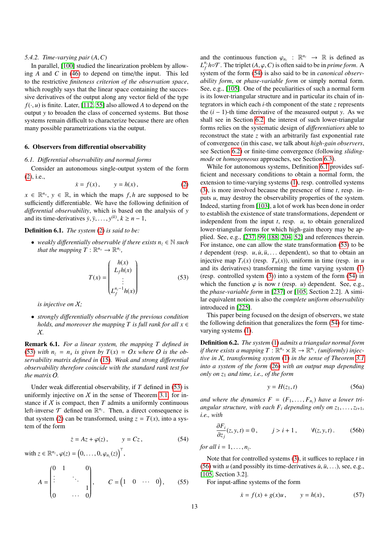## *5.4.2. Time-varying pair* (*A*,*C*)

In parallel, [100] studied the linearization problem by allowing *A* and *C* in (46) to depend on time/the input. This led to the restrictive *finiteness criterion of the observation space*, which roughly says that the linear space containing the successive derivatives of the output along any vector field of the type  $f(\cdot, u)$  is finite. Later, [112, 55] also allowed *A* to depend on the output *y* to broaden the class of concerned systems. But those systems remain difficult to characterize because there are often many possible parametrizations via the output.

## 6. Observers from differential observability

## *6.1. Di*ff*erential observability and normal forms*

Consider an autonomous single-output system of the form (2), i.e.,

$$
\dot{x} = f(x), \qquad y = h(x), \tag{2}
$$

 $x \in \mathbb{R}^{n_x}$ ,  $y \in \mathbb{R}$ , in which the maps *f*, *h* are supposed to be sufficiently differentiable. We have the following definition of sufficiently differentiable. We have the following definition of *di*ff*erential observability*, which is based on the analysis of *y* and its time-derivatives  $\dot{y}, \ddot{y}, \dots, y^{(k)}, k \ge n - 1$ ,

Definition 6.1. *The system* (2) *is said to be:*

• *weakly differentially observable if there exists*  $n_z \in \mathbb{N}$  *such that the mapping*  $T : \mathbb{R}^{n_x} \to \mathbb{R}^{n_z}$ ,

$$
T(x) = \begin{pmatrix} h(x) \\ L_f h(x) \\ \vdots \\ L_f^{n_z - 1} h(x) \end{pmatrix}
$$
 (53)

*is injective on* X*;*

• *strongly di*ff*erentially observable if the previous condition holds, and moreover the mapping T is full rank for all*  $x \in$ X*.*

Remark 6.1. *For a linear system, the mapping T defined in* (53) *with*  $n_z = n_x$  *is given by*  $T(x) = Ox$  *where O is the observability matrix defined in* (15)*. Weak and strong di*ff*erential observability therefore coincide with the standard rank test for the matrix* O*.*

Under weak differential observability, if *T* defined in (53) is uniformly injective on  $X$  in the sense of Theorem 3.1, for instance if  $X$  is compact, then  $T$  admits a uniformly continuous left-inverse  $\mathcal T$  defined on  $\mathbb R^{n_z}$ . Then, a direct consequence is that system (2) can be transformed, using  $z = T(x)$ , into a system of the form

$$
\dot{z} = Az + \varphi(z), \qquad y = Cz, \tag{54}
$$

with 
$$
z \in \mathbb{R}^{n_z}
$$
,  $\varphi(z) = (0, \ldots, 0, \varphi_{n_z}(z))^T$ ,

$$
A = \begin{pmatrix} 0 & 1 & & 0 \\ \vdots & & \ddots & \\ 0 & & & 1 \\ 0 & & & 0 \end{pmatrix}, \qquad C = \begin{pmatrix} 1 & 0 & \cdots & 0 \end{pmatrix}, \qquad (55)
$$

and the continuous function  $\varphi_{n_z} : \mathbb{R}^{n_z} \to \mathbb{R}$  is defined as  $I^{n_z}$  ho  $\mathcal{T}$ . The triplet  $(A, \varphi, C)$  is often said to be in *prime form*.  $L_f^n$ **h**☉T. The triplet  $(A, \varphi, C)$  is often said to be in *prime form*. A system of the form (54) is also said to be in *canonical observed* system of the form (54) is also said to be in *canonical observability form*, or *phase-variable form* or simply normal form. See, e.g., [105]. One of the peculiarities of such a normal form is its lower-triangular structure and in particular its chain of integrators in which each *i*-th component of the state *z* represents the (*i* − 1)-th time derivative of the measured output *y*. As we shall see in Section 6.2, the interest of such lower-triangular forms relies on the systematic design of *di*ff*erentiatiors* able to reconstruct the state *z* with an arbitrarily fast exponential rate of convergence (in this case, we talk about *high-gain observers*, see Section 6.2) or finite-time convergence (following *slidingmode* or *homogeneous* approaches, see Section 6.3).

While for autonomous systems, Definition 6.1 provides sufficient and necessary conditions to obtain a normal form, the extension to time-varying systems (1), resp. controlled systems (3), is more involved because the presence of time *t*, resp. inputs *u*, may destroy the observability properties of the system. Indeed, starting from [103], a lot of work has been done in order to establish the existence of state transformations, dependent or independent from the input *t*, resp. *u*, to obtain generalized lower-triangular forms for which high-gain theory may be applied. See, e.g., [237, 99, 188, 204, 52] and references therein. For instance, one can allow the state transformation (53) to be  $t$  dependent (resp.  $u, \dot{u}, \ddot{u}, \ldots$  dependent), so that to obtain an injective map  $T_t(x)$  (resp.  $T_u(x)$ ), uniform in time (resp. in *u* and its derivatives) transforming the time varying system (1) (resp. controlled system (3)) into a system of the form (54) in which the function  $\varphi$  is now *t* (resp. *u*) dependent. See, e.g., the *phase-variable form* in [237] or [105, Section 2.2]. A similar equivalent notion is also the *complete uniform observability* introduced in [225].

This paper being focused on the design of observers, we state the following definition that generalizes the form (54) for timevarying systems (1).

Definition 6.2. *The system* (1) *admits a triangular normal form if there exists a mapping*  $T : \mathbb{R}^{n_x} \times \mathbb{R} \to \mathbb{R}^{n_z}$ , *(uniformly) injective in* X*, transforming system* (1) *in the sense of Theorem 3.1 into a system of the form* (26) *with an output map depending only on z*<sup>1</sup> *and time, i.e., of the form*

$$
y = H(z_1, t) \tag{56a}
$$

*and where the dynamics F* <sup>=</sup> (*F*<sup>1</sup>, . . . , *<sup>F</sup><sup>n</sup><sup>z</sup>* ) *have a lower triangular structure, with each*  $F_i$  *depending only on*  $z_1, \ldots, z_{i+1}$ *, i.e., with*

$$
\frac{\partial F_i}{\partial z_j}(z, y, t) = 0, \qquad j > i + 1, \qquad \forall (z, y, t). \tag{56b}
$$

*for all*  $i = 1, \ldots, n_z$ .

Note that for controlled systems (3), it suffices to replace *t* in (56) with *u* (and possibly its time-derivatives  $\dot{u}, \ddot{u}, \ldots$ ), see, e.g., [105, Section 3.2].

For input-affine systems of the form

$$
\dot{x} = f(x) + g(x)u, \qquad y = h(x),
$$
 (57)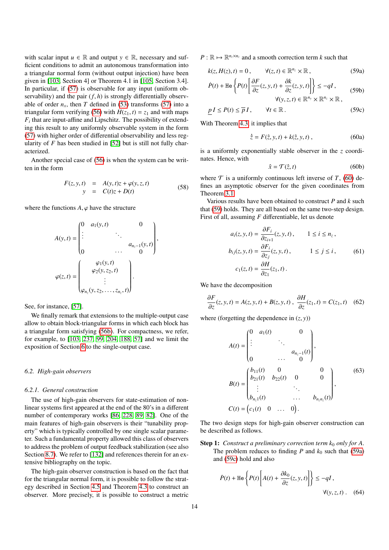with scalar input  $u \in \mathbb{R}$  and output  $y \in \mathbb{R}$ , necessary and sufficient conditions to admit an autonomous transformation into a triangular normal form (without output injection) have been given in [103, Section 4] or Theorem 4.1 in [105, Section 3.4]. In particular, if (57) is observable for any input (uniform observability) and the pair  $(f, h)$  is strongly differentially observable of order  $n_x$ , then *T* defined in (53) transforms (57) into a triangular form verifying (56) with  $H(z_1, t) = z_1$  and with maps  $F_i$  that are input-affine and Lipschitz. The possibility of extending this result to any uniformly observable system in the form (57) with higher order of differential observability and less regularity of *F* has been studied in [52] but is still not fully characterized.

Another special case of (56) is when the system can be written in the form

$$
F(z, y, t) = A(y, t)z + \varphi(y, z, t) \n y = C(t)z + D(t)
$$
\n(58)

where the functions  $A, \varphi$  have the structure

$$
A(y, t) = \begin{pmatrix} 0 & a_1(y, t) & 0 \\ \vdots & \ddots & \vdots \\ 0 & \cdots & 0 \end{pmatrix},
$$
  

$$
\varphi(z, t) = \begin{pmatrix} \varphi_1(y, t) \\ \varphi_2(y, z_2, t) \\ \vdots \\ \varphi_{n_z}(y, z_2, \dots, z_{n_z}, t) \end{pmatrix}.
$$

See, for instance, [57].

We finally remark that extensions to the multiple-output case allow to obtain block-triangular forms in which each block has a triangular form satisfying (56b). For compactness, we refer, for example, to [103, 237, 99, 204, 188, 57] and we limit the exposition of Section 6 to the single-output case.

#### *6.2. High-gain observers*

## *6.2.1. General construction*

The use of high-gain observers for state-estimation of nonlinear systems first appeared at the end of the 80's in a different number of contemporary works [86, 228, 89, 82]. One of the main features of high-gain observers is their "tunability property" which is typically controlled by one single scalar parameter. Such a fundamental property allowed this class of observers to address the problem of output feedback stabilization (see also Section 8.7). We refer to [132] and references therein for an extensive bibliography on the topic.

The high-gain observer construction is based on the fact that for the triangular normal form, it is possible to follow the strategy described in Section 4.5 and Theorem 4.3 to construct an observer. More precisely, it is possible to construct a metric

 $P: \mathbb{R} \mapsto \mathbb{R}^{n_z \times n_z}$  and a smooth correction term *k* such that

$$
k(z, H(z), t) = 0, \qquad \forall (z, t) \in \mathbb{R}^{n_z} \times \mathbb{R}, \tag{59a}
$$

$$
\dot{P}(t) + \text{He}\left\{P(t)\left[\frac{\partial F}{\partial z}(z, y, t) + \frac{\partial k}{\partial z}(z, y, t)\right]\right\} \le -qI,
$$
\n(59b)

$$
\forall (y, z, t) \in \mathbb{R}^{n_y} \times \mathbb{R}^{n_z} \times \mathbb{R},
$$
  

$$
\underline{p} I \le P(t) \le \overline{p} I, \qquad \forall t \in \mathbb{R}.
$$
 (59c)

With Theorem 4.3, it implies that

$$
\dot{\hat{z}} = F(\hat{z}, y, t) + k(\hat{z}, y, t) , \qquad (60a)
$$

is a uniformly exponentially stable observer in the *z* coordinates. Hence, with

$$
\hat{x} = \mathcal{T}(\hat{z}, t) \tag{60b}
$$

where  $\mathcal T$  is a uniformly continuous left inverse of  $T$ , (60) defines an asymptotic observer for the given coordinates from Theorem 3.1.

Various results have been obtained to construct *P* and *k* such that (59) holds. They are all based on the same two-step design. First of all, assuming *F* differentiable, let us denote

$$
a_i(z, y, t) = \frac{\partial F_i}{\partial z_{i+1}}(z, y, t), \qquad 1 \le i \le n_z,
$$
  
\n
$$
b_{ij}(z, y, t) = \frac{\partial F_i}{\partial z_j}(z, y, t), \qquad 1 \le j \le i,
$$
  
\n
$$
c_1(z, t) = \frac{\partial H}{\partial z_1}(z_1, t).
$$
  
\n(61)

We have the decomposition

$$
\frac{\partial F}{\partial z}(z, y, t) = A(z, y, t) + B(z, y, t), \quad \frac{\partial H}{\partial z}(z_1, t) = C(z_1, t) \quad (62)
$$

where (forgetting the dependence in  $(z, y)$ )

$$
A(t) = \begin{pmatrix} 0 & a_1(t) & 0 \\ \vdots & \ddots & \vdots \\ 0 & \cdots & 0 \end{pmatrix},
$$
  
\n
$$
B(t) = \begin{pmatrix} b_{11}(t) & 0 & 0 \\ b_{21}(t) & b_{22}(t) & 0 & 0 \\ \vdots & \ddots & \vdots \\ b_{n_z1}(t) & \cdots & b_{n_zn_z}(t) \end{pmatrix},
$$
  
\n
$$
C(t) = (c_1(t) \quad 0 \quad \cdots \quad 0).
$$
 (63)

The two design steps for high-gain observer construction can be described as follows.

Step 1: *Construct a preliminary correction term k*<sub>0</sub> *only for A*. The problem reduces to finding  $P$  and  $k_0$  such that (59a) and (59c) hold and also

$$
\dot{P}(t) + \text{He}\left\{P(t)\left[A(t) + \frac{\partial k_0}{\partial z}(z, y, t)\right]\right\} \le -qI,
$$
  

$$
\forall (y, z, t).
$$
 (64)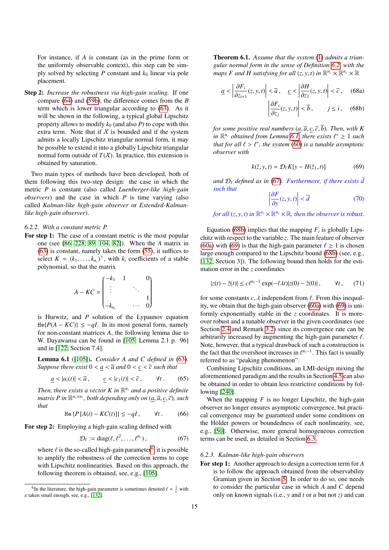For instance, if *A* is constant (as in the prime form or the uniformly observable context), this step can be simply solved by selecting  $P$  constant and  $k_0$  linear via pole placement.

Step 2: *Increase the robustness via high-gain scaling.* If one compare (64) and (59b), the difference comes from the *B* term which is lower triangular according to (63). As it will be shown in the following, a typical global Lipschitz property allows to modify  $k_0$  (and also  $P$ ) to cope with this extra term. Note that if  $X$  is bounded and if the system admits a locally Lipschitz triangular normal form, it may be possible to extend it into a globally Lipschitz triangular normal form outside of  $T(X)$ . In practice, this extension is obtained by saturation.

Two main types of methods have been developed, both of them following this two-step design: the case in which the metric *P* is constant (also called *Luenberger-like high-gain observers*) and the case in which *P* is time varying (also called *Kalman-like high-gain observer* or *Extended-Kalmanlike high-gain observer*).

## *6.2.2. With a constant metric P*

For step 1: The case of a constant metric is the most popular one (see [86, 228, 89, 104, 82]). When the *A* matrix in (63) is constant, namely takes the form (55), it suffices to select  $K = (k_1, \ldots, k_{n_z})^\top$ , with  $k_i$  coefficients of a stable<br>polynomial so that the matrix polynomial, so that the matrix

$$
A - KC = \begin{pmatrix} -k_1 & 1 & & 0 \\ \vdots & & \ddots & \\ -k_{n_z} & & \cdots & 0 \end{pmatrix}
$$

is Hurwitz, and *P* solution of the Lypaunov equation He{*P*( $A$  −  $KC$ )} ≤ −*qI*. In its most general form, namely for non-constant matrices *A*, the following lemma due to W. Dayawansa can be found in [105, Lemma 2.1 p. 96] and in [122, Section 7.4].

Lemma 6.1 ([105]). *Consider A and C defined in* (63)*. Suppose there exist*  $0 < a < \overline{a}$  and  $0 < c < \overline{c}$  such that

$$
\underline{a} < |a_i(t)| < \overline{a}, \qquad \underline{c} < |c_1(t)| < \overline{c}, \qquad \forall t. \tag{65}
$$

Then, there exists a vector  $K$  in  $\mathbb{R}^{n_z}$  and a positive definite *matrix P in*  $\mathbb{R}^{n_z \times n_z}$ *, both depending only on*  $(\underline{a}, \overline{a}, \underline{c}, \overline{c})$ *, such<br>that that*

$$
\text{He}\left\{P\left[A(t) - KC(t)\right]\right\} \le -qI, \qquad \forall t. \tag{66}
$$

For step 2: Employing a high-gain scaling defined with

$$
\mathcal{D}_{\ell} := \text{diag}(\ell, \ell^2, \dots, \ell^{n_z}), \tag{67}
$$

where  $\ell$  is the so-called high-gain parameter<sup>6</sup>, it is possible<br>to applify the robustness of the correction terms to cone to amplify the robustness of the correction terms to cope with Lipschitz nonlinearities. Based on this approach, the following theorem is obtained, see, e.g., [105].

Theorem 6.1. *Assume that the system* (1) *admits a triangular normal form in the sense of Definition 6.2, with the maps F and H satisfying for all*  $(z, y, t)$  *in*  $\mathbb{R}^{n_z} \times \mathbb{R}^{n_y} \times \mathbb{R}$ 

$$
\underline{a} < \left| \frac{\partial F_i}{\partial z_{i+1}}(z, y, t) \right| < \overline{a}, \quad \underline{c} < \left| \frac{\partial H}{\partial z_1}(z, y, t) \right| < \overline{c}, \quad \text{(68a)}
$$
\n
$$
\left| \frac{\partial F_i}{\partial z_j}(z, y, t) \right| < \overline{b}, \quad j \le i, \quad \text{(68b)}
$$

*for some positive real numbers*  $(a, \overline{a}, c, \overline{c}, \overline{b})$ *. Then, with K in*  $\mathbb{R}^{n_z}$  *obtained from Lemma 6.1, there exists*  $\ell^* \geq 1$  *such that for all*  $\ell > \ell^*$  *the system (60) is a tunable asymptotic that for all*  $\ell > \ell^*$ , *the system* (60) *is a tunable asymptotic*<br>*observer with observer with*

$$
k(\hat{z}, y, t) = \mathcal{D}_{\ell} K[y - H(\hat{z}_1, t)] \tag{69}
$$

*and*  $\mathcal{D}_\ell$  *defined as in* (67). *Furthermore, if there exists*  $\bar{d}$ *such that* 

> I ļ

$$
\left| \frac{\partial F}{\partial y}(z, y, t) \right| < \overline{d} \tag{70}
$$

*for all*  $(z, y, t)$  *in*  $\mathbb{R}^{n_z} \times \mathbb{R}^{n_y} \times \mathbb{R}$ *, then the observer is robust.* 

Equation (68b) implies that the mapping  $F_i$  is globally Lipschitz with respect to the variable *z*. The main feature of observer (60a) with (69) is that the high-gain parameter  $\ell \ge 1$  is chosen large enough compared to the Lipschitz bound (68b) (see, e.g., [132, Section 3]). The following bound then holds for the estimation error in the *z* coordinates

$$
|z(t) - \hat{z}(t)| \le c\ell^{n_z - 1} \exp(-\ell \lambda t) |z(0) - \hat{z}(0)|, \qquad \forall t, \qquad (71)
$$

for some constants  $c, \lambda$  independent from  $\ell$ . From this inequality, we obtain that the high-gain observer (60a) with (69) is uniformly exponentially stable in the *z* coordinates. It is moreover robust and a tunable observer in the given coordinates (see Section 2.4 and Remark 3.2) since its convergence rate can be arbitrarily increased by augmenting the high-gain parameter  $\ell$ . Note, however, that a typical drawback of such a construction is the fact that the overshoot increases in  $\ell^{n_z-1}$ . This fact is usually referred to as "peaking phenomenon" referred to as "peaking phenomenon".

Combining Lipschitz conditions, an LMI-design mixing the aforementioned paradigm and the results in Section 4.5 can also be obtained in order to obtain less restrictive conditions by following [240].

When the mapping  $F$  is no longer Lipschitz, the high-gain observer no longer ensures asymptotic convergence, but practical convergence may be guaranteed under some conditions on the Hölder powers or boundedness of each nonlinearity, see, e.g., [50]. Otherwise, more general homogeneous correction terms can be used, as detailed in Section 6.3.

#### *6.2.3. Kalman-like high-gain observers*

For step 1: Another approach to design a correction term for *A* is to follow the approach obtained from the observability Gramian given in Section 5. In order to do so, one needs to consider the particular case in which *A* and *C* depend only on known signals (i.e., *y* and *t* or *u* but not *z*) and can

<sup>&</sup>lt;sup>6</sup>In the literature, the high-gain parameter is sometimes denoted  $\ell = \frac{1}{\varepsilon}$  with ken small enough see e.g. [132]  $\varepsilon$  taken small enough, see, e.g., [132].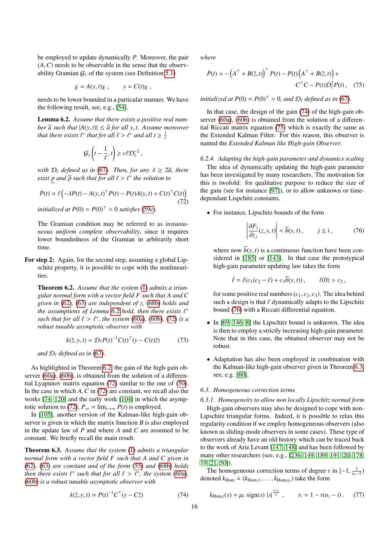be employed to update dynamically *P*. Moreover, the pair (*A*,*C*) needs to be observable in the sense that the observability Gramian  $G_y$  of the system (see Definition 5.1)

$$
\dot{\chi} = A(y, t)\chi \ , \qquad y = C(t)\chi \ ,
$$

needs to be lower bounded in a particular manner. We have the following result, see, e.g., [54].

Lemma 6.2. *Assume that there exists a positive real number*  $\overline{a}$  *such that*  $|A(y, t)| \leq \overline{a}$  *for all y, t. Assume moreover that there exists*  $\ell^*$  *that for all*  $\ell > \ell^*$  *and all*  $t \geq \frac{1}{\ell}$ 

$$
\mathcal{G}_y\left(t-\frac{1}{\ell},t\right) \geq c\ell \mathcal{D}_{\ell}^{-2},
$$

*with*  $D_{\ell}$  *defined as in* (67)*. Then, for any*  $\lambda \geq 2\overline{a}$ *, there*  $\overline{P}$  *exist*  $\underline{p}$  *and*  $\overline{p}$  *such that for all*  $\ell > \ell^*$  *the solution to* 

$$
\dot{P}(t) = \ell \left( -\lambda P(t) - A(y, t)^{\top} P(t) - P(t) A(y, t) + C(t)^{\top} C(t) \right)
$$
\n
$$
\text{(72)}
$$

*initialized at*  $P(0) = P(0)^{T} > 0$  *satisfies* (59c).

The Gramian condition may be referred to as *instantaneous uniform complete observability*, since it requires lower boundedness of the Gramian in arbitrarily short time.

For step 2: Again, for the second step, assuming a global Lipschitz property, it is possible to cope with the nonlinearities.

Theorem 6.2. *Assume that the system* (1) *admits a triangular normal form with a vector field F such that A and C given in* (62)*,* (63) *are independent of z,* (68b) *holds and the assumptions of Lemma* 6.2 *hold, then there exists*  $\ell^*$ <br>*such that for all*  $\ell > \ell^*$  *the system (60a) (60b) (72) is a such that for all*  $\ell > \ell^*$ *, the system* (60a)*,* (60b)*,* (72*) is a robust tunable asymptotic observer with robust tunable asymptotic observer with*

$$
k(\hat{z}, y, t) = \mathcal{D}_{\ell} P(t)^{-1} C(t)^{\top} (y - C(t)\hat{z})
$$
 (73)

*and*  $D_{\ell}$  *defined as in* (67)*.* 

As highlighted in Theorem 6.2, the gain of the high-gain observer (60a), (60b), is obtained from the solution of a differential Lyapunov matrix equation (72) similar to the one of (50). In the case in which *<sup>A</sup>*,*<sup>C</sup>* in (72) are constant, we recall also the works [74, 120] and the early work [104] in which the asymptotic solution to (72),  $P_{\infty} = \lim_{t \to \infty} P(t)$  is employed.

In [105], another version of the Kalman-like high-gain observer is given in which the matrix function *B* is also employed in the update law of *P* and where *A* and *C* are assumed to be constant. We briefly recall the main result.

Theorem 6.3. *Assume that the system* (1) *admits a triangular normal form with a vector field F such that A and C given in* (62)*,* (63) *are constant and of the form* (55) *and* (68b) *holds then there exists*  $\ell^*$  *such that for all*  $\ell > \ell^*$ *, the system* (60a)*,*  $(60b)$  *is a robust tunable asymptotic observer with* (60b) *is a robust tunable asymptotic observer with*

$$
k(\hat{z}, y, t) = P(t)^{-1} C^{T} (y - C\hat{z})
$$
 (74)

*where*

$$
\dot{P}(t) = -\left(A^{\top} + B(\hat{z}, t)\right)^{\top} P(t) - P(t)\left(A^{\top} + B(\hat{z}, t)\right) + C^{\top}C - P(t)\mathcal{D}_{\ell}^{2} P(t), \quad (75)
$$

*initialized at*  $P(0) = P(0)^T > 0$ *, and*  $\mathcal{D}_\ell$  *defined as in* (67)*.* 

In that case, the design of the gain (74) of the high-gain observer (60a), (60b) is obtained from the solution of a differential Riccati matrix equation (75) which is exactly the same as the Extended Kalman Filter. For this reason, this observer is named the *Extended Kalman like High-gain Observer*.

#### *6.2.4. Adapting the high-gain parameter and dynamics scaling*

The idea of dynamically updating the high-gain parameter has been investigated by many researchers. The motivation for this is twofold: for qualitative purpose to reduce the size of the gain (see for instance [97]), or to allow unknown or timedependant Lispchitz constants.

• For instance, Lipschitz bounds of the form

$$
\left| \frac{\partial F_i}{\partial z_j}(z, y, t) \right| < \overline{b}(y, t), \qquad j \le i \,, \tag{76}
$$

where now  $\overline{b}(y, t)$  is a continuous function have been considered in [185] or [143]. In that case the prototypical high-gain parameter updating law takes the form

$$
\dot{\ell} = \ell(c_1(c_2 - \ell) + c_3\bar{b}(y, t)), \qquad \ell(0) > c_2,
$$

for some positive real numbers  $(c_1, c_2, c_3)$ . The idea behind such a design is that  $\ell$  dynamically adapts to the Lipschitz bound (76) with a Riccati differential equation.

- In [69, 146, 8] the Lipschitz bound is unknown. The idea is then to employ a strictly increasing high-gain parameter. Note that in this case, the obtained observer may not be robust.
- Adaptation has also been employed in combination with the Kalman-like high-gain observer given in Theorem 6.3, see, e.g. [60].

## *6.3. Homogeneous correction terms*

*6.3.1. Homogeneity to allow non locally Lipschitz normal form*

High-gain observers may also be designed to cope with non-Lipschitz triangular forms. Indeed, it is possible to relax this regularity condition if we employ homogeneous observers (also known as sliding-mode observers in some cases). These type of observers already have an old history which can be traced back to the work of Arie Levant [147, 148] and has been followed by many other researchers (see, e.g., [236, 149, 189, 191, 20, 178, 19, 21, 50]).

The homogeneous correction terms of degree r in  $[-1, \frac{1}{n_z-1})$ denoted  $k_{\text{Hom}} = (k_{\text{Hom},1}, \ldots, k_{\text{Hom},n_z})$  take the form

$$
k_{\text{Hom},i}(s) = \mu_i \, \text{sign}(s) \, |s|^{\frac{r_{i+1}}{r_1}}, \qquad r_i = 1 - \text{r}(n_z - i). \tag{77}
$$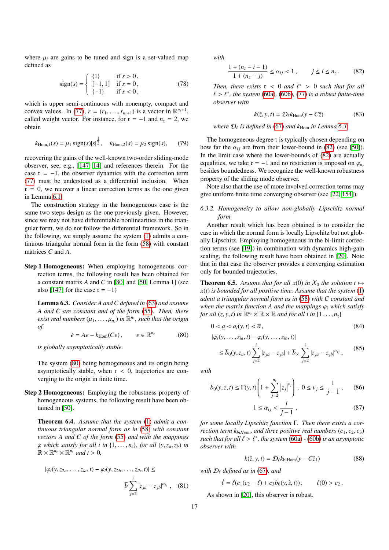where  $\mu_i$  are gains to be tuned and sign is a set-valued map defined as

sign(s) =   
\n
$$
\begin{cases}\n\{1\} & \text{if } s > 0, \\
[-1, 1] & \text{if } s = 0, \\
\{-1\} & \text{if } s < 0,\n\end{cases}
$$
\n(78)

which is upper semi-continuous with nonempty, compact and convex values. In (77),  $r = (r_1, \ldots, r_{n_z+1})$  is a vector in  $\mathbb{R}^{n_z+1}$ , called weight vector. For instance, for  $r = -1$  and  $n_z = 2$ , we called weight vector. For instance, for  $r = -1$  and  $n<sub>z</sub> = 2$ , we obtain

$$
k_{\text{Hom},1}(s) = \mu_1 \text{ sign}(s) |s|^{\frac{1}{2}}, \quad k_{\text{Hom},2}(s) = \mu_2 \text{ sign}(s), \quad (79)
$$

recovering the gains of the well-known two-order sliding-mode observer, see, e.g., [147, 14] and references therein. For the case  $r = -1$ , the observer dynamics with the correction term (77) must be understood as a differential inclusion. When  $r = 0$ , we recover a linear correction terms as the one given in Lemma 6.1.

The construction strategy in the homogeneous case is the same two steps design as the one previously given. However, since we may not have differentiable nonlinearities in the triangular form, we do not follow the differential framework. So in the following, we simply assume the system (1) admits a continuous triangular normal form in the form (58) with constant matrices *C* and *A*.

Step 1 Homogeneous: When employing homogeneous correction terms, the following result has been obtained for a constant matrix *A* and *C* in [80] and [50, Lemma 1] (see also [147] for the case  $r = -1$ )

Lemma 6.3. *Consider A and C defined in* (63) *and assume A and C are constant and of the form* (55)*. Then, there*  $e$ *xist real numbers* ( $\mu_1, \ldots, \mu_{n_z}$ ) *in*  $\mathbb{R}^{n_z}$ *, such that the origin of of*

$$
\dot{e} = Ae - k_{\text{Hom}}(Ce), \qquad e \in \mathbb{R}^{n_z} \tag{80}
$$

*is globally asymptotically stable.*

The system (80) being homogeneous and its origin being asymptotically stable, when  $r < 0$ , trajectories are converging to the origin in finite time.

Step 2 Homogeneous: Employing the robustness property of homogeneous systems, the following result have been obtained in [50].

Theorem 6.4. *Assume that the system* (1) *admit a continuous triangular normal form as in* (58) *with constant vectors A and C of the form* (55) *and with the mappings*  $\varphi$  which satisfy for all *i* in  $\{1, \ldots, n_z\}$ , for all  $(y, z_a, z_b)$  in  $\mathbb{R} \times \mathbb{R}^{n_z} \times \mathbb{R}^{n_z}$  and  $t > 0$ ,

$$
|\varphi_i(y,z_{2a},\ldots,z_{ia},t)-\varphi_i(y,z_{2b},\ldots,z_{ib},t)|\leq
$$

$$
\overline{b}\sum_{j=2}^{i}|z_{ja}-z_{jb}|^{\alpha_{ij}}\,,\quad (81)
$$

*with*

$$
\frac{1 + (n_z - i - 1)}{1 + (n_z - j)} \le \alpha_{ij} < 1, \qquad j \le i \le n_z. \tag{82}
$$

*Then, there exists*  $r < 0$  *and*  $\ell^* > 0$  *such that for all*  $\ell > \ell^*$  *the system (60a) (60b) (77) is a robust finite-time*  $\ell > \ell^*$ , the system (60a), (60b), (77) *is a robust finite-time*<br>*observer with observer with*

$$
k(\hat{z}, y, t) = \mathcal{D}_{\ell} k_{\text{Hom}}(y - C\hat{z})
$$
 (83)

where  $\mathcal{D}_\ell$  is defined in (67) and  $k_{\text{Hom}}$  in Lemma 6.3.

The homogeneous degree r is typically chosen depending on how far the  $\alpha_{ij}$  are from their lower-bound in (82) (see [50]). In the limit case where the lower-bounds of (82) are actually equalities, we take  $r = -1$  and no restriction is imposed on  $\varphi$ <sub>*nz*</sub> besides boundedness. We recognize the well-known robustness property of the sliding mode observer.

Note also that the use of more involved correction terms may give uniform finite time converging observer (see [22, 154]).

## *6.3.2. Homogeneity to allow non-globally Lipschitz normal form*

Another result which has been obtained is to consider the case in which the normal form is locally Lipschitz but not globally Lipschitz. Employing homogeneous in the bi-limit correction terms (see [19]) in combination with dynamics high-gain scaling, the following result have been obtained in [20]. Note that in that case the observer provides a converging estimation only for bounded trajectories.

**Theorem 6.5.** Assume that for all  $x(0)$  in  $X_0$  the solution  $t \mapsto$ *x*(*t*) *is bounded for all positive time. Assume that the system* (1) *admit a triangular normal form as in* (58) *with C constant and when the matrix function A and the mappings*  $\varphi_i$  *which satisfy for all*  $(z, y, t)$  *in*  $\mathbb{R}^{n_z} \times \mathbb{R} \times \mathbb{R}$  *and for all i in*  $\{1 \dots, n_z\}$ 

$$
0 < \underline{a} < a_i(y, t) < \overline{a},\tag{84}
$$

$$
|\varphi_i(y, \dots, z_{ia}, t) - \varphi_i(y, \dots, z_{ib}, t)|
$$
  
\n
$$
\leq \overline{b}_0(y, z_a, t) \sum_{j=2}^i |z_{ja} - z_{jb}| + \overline{b}_\infty \sum_{j=2}^i |z_{ja} - z_{jb}|^{\alpha_{ij}},
$$
\n(85)

*with*

$$
\overline{b}_0(y, z, t) \le \Gamma(y, t) \left(1 + \sum_{j=2}^{n_z} |z_j|^{v_j}\right), 0 \le v_j \le \frac{1}{j-1},
$$
 (86)

$$
1 \le \alpha_{ij} < \frac{i}{j-1} \,,\tag{87}
$$

*for some locally Lipschitz function* Γ*. Then there exists a correction term*  $k_{biHomo}$  *and three positive real numbers*  $(c_1, c_2, c_3)$ *such that for all*  $\ell > \ell^*$ , *the system* (60a) *-* (60b) *is an asymptotic observer with observer with*

$$
k(\hat{z}, y, t) = \mathcal{D}_{\ell} k_{\text{bilHom}}(y - C\hat{z}_1)
$$
 (88)

*with*  $D_f$  *defined as in* (67)*, and* 

$$
\dot{\ell} = \ell(c_1(c_2 - \ell) + c_3\bar{b}_0(y, \hat{z}, t)), \qquad \ell(0) > c_2.
$$

As shown in [20], this observer is robust.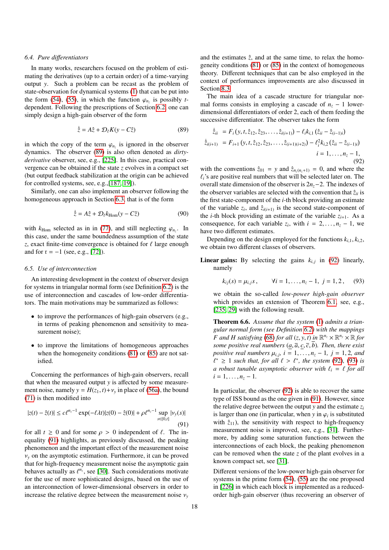#### *6.4. Pure di*ff*erentiators*

In many works, researchers focused on the problem of estimating the derivatives (up to a certain order) of a time-varying output *y*. Such a problem can be recast as the problem of state-observation for dynamical systems (1) that can be put into the form (54), (55), in which the function  $\varphi_{n_z}$  is possibly *t*-<br>dependent. Following the prescriptions of Section 6.2, one can dependent. Following the prescriptions of Section 6.2, one can simply design a high-gain observer of the form

$$
\dot{\hat{z}} = A\hat{z} + \mathcal{D}_{\ell}K(y - C\hat{z})\tag{89}
$$

in which the copy of the term  $\varphi_{n_z}$  is ignored in the observer<br>dynamics. The observer (89) is also often denoted as *dirty*dynamics. The observer (89) is also often denoted as *dirtyderivative* observer, see, e.g., [225]. In this case, practical convergence can be obtained if the state *z* evolves in a compact set (but output feedback stabilization at the origin can be achieved for controlled systems, see, e.g.,[187, 19]).

Similarly, one can also implement an observer following the homogeneous approach in Section 6.3, that is of the form

$$
\dot{\hat{z}} = A\hat{z} + \mathcal{D}_{\ell}k_{\text{Hom}}(y - C\hat{z})
$$
\n(90)

with  $k_{\text{Hom}}$  selected as in in (77), and still neglecting  $\varphi_{n_z}$ . In this case, under the same boundedness assumption of the state this case, under the same boundedness assumption of the state *z*, exact finite-time convergence is obtained for  $\ell$  large enough and for  $r = -1$  (see, e.g., [72]).

### *6.5. Use of interconnection*

An interesting development in the context of observer design for systems in triangular normal form (see Definition 6.2) is the use of interconnection and cascades of low-order differentiators. The main motivations may be summarized as follows:

- to improve the performances of high-gain observers (e.g., in terms of peaking phenomenon and sensitivity to measurement noise);
- to improve the limitations of homogeneous approaches when the homogeneity conditions  $(81)$  or  $(85)$  are not satisfied.

Concerning the performances of high-gain observers, recall that when the measured output *y* is affected by some measurement noise, namely  $y = H(z_1, t) + v_y$  in place of (56a), the bound (71) is then modified into

$$
|z(t) - \hat{z}(t)| \le c\ell^{n_z - 1} \exp(-\ell \lambda t) |z(0) - \hat{z}(0)| + \rho \ell^{n_z - 1} \sup_{s \in [0, t]} |v_y(s)|
$$
\n(91)

for all  $t \ge 0$  and for some  $\rho > 0$  independent of  $\ell$ . The inequality (91) highlights, as previously discussed, the peaking phenomenon and the important effect of the measurement noise  $v<sub>v</sub>$  on the asymptotic estimation. Furthermore, it can be proved that for high-frequency measurement noise the asymptotic gain behaves actually as  $\ell^{n_z}$ , see [30]. Such considerations motivate<br>for the use of more sophisticated designs, based on the use of for the use of more sophisticated designs, based on the use of an interconnection of lower-dimensional observers in order to increase the relative degree between the measurement noise  $v_y$ 

and the estimates  $\hat{z}$ , and at the same time, to relax the homogeneity conditions (81) or (85) in the context of homogeneous theory. Different techniques that can be also employed in the context of performances improvements are also discussed in Section 8.3.

The main idea of a cascade structure for triangular normal forms consists in employing a cascade of  $n<sub>z</sub> - 1$  lowerdimensional differentiators of order 2, each of them feeding the successive differentiator. The observer takes the form

$$
\begin{aligned}\n\dot{\hat{z}}_{ii} &= F_i(y, t, \hat{z}_{12}, \hat{z}_{23}, \dots, \hat{z}_{i(i+1)}) - \ell_i k_{i,1} \left( \hat{z}_{ii} - \hat{z}_{(i-1)i} \right) \\
\dot{\hat{z}}_{i(i+1)} &= F_{i+1}(y, t, \hat{z}_{12}, \hat{z}_{23}, \dots, \hat{z}_{(i+1)(i+2)}) - \ell_i^2 k_{i,2} \left( \hat{z}_{ii} - \hat{z}_{(i-1)i} \right) \\
i &= 1, \dots, n_z - 1,\n\end{aligned}
$$
\n(92)

with the conventions  $\hat{z}_{01} = y$  and  $\hat{z}_{n}(n+1) = 0$ , and where the  $\ell_i$ 's are positive real numbers that will be selected later on. The overall state dimension of the observer is 2*nz*−2. The indexes of the observer variables are selected with the convention that  $\hat{z}_{ii}$  is the first state-component of the *i*-th block providing an estimate of the variable  $z_i$ , and  $\hat{z}_{i(i+1)}$  is the second state-component of the *i*-th block providing an estimate of the variable  $z_{i+1}$ . As a consequence, for each variable  $z_i$ , with  $i = 2, ..., n_z - 1$ , we have two different estimates have two different estimates.

Depending on the design employed for the functions  $k_{i,1}, k_{i,2}$ , we obtain two different classes of observers.

**Linear gains:** By selecting the gains  $k_{i,j}$  in (92) linearly, namely

$$
k_{ij}(s) = \mu_{i,j}s
$$
,  $\forall i = 1,...,n_z - 1, j = 1,2,$  (93)

we obtain the so-called *low-power high-gain observer* which provides an extension of Theorem 6.1, see, e.g., [235, 29] with the following result.

Theorem 6.6. *Assume that the system* (1) *admits a triangular normal form (see Definition 6.2) with the mappings F* and *H* satisfying (68) *for all* (*z*, *y*, *t*) *in*  $\mathbb{R}^{n_z} \times \mathbb{R}^{n_y} \times \mathbb{R}$  *for some nositive real numbers (a*  $\overline{a}$ *,*  $\overline{c}$ *,*  $\overline{b}$ *). Then there exist some positive real numbers*  $(a, \overline{a}, \underline{c}, \overline{c}, \overline{b})$ *. Then, there exist positive real numbers*  $\mu_{i,j}$ ,  $i = 1, ..., n_z - 1$ ,  $j = 1, 2$ , and  $f^* > 1$  such that, for all  $f \ge f^*$ , the system (92), (93) is *a robust tunable asymptotic observer with*  $\ell_i = \ell$  for all  $i-1$   $\ldots$   $\ldots$   $\ldots$  $*$  ≥ 1 *such that, for all*  $\ell > \ell^*$ *, the system* (92)*,* (93) *is the system* (92)*,* (93) *is*  $i = 1, \ldots, n_z - 1$ .

In particular, the observer (92) is able to recover the same type of ISS bound as the one given in (91). However, since the relative degree between the output  $y$  and the estimate  $z_i$ is larger than one (in particular, when *y* in  $\varphi_i$  is substituted<br>with  $\hat{z}_{i+1}$  the sensitivity with respect to high-frequency with  $\hat{z}_{11}$ ), the sensitivity with respect to high-frequency measurement noise is improved, see, e.g., [31]. Furthermore, by adding some saturation functions between the interconnections of each block, the peaking phenomenon can be removed when the state *z* of the plant evolves in a known compact set, see [31].

Different versions of the low-power high-gain observer for systems in the prime form (54), (55) are the one proposed in [226] in which each block is implemented as a reducedorder high-gain observer (thus recovering an observer of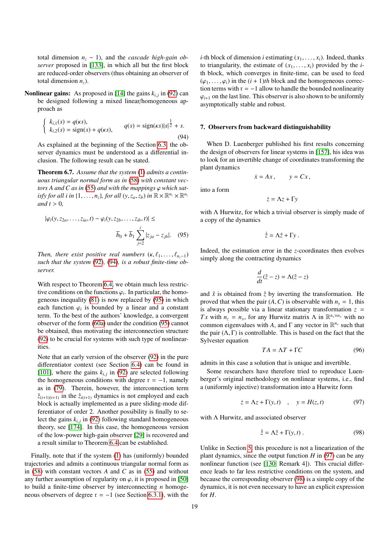total dimension  $n_z - 1$ ), and the *cascade high-gain observer* proposed in [133], in which all but the first block are reduced-order observers (thus obtaining an observer of total dimension  $n<sub>z</sub>$ ).

## **Nonlinear gains:** As proposed in [14] the gains  $k_{i,j}$  in (92) can be designed following a mixed linear/homogeneous approach as

$$
\begin{cases}\nk_{i,1}(s) = q(\kappa s), \\
k_{i,2}(s) = \text{sign}(s) + q(\kappa s),\n\end{cases}\nq(s) = \text{sign}(\kappa s)|s|^{\frac{1}{2}} + s.
$$
\n(94)

As explained at the beginning of the Section 6.3, the observer dynamics must be understood as a differential inclusion. The following result can be stated.

Theorem 6.7. *Assume that the system* (1) *admits a continuous triangular normal form as in* (58) *with constant vectors A and C as in* (55) *and with the mappings*  $\varphi$  *which satisfy for all i in*  $\{1, \ldots, n_z\}$ *, for all*  $(y, z_a, z_b)$  *in*  $\mathbb{R} \times \mathbb{R}^{n_z} \times \mathbb{R}^{n_z}$ <br>*and*  $t > 0$ *and*  $t > 0$ ,

$$
|\varphi_i(y, z_{2a}, \dots, z_{ia}, t) - \varphi_i(y, z_{2b}, \dots, z_{ib}, t)| \le
$$

$$
\overline{b}_0 + \overline{b}_1 \sum_{j=2}^i |z_{ja} - z_{jb}|. \quad (95)
$$

*Then, there exist positive real numbers*  $(\kappa, \ell_1, \ldots, \ell_{n-1})$ *such that the system* (92)*,* (94)*, is a robust finite-time observer.*

With respect to Theorem 6.4, we obtain much less restrictive conditions on the functions  $\varphi_i$ . In particular, the homo-<br>geneous inequality (81) is now replaced by (95) in which geneous inequality (81) is now replaced by (95) in which each function  $\varphi_i$  is bounded by a linear and a constant<br>term. To the hest of the authors' knowledge, a convergent term. To the best of the authors' knowledge, a convergent observer of the form (60a) under the condition (95) cannot be obtained, thus motivating the interconnection structure (92) to be crucial for systems with such type of nonlinearities.

Note that an early version of the observer (92) in the pure differentiator context (see Section 6.4) can be found in [101], where the gains  $k_{i,j}$  in (92) are selected following<br>the homogeneous conditions with domes  $r = -1$  namely the homogeneous conditions with degree  $r = -1$ , namely as in (79). Therein, however, the interconnection term  $\hat{z}_{(i+1)(i+1)}$  in the  $\hat{z}_{i(i+1)}$  dynamics is not employed and each block is actually implemented as a pure sliding-mode differentiator of order 2. Another possibility is finally to select the gains  $k_{i,j}$  in (92) following standard homogeneous<br>theory as  $[174]$ . In this asse, the homogeneous varian theory, see [174]. In this case, the homogeneous version of the low-power high-gain observer [29] is recovered and a result similar to Theorem 6.4 can be established.

Finally, note that if the system (1) has (uniformly) bounded trajectories and admits a continuous triangular normal form as in (58) with constant vectors *A* and *C* as in (55) and without any further assumption of regularity on  $\varphi$ , it is proposed in [50] to build a finite-time observer by interconnecting *n* homogeneous observers of degree  $r = -1$  (see Section 6.3.1), with the

*i*-th block of dimension *i* estimating  $(x_1, \ldots, x_i)$ . Indeed, thanks to triangularity, the estimate of  $(x_1, \ldots, x_i)$  provided by the *i*th block, which converges in finite-time, can be used to feed  $(\varphi_1, \ldots, \varphi_i)$  in the  $(i + 1)$ *th* block and the homogeneous correction terms with  $r = -1$  allow to handle the bounded nonlinearity  $\varphi_{i+1}$  on the last line. This observer is also shown to be uniformly asymptotically stable and robust.

### 7. Observers from backward distinguishability

When D. Luenberger published his first results concerning the design of observers for linear systems in [157], his idea was to look for an invertible change of coordinates transforming the plant dynamics

$$
\dot{x} = Ax, \qquad y = Cx,
$$

into a form

$$
\dot{z} = \Lambda z + \Gamma y
$$

with Λ Hurwitz, for which a trivial observer is simply made of a copy of the dynamics

$$
\dot{\hat{z}} = \Lambda \hat{z} + \Gamma y \; .
$$

Indeed, the estimation error in the *z*-coordinates then evolves simply along the contracting dynamics

$$
\frac{d}{dt}(\hat{z}-z) = \Lambda(\hat{z}-z)
$$

and  $\hat{x}$  is obtained from  $\hat{z}$  by inverting the transformation. He proved that when the pair  $(A, C)$  is observable with  $n<sub>y</sub> = 1$ , this is always possible via a linear stationary transformation  $z =$ *Tx* with  $n_z = n_x$ , for any Hurwitz matrix  $\Lambda$  in  $\mathbb{R}^{n_x \times n_x}$  with no common eigenvalues with *A*, and  $\Gamma$  any vector in  $\mathbb{R}^{n_x}$  such that the pair  $(\Lambda, \Gamma)$  is controllable. This is based on the fact that the Sylvester equation

$$
TA = \Lambda T + \Gamma C \tag{96}
$$

admits in this case a solution that is unique and invertible.

Some researchers have therefore tried to reproduce Luenberger's original methodology on nonlinear systems, i.e., find a (uniformly injective) transformation into a Hurwitz form

$$
\dot{z} = \Lambda z + \Gamma(y, t) \quad , \quad y = H(z, t) \tag{97}
$$

with Λ Hurwitz, and associated observer

$$
\dot{\hat{z}} = \Lambda \hat{z} + \Gamma(y, t) . \tag{98}
$$

Unlike in Section 5, this procedure is not a linearization of the plant dynamics, since the output function *H* in (97) can be any nonlinear function (see [130, Remark 4]). This crucial difference leads to far less restrictive conditions on the system, and because the corresponding observer (98) is a simple copy of the dynamics, it is not even necessary to have an explicit expression for *H*.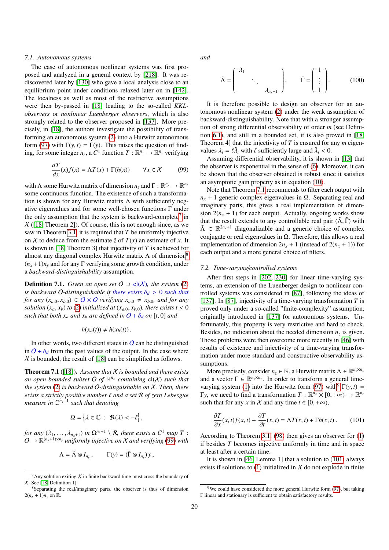#### *7.1. Autonomous systems*

The case of autonomous nonlinear systems was first proposed and analyzed in a general context by [218]. It was rediscovered later by [130] who gave a local analysis close to an equilibrium point under conditions relaxed later on in [142]. The localness as well as most of the restrictive assumptions were then by-passed in [18] leading to the so-called *KKLobservers* or *nonlinear Luenberger observers*, which is also strongly related to the observer proposed in [137]. More precisely, in [18], the authors investigate the possibility of transforming an autonomous system (2) into a Hurwitz autonomous form (97) with  $\Gamma(y, t) = \Gamma(y)$ . This raises the question of finding, for some integer  $n_z$ , a  $C^1$  function  $T : \mathbb{R}^{n_x} \to \mathbb{R}^{n_z}$  verifying

$$
\frac{dT}{dx}(x)f(x) = \Lambda T(x) + \Gamma(h(x)) \qquad \forall x \in \mathcal{X} \tag{99}
$$

with  $\Lambda$  some Hurwitz matrix of dimension  $n_z$  and  $\Gamma : \mathbb{R}^{n_y} \to \mathbb{R}^{n_z}$ some continuous function. The existence of such a transformation is shown for any Hurwitz matrix  $\Lambda$  with sufficiently negative eigenvalues and for some well-chosen functions Γ under the only assumption that the system is backward-complete<sup>7</sup> in  $X$  ([18, Theorem 2]). Of course, this is not enough since, as we saw in Theorem 3.1, it is required that *T* be uniformly injective on X to deduce from the estimate  $\hat{z}$  of  $T(x)$  an estimate of x. It is shown in [18, Theorem 3] that injectivity of *T* is achieved for almost any diagonal complex Hurwitz matrix  $\Lambda$  of dimension<sup>8</sup>  $(n_x+1)n_y$  and for any  $\Gamma$  verifying some growth condition, under a *backward-distinguishability* assumption.

**Definition 7.1.** *Given an open set*  $O \supset cl(X)$ *, the system* (2) *is backward O-distinguishable if there exists*  $\delta_d > 0$  *such that for any*  $(x_{a,0}, x_{b,0}) \in O \times O$  *verifying*  $x_{a,0} \neq x_{b,0}$ *, and for any solution*  $(x_a, x_b)$  *to* (2) *initialized at*  $(x_{a,0}, x_{b,0})$ *, there exists t* < 0 *such that both*  $x_a$  *and*  $x_b$  *are defined in*  $\overline{O} + \delta_d$  *on* [*t*, 0] *and* 

$$
h(x_a(t)) \neq h(x_b(t)).
$$

In other words, two different states in  $\overline{O}$  can be distinguished in  $\overline{O} + \delta_d$  from the past values of the output. In the case where  $\chi$  is bounded, the result of [18] can be simplified as follows.

Theorem 7.1 ([18]). *Assume that* X *is bounded and there exists* an open bounded subset O of  $\mathbb{R}^{n_x}$  containing  $cl(X)$  such that *the system* (2) *is backward* O*-distinguishable on* X*. Then, there exists a strictly positive number*  $\ell$  *and a set*  $\mathcal R$  *of zero Lebesgue* measure in  $\mathbb{C}^{n_x+1}$  such that denoting

$$
\Omega = \left\{ \lambda \in \mathbb{C} : \ \Re(\lambda) < -\ell \right\},\
$$

*for any*  $(\lambda_1, ..., \lambda_{n_x+1})$  *in*  $\Omega^{n_x+1} \setminus \mathcal{R}$ *, there exists a*  $C^1$  *map*  $T$  :<br> $\Omega \rightarrow \mathbb{R}^{(n_x+1)\times n_y}$  uniformly injective on X and verifying (99) with  $O \rightarrow \mathbb{R}^{(n_x+1)\times n_y}$  *uniformly injective on* X *and verifying* (99) *with* 

$$
\Lambda = \tilde{\Lambda} \otimes I_{n_y}, \qquad \Gamma(y) = (\tilde{\Gamma} \otimes I_{n_y}) y,
$$

*and*

$$
\tilde{\Lambda} = \begin{pmatrix} \lambda_1 & & \\ & \ddots & \\ & & \lambda_{n_x+1} \end{pmatrix}, \qquad \tilde{\Gamma} = \begin{pmatrix} 1 \\ \vdots \\ 1 \end{pmatrix}.
$$
 (100)

It is therefore possible to design an observer for an autonomous nonlinear system (2) under the weak assumption of backward-distinguishability. Note that with a stronger assumption of strong differential observability of order *m* (see Definition 6.1), and still in a bounded set, it is also proved in [18, Theorem 4] that the injectivity of *T* is ensured for any *m* eigenvalues  $\lambda_i = \ell \tilde{\lambda}_i$  with  $\ell$  sufficiently large and  $\tilde{\lambda}_i < 0$ .<br>A ssuming differential observability it is shown

Assuming differential observability, it is shown in [13] that the observer is exponential in the sense of (6). Moreover, it can be shown that the observer obtained is robust since it satisfies an asymptotic gain property as in equation (10).

Note that Theorem 7.1 recommends to filter each output with  $n<sub>x</sub> + 1$  generic complex eigenvalues in  $\Omega$ . Separating real and imaginary parts, this gives a real implementation of dimension  $2(n<sub>x</sub> + 1)$  for each output. Actually, ongoing works show that the result extends to any controllable real pair  $(\tilde{\Lambda}, \tilde{\Gamma})$  with  $\tilde{\Lambda} \in \mathbb{R}^{2n_x+1}$  diagonalizable and a generic choice of complex conjugate or real eigenvalues in  $\Omega$ . Therefore, this allows a real implementation of dimension  $2n_x + 1$  (instead of  $2(n_x + 1)$ ) for each output and a more general choice of filters.

## *7.2. Time-varying*/*controlled systems*

After first steps in [202, 230] for linear time-varying systems, an extension of the Luenberger design to nonlinear controlled systems was considered in [87], following the ideas of [137]. In [87], injectivity of a time-varying transformation *T* is proved only under a so-called "finite-complexity" assumption, originally introduced in [137] for autonomous systems. Unfortunately, this property is very restrictive and hard to check. Besides, no indication about the needed dimension  $n<sub>z</sub>$  is given. Those problems were then overcome more recently in [46] with results of existence and injectivity of a time-varying transformation under more standard and constructive observability assumptions.

More precisely, consider  $n_z \in \mathbb{N}$ , a Hurwitz matrix  $\Lambda \in \mathbb{R}^{n_z \times n_z}$ and a vector  $\Gamma \in \mathbb{R}^{n_z \times n_y}$ . In order to transform a general timevarying system (1) into the Hurwitz form (97) with<sup>9</sup>  $\Gamma(y, t)$  = *Γy*, we need to find a transformation *T* :  $\mathbb{R}^{n_x} \times [0, +\infty) \rightarrow \mathbb{R}^{n_x}$ <br>such that for any *x* in *X* and any time *t* ∈ [0, +∞) such that for any *x* in *X* and any time  $t \in [0, +\infty)$ ,

$$
\frac{\partial T}{\partial x}(x,t)f(x,t) + \frac{\partial T}{\partial t}(x,t) = \Lambda T(x,t) + \Gamma h(x,t) \,. \tag{101}
$$

According to Theorem 3.1, (98) then gives an observer for (1) if besides *T* becomes injective uniformly in time and in space at least after a certain time.

It is shown in [46, Lemma 1] that a solution to (101) always exists if solutions to (1) initialized in  $X$  do not explode in finite

<sup>&</sup>lt;sup>7</sup>Any solution exiting  $\chi$  in finite backward time must cross the boundary of  $X.$  See [18, Definition 1].

<sup>8</sup>Separating the real/imaginary parts, the observer is thus of dimension  $2(n_x + 1)n_y$  on R.

 $9$ We could have considered the more general Hurwitz form (97), but taking Γ linear and stationary is sufficient to obtain satisfactory results.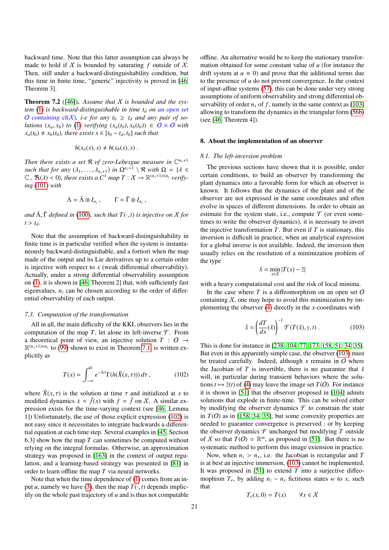backward time. Note that this latter assumption can always be made to hold if  $X$  is bounded by saturating  $f$  outside of  $X$ . Then, still under a backward-distinguishability condition, but this time in finite time, "generic" injectivity is proved in [46, Theorem 3].

Theorem 7.2 ([46]). *Assume that* X *is bounded and the system* (1) *is backward-distinguishable in time t<sup>d</sup> on an open set O containing*  $cl(X)$ *, i-e for any*  $t_0 \geq t_d$  *and any pair of solutions*  $(x_a, x_b)$  *to* (1) *verifying*  $(x_a(t_0), x_b(t_0)) \in O \times O$  *with*  $x_a(t_0) \neq x_b(t_0)$ , there exists  $s \in [t_0 - t_d, t_0]$  such that

$$
h(x_a(s),s) \neq h(x_b(s),s) .
$$

Then there exists a set  $\mathcal R$  of zero-Lebesgue measure in  $\mathbb C^{n_x+1}$ *such that for any*  $(\lambda_1, ..., \lambda_{n_x+1})$  *in*  $\Omega^{n_x+1} \setminus \mathcal{R}$  *with*  $\Omega = \{ \lambda \in \mathcal{R} \mid \mathcal{R}(\lambda) \leq 0 \}$  there exists a  $C^1$  man  $T : X \to \mathbb{R}^{(n_x+1)\times n_y}$  verify.  $\mathbb{C}$ ,  $\mathfrak{R}(\lambda) < 0$ , there exists a  $C^1$  map  $T : X \to \mathbb{R}^{(n_x+1)\times n_y}$  verify-<br>ing (101) with *ing* (101) *with*

$$
\Lambda = \tilde{\Lambda} \otimes I_{n_y}, \qquad \Gamma = \tilde{\Gamma} \otimes I_{n_y},
$$

*and*  $\tilde{\Lambda}$ ,  $\tilde{\Gamma}$  *defined in* (100)*, such that*  $T(\cdot, t)$  *is injective on*  $X$  *for*  $t > t_d$ .

Note that the assumption of backward-distinguishability in finite time is in particular verified when the system is instantaneously backward-distinguishable, and a fortiori when the map made of the output and its Lie derivatives up to a certain order is injective with respect to *x* (weak differential observability). Actually, under a strong differential observability assumption on (1), it is shown in [46, Theorem 2] that, with sufficiently fast eigenvalues,  $n<sub>z</sub>$  can be chosen according to the order of differential observability of each output.

#### *7.3. Computation of the transformation*

All in all, the main difficulty of the KKL observers lies in the computation of the map  $T$ , let alone its left-inverse  $T$ . From a theoretical point of view, an injective solution  $T : O \rightarrow$  $\mathbb{R}^{(n_x+1)\times n_y}$  to (99) shown to exist in Theorem 7.1, is written explicitly as

$$
T(x) = \int_{-\infty}^{0} e^{-\Lambda \tau} \Gamma(h(\breve{X}(x,\tau))) d\tau, \qquad (102)
$$

where  $\check{X}(x, \tau)$  is the solution at time  $\tau$  and initialized at *x* to modified dynamics  $\dot{x} = \ddot{f}(x)$  with  $f = \ddot{f}$  on X. A similar expression exists for the time-varying context (see [46, Lemma 1]) Unfortunately, the use of those explicit expression (102) is not easy since it necessitates to integrate backwards a differential equation at each time step. Several examples in [45, Section 6.3] show how the map *T* can sometimes be computed without relying on the integral formulas. Otherwise, an approximation strategy was proposed in [163] in the context of output regulation, and a learning-based strategy was presented in [81] in order to learn offline the map *T* via neural networks.

Note that when the time dependence of (1) comes from an input *u*, namely we have (3), then the map  $T(\cdot, t)$  depends implicitly on the whole past trajectory of *u* and is thus not computable offline. An alternative would be to keep the stationary transformation obtained for some constant value of *u* (for instance the drift system at  $u \equiv 0$ ) and prove that the additional terms due to the presence of *u* do not prevent convergence. In the context of input-affine systems (57), this can be done under very strong assumptions of uniform observability and strong differential observability of order  $n<sub>x</sub>$  of f, namely in the same context as [103] allowing to transform the dynamics in the triangular form (56b) (see [46, Theorem 4]).

## 8. About the implementation of an observer

### *8.1. The left-inversion problem*

The previous sections have shown that it is possible, under certain conditions, to build an observer by transforming the plant dynamics into a favorable form for which an observer is known. It follows that the dynamics of the plant and of the observer are not expressed in the same coordinates and often evolve in spaces of different dimensions. In order to obtain an estimate for the system state, i.e., compute  $\mathcal T$  (or even sometimes to write the observer dynamics), it is necessary to invert the injective transformation  $T$ . But even if  $T$  is stationary, this inversion is difficult in practice, when an analytical expression for a global inverse is not available. Indeed, the inversion then usually relies on the resolution of a minimization problem of the type

$$
\hat{x} = \min_{x \in X} |T(x) - \hat{z}|
$$

with a heavy computational cost and the risk of local minima.

In the case where  $T$  is a diffeomorphism on an open set  $O$ containing  $X$ , one may hope to avoid this minimization by implementing the observer (4) directly in the *x*-coordinates with

$$
\dot{\hat{x}} = \left(\frac{dT}{dx}(\hat{x})\right)^{-1} \mathcal{F}(T(\hat{x}), y, t) . \tag{103}
$$

This is done for instance in [238, 104, 77, 173, 158, 51, 34, 35]. But even in this apparently simple case, the observer (103) must be treated carefully. Indeed, although  $x$  remains in  $O$  where the Jacobian of *T* is invertible, there is no guarantee that  $\hat{x}$ will, in particular during transient behaviors where the solutions  $t \mapsto \hat{z}(t)$  of (4) may leave the image set  $T(O)$ . For instance it is shown in [51] that the observer proposed in [104] admits solutions that explode in finite-time. This can be solved either by modifying the observer dynamics  $\mathcal F$  to constrain the state in  $T(O)$  as in [158, 34, 35], but some convexity properties are needed to guarantee convergence is preserved ; or by keeping the observer dynamics  $\mathcal F$  unchanged but modifying  $T$  outside of X so that  $T(O) = \mathbb{R}^m$ , as proposed in [51]. But there is no systematic method to perform this image extension in practice.

Now, when  $n_z > n_x$ , i.e. the Jacobian is rectangular and *T* is at best an injective immersion, (103) cannot be implemented. It was proposed in [51] to extend *T* into a surjective diffeomophism  $T_e$ , by adding  $n_z - n_x$  fictitious states *w* to *x*, such that

$$
T_e(x,0) = T(x) \qquad \forall x \in \mathcal{X}
$$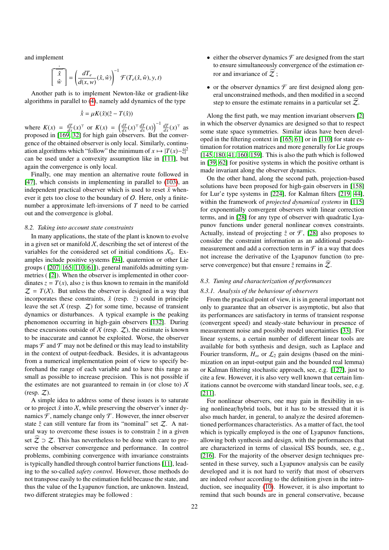and implement

$$
\left[\begin{array}{c}\n\hat{x} \\
\hat{w}\n\end{array}\right] = \left(\frac{dT_e}{d(x, w)}(\hat{x}, \hat{w})\right)^{-1} \mathcal{F}(T_e(\hat{x}, \hat{w}), y, t)
$$

Another path is to implement Newton-like or gradient-like algorithms in parallel to (4), namely add dynamics of the type

$$
\dot{\hat{x}} = \mu K(\hat{x})(\hat{z} - T(\hat{x}))
$$

where  $K(x) = \frac{dT}{dx}(x)^{\top}$  or  $K(x) = \left(\frac{dT}{dx}(x)^{\top} \frac{dT}{dx}(x)\right)^{-1} \frac{dT}{dx}(x)^{\top}$  as proposed in [169, 32] for high gain observers. But the convergence of the obtained observer is only local. Similarly, continuation algorithms which "follow" the minimum of  $x \mapsto |T(x)-\hat{z}|^2$ can be used under a convexity assumption like in [111], but again the convergence is only local.

Finally, one may mention an alternative route followed in [47], which consists in implementing in parallel to (103), an independent practical observer which is used to reset  $\hat{x}$  whenever it gets too close to the boundary of  $O$ . Here, only a finitenumber a approximate left-inversions of *T* need to be carried out and the convergence is global.

## *8.2. Taking into account state constraints*

In many applications, the state of the plant is known to evolve in a given set or manifold  $X$ , describing the set of interest of the variables for the considered set of initial conditions  $X_0$ . Examples include positive systems [94], quaternion or other Lie groups ( [207, 165, 110, 61]), general manifolds admitting symmetries ( [2]). When the observer is implemented in other coordinates  $z = T(x)$ , also *z* is thus known to remain in the manifold  $Z = T(X)$ . But unless the observer is designed in a way that incorporates these constraints,  $\hat{x}$  (resp.  $\hat{z}$ ) could in principle leave the set  $X$  (resp.  $Z$ ) for some time, because of transient dynamics or disturbances. A typical example is the peaking phenomenon occurring in high-gain observers [132]. During these excursions outside of  $X$  (resp.  $Z$ ), the estimate is known to be inaccurate and cannot be exploited. Worse, the observer maps  $\mathcal F$  and  $\mathcal T$  may not be defined or this may lead to instability in the context of output-feedback. Besides, it is advantageous from a numerical implementation point of view to specify beforehand the range of each variable and to have this range as small as possible to increase precision. This is not possible if the estimates are not guaranteed to remain in (or close to)  $\chi$ (resp.  $Z$ ).

A simple idea to address some of these issues is to saturate or to project  $\hat{x}$  into  $\hat{x}$ , while preserving the observer's inner dynamics  $\mathcal F$ , namely change only  $\mathcal T$ . However, the inner observer state  $\hat{z}$  can still venture far from its "nominal" set  $Z$ . A natural way to overcome these issues is to constrain  $\hat{z}$  in a given set  $\mathcal{Z} \supset \mathcal{Z}$ . This has nevertheless to be done with care to preserve the observer convergence and performance. In control problems, combining convergence with invariance constraints is typically handled through control barrier functions [11], leading to the so-called *safety control*. However, those methods do not transpose easily to the estimation field because the state, and thus the value of the Lyapunov function, are unknown. Instead, two different strategies may be followed :

- either the observer dynamics  $\mathcal F$  are designed from the start to ensure simultaneously convergence of the estimation error and invariance of  $Z$ ;
- or the observer dynamics  $\mathcal F$  are first designed along general unconstrained methods, and then modified in a second step to ensure the estimate remains in a particular set  $Z$ .

Along the first path, we may mention invariant observers [2] in which the observer dynamics are designed so that to respect some state space symmetries. Similar ideas have been developed in the filtering context in [165, 61] or in [110] for state estimation for rotation matrices and more generally for Lie groups [145, 180, 41, 160, 159]. This is also the path which is followed in [39, 62] for positive systems in which the positive orthant is made invariant along the observer dynamics.

On the other hand, along the second path, projection-based solutions have been proposed for high-gain observers in [158] for Lur'e type systems in [224], for Kalman filters [219, 44], within the framework of *projected dynamical systems* in [115] for exponentially convergent observers with linear correction terms, and in [28] for any type of observer with quadratic Lyapunov functions under general nonlinear convex constraints. Actually, instead of projecting  $\hat{z}$  or  $\mathcal{F}$ , [28] also proposes to consider the constraint information as an additional pseudomeasurement and add a correction term in  $\mathcal F$  in a way that does not increase the derivative of the Lyapunov function (to preserve convergence) but that ensure  $\hat{z}$  remains in  $\hat{z}$ .

#### *8.3. Tuning and characterization of performances*

#### *8.3.1. Analysis of the behaviour of observers*

From the practical point of view, it is in general important not only to guarantee that an observer is asymptotic, but also that its performances are satisfactory in terms of transient response (convergent speed) and steady-state behaviour in presence of measurement noise and possibly model uncertainties [33]. For linear systems, a certain number of different linear tools are available for both synthesis and design, such as Laplace and Fourier transform,  $H_{\infty}$  or  $\mathcal{L}_2$  gain designs (based on the minimization on an input-output gain and the bounded real lemma) or Kalman filtering stochastic approach, see, e.g. [127], just to cite a few. However, it is also very well known that certain limitations cannot be overcome with standard linear tools, see, e.g. [211].

For nonlinear observers, one may gain in flexibility in using nonlinear/hybrid tools, but it has to be stressed that it is also much harder, in general, to analyze the desired aforementioned performances characteristics. As a matter of fact, the tool which is typically employed is the one of Lyapunov functions, allowing both synthesis and design, with the performances that are characterized in terms of classical ISS bounds, see, e.g., [216]. For the majority of the observer design techniques presented in these survey, such a Lyapunov analysis can be easily developed and it is not hard to verify that most of observers are indeed *robust* according to the definition given in the introduction, see inequality (10). However, it is also important to remind that such bounds are in general conservative, because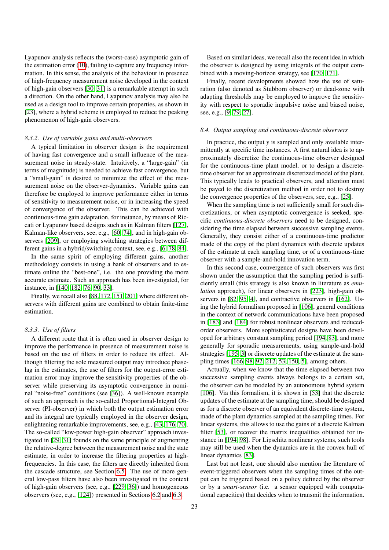Lyapunov analysis reflects the (worst-case) asymptotic gain of the estimation error (10), failing to capture any frequency information. In this sense, the analysis of the behaviour in presence of high-frequency measurement noise developed in the context of high-gain observers [30, 31] is a remarkable attempt in such a direction. On the other hand, Lyapunov analysis may also be used as a design tool to improve certain properties, as shown in [23], where a hybrid scheme is employed to reduce the peaking phenomenon of high-gain observers.

## *8.3.2. Use of variable gains and multi-observers*

A typical limitation in observer design is the requirement of having fast convergence and a small influence of the measurement noise in steady-state. Intuitively, a "large-gain" (in terms of magnitude) is needed to achieve fast convergence, but a "small-gain" is desired to minimize the effect of the measurement noise on the observer-dynamics. Variable gains can therefore be employed to improve performance either in terms of sensitivity to measurement noise, or in increasing the speed of convergence of the observer. This can be achieved with continuous-time gain adaptation, for instance, by means of Riccati or Lyapunov based designs such as in Kalman filters [127], Kalman-like observers, see, e.g., [60, 74], and in high-gain observers [209], or employing switching strategies between different gains in a hybrid/switching context, see, e.g., [6, 78, 84].

In the same spirit of employing different gains, another methodology consists in using a bank of observers and to estimate online the "best-one", i.e. the one providing the more accurate estimate. Such an approach has been investigated, for instance, in [140, 182, 76, 90, 33].

Finally, we recall also [88, 172, 151, 201] where different observers with different gains are combined to obtain finite-time estimation.

## *8.3.3. Use of filters*

A different route that it is often used in observer design to improve the performance in presence of measurement noise is based on the use of filters in order to reduce its effect. Although filtering the sole measured output may introduce phaselag in the estimates, the use of filters for the output-error estimation error may improve the sensitivity properties of the observer while preserving its asymptotic convergence in nominal "noise-free" conditions (see [36]). A well-known example of such an approach is the so-called Proportional-Integral Observer (PI-observer) in which both the output estimation error and its integral are typically employed in the observer design, enlightening remarkable improvements, see, e.g., [43, 176, 70]. The so-called "low-power high-gain observer" approach investigated in [29, 31] founds on the same principle of augmenting the relative-degree between the measurement noise and the state estimate, in order to increase the filtering properties at highfrequencies. In this case, the filters are directly inherited from the cascade structure, see Section 6.5. The use of more general low-pass filters have also been investigated in the context of high-gain observers (see, e.g., [229, 36]) and homogeneous observers (see, e.g., [124]) presented in Sections 6.2 and 6.3.

Based on similar ideas, we recall also the recent idea in which the observer is designed by using integrals of the output combined with a moving-horizon strategy, see [170, 171].

Finally, recent developments showed how the use of saturation (also denoted as Stubborn observer) or dead-zone with adapting thresholds may be employed to improve the sensitivity with respect to sporadic impulsive noise and biased noise, see, e.g., [9, 79, 27].

## *8.4. Output sampling and continuous-discrete observers*

In practice, the output *y* is sampled and only available intermittently at specific time instances. A first natural idea is to approximately discretize the continuous-time observer designed for the continuous-time plant model, or to design a discretetime observer for an approximate discretized model of the plant. This typically leads to practical observers, and attention must be payed to the discretization method in order not to destroy the convergence properties of the observers, see, e.g., [25].

When the sampling time is not sufficiently small for such discretizations, or when asymptotic convergence is seeked, specific *continuous-discrete observers* need to be designed, considering the time elapsed between successive sampling events. Generally, they consist either of a continuous-time predictor made of the copy of the plant dynamics with discrete updates of the estimate at each sampling time, or of a continuous-time observer with a sample-and-hold innovation term.

In this second case, convergence of such observers was first shown under the assumption that the sampling period is sufficiently small (this strategy is also known in literature as *emulation* approach), for linear observers in [223], high-gain observers in [82, 95, 4], and contractive observers in [162]. Using the hybrid formalism proposed in [106], general conditions in the context of network communications have been proposed in [183] and [184] for robust nonlinear observers and reducedorder observers. More sophisticated designs have been developed for arbitrary constant sampling period [194, 83], and more generally for sporadic measurements, using sample-and-hold strategies [195, 3] or discrete updates of the estimate at the sampling times [166, 98, 92, 212, 53, 150, 5], among others.

Actually, when we know that the time elapsed between two successive sampling events always belongs to a certain set, the observer can be modeled by an autonomous hybrid system [106]. Via this formalism, it is shown in [53] that the discrete updates of the estimate at the sampling time, should be designed as for a discrete observer of an equivalent discrete-time system, made of the plant dynamics sampled at the sampling times. For linear systems, this allows to use the gains of a discrete Kalman filter [53], or recover the matrix inequalities obtained for instance in [194, 98]. For Lipschitz nonlinear systems, such tools may still be used when the dynamics are in the convex hull of linear dynamics [83].

Last but not least, one should also mention the literature of event-triggered observers when the sampling times of the output can be triggered based on a policy defined by the observer or by a *smart-sensor* (i.e. a sensor equipped with computational capacities) that decides when to transmit the information.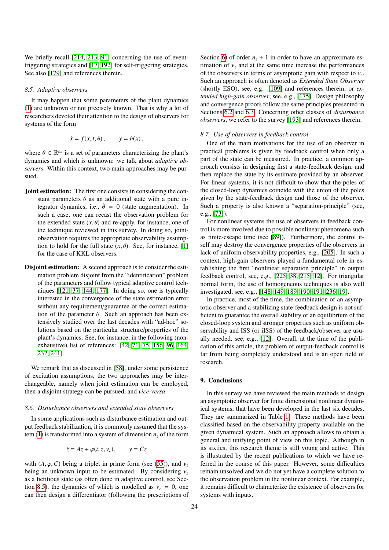We briefly recall [214, 213, 91] concerning the use of eventtriggering strategies and [17, 192] for self-triggering strategies. See also [179] and references therein.

## *8.5. Adaptive observers*

It may happen that some parameters of the plant dynamics (1) are unknown or not precisely known. That is why a lot of researchers devoted their attention to the design of observers for systems of the form

$$
\dot{x} = f(x, t, \theta), \qquad y = h(x),
$$

where  $\theta \in \mathbb{R}^{n_{\theta}}$  is a set of parameters characterizing the plant's dynamics and which is unknown: we talk about *adantive* obdynamics and which is unknown: we talk about *adaptive observers*. Within this context, two main approaches may be pursued.

- Joint estimation: The first one consists in considering the constant parameters  $\theta$  as an additional state with a pure integrator dynamics, i.e.,  $\dot{\theta} = 0$  (state augmentation). In such a case, one can recast the observation problem for the extended state  $(x, \theta)$  and re-apply, for instance, one of the technique reviewed in this survey. In doing so, jointobservation requires the appropriate observability assumption to hold for the full state  $(x, \theta)$ . See, for instance, [1] for the case of KKL observers.
- Disjoint estimation: A second approach is to consider the estimation problem disjoint from the "identification" problem of the parameters and follow typical adaptive control techniques [121, 37, 144, 177]. In doing so, one is typically interested in the convergence of the state estimation error without any requirement/guarantee of the correct estimation of the parameter  $\theta$ . Such an approach has been extensively studied over the last decades with "ad-hoc" solutions based on the particular structure/properties of the plant's dynamics. See, for instance, in the following (nonexhaustive) list of references: [42, 71, 75, 156, 96, 164, 232, 241].

We remark that as discussed in [58], under some persistence of excitation assumptions, the two approaches may be interchangeable, namely when joint estimation can be employed, then a disjoint strategy can be pursued, and *vice-versa*.

#### *8.6. Disturbance observers and extended state observers*

In some applications such as disturbance estimation and output feedback stabilization, it is commonly assumed that the system (1) is transformed into a system of dimension  $n_z$  of the form

$$
\dot{z} = Az + \varphi(t, z, \nu_z), \qquad y = Cz
$$

with  $(A, \varphi, C)$  being a triplet in prime form (see (55)), and  $v_z$ being an unknown input to be estimated. By considering  $v<sub>z</sub>$ as a fictitious state (as often done in adaptive control, see Section 8.5), the dynamics of which is modelled as  $\dot{v}_z = 0$ , one can then design a differentiator (following the prescriptions of

Section 6) of order  $n<sub>z</sub> + 1$  in order to have an approximate estimation of  $v<sub>z</sub>$  and at the same time increase the performances of the observers in terms of asymptotic gain with respect to  $v_z$ .<br>Such an approach is often denoted as *Extended State Observer* Such an approach is often denoted as *Extended State Observer* (shortly ESO), see, e.g. [109] and references therein, or *extended high-gain observer*, see, e.g., [175]. Design philosophy and convergence proofs follow the same principles presented in Sections 6.2 and 6.3. Concerning other classes of *disturbance observers*, we refer to the survey [193] and references therein.

#### *8.7. Use of observers in feedback control*

One of the main motivations for the use of an observer in practical problems is given by feedback control when only a part of the state can be measured. In practice, a common approach consists in designing first a state-feedback design, and then replace the state by its estimate provided by an observer. For linear systems, it is not difficult to show that the poles of the closed-loop dynamics coincide with the union of the poles given by the state-feedback design and those of the observer. Such a property is also known a "separation-principle" (see, e.g., [73]).

For nonlinear systems the use of observers in feedback control is more involved due to possible nonlinear phenomena such as finite-escape time (see [89]). Furthermore, the control itself may destroy the convergence properties of the observers in lack of uniform observability properties, e.g., [205]. In such a context, high-gain observers played a fundamental role in establishing the first "nonlinear separation principle" in output feedback control, see, e.g., [225, 38, 215, 12]. For triangular normal form, the use of homogeneous techniques is also well investigated, see, e.g., [148, 149, 189, 190, 191, 236, 19].

In practice, most of the time, the combination of an asymptotic observer and a stabilizing state-feedback design is not sufficient to guarantee the overall stability of an equilibrium of the closed-loop system and stronger properties such as uniform observability and ISS (or iISS) of the feedback/observer are usually needed, see, e.g., [12]. Overall, at the time of the publication of this article, the problem of output-feedback control is far from being completely understood and is an open field of research.

## 9. Conclusions

In this survey we have reviewed the main methods to design an asymptotic observer for finite dimensional nonlinear dynamical systems, that have been developed in the last six decades. They are summarized in Table 1. These methods have been classified based on the observability property available on the given dynamical system. Such an approach allows to obtain a general and unifying point of view on this topic. Although in its sixties, this research theme is still young and active. This is illustrated by the recent publications to which we have referred in the course of this paper. However, some difficulties remain unsolved and we do not yet have a complete solution to the observation problem in the nonlinear context. For example, it remains difficult to characterize the existence of observers for systems with inputs.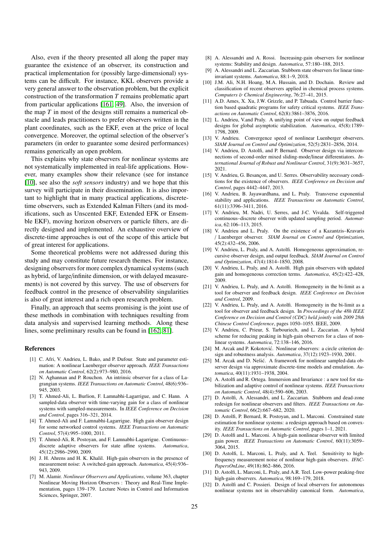Also, even if the theory presented all along the paper may guarantee the existence of an observer, its construction and practical implementation for (possibly large-dimensional) systems can be difficult. For instance, KKL observers provide a very general answer to the observation problem, but the explicit construction of the transformation *T* remains problematic apart from particular applications [161, 49]. Also, the inversion of the map *T* in most of the designs still remains a numerical obstacle and leads practitioners to prefer observers written in the plant coordinates, such as the EKF, even at the price of local convergence. Moreover, the optimal selection of the observer's parameters (in order to guarantee some desired performances) remains generically an open problem.

This explains why state observers for nonlinear systems are not systematically implemented in real-life applications. However, many examples show their relevance (see for instance [10], see also the *soft sensors* industry) and we hope that this survey will participate in their dissemination. It is also important to highlight that in many practical applications, discretetime observers, such as Extended Kalman Filters (and its modifications, such as Unscented EKF, Extended EFK or Ensemble EKF), moving horizon observers or particle filters, are directly designed and implemented. An exhaustive overview of discrete-time approaches is out of the scope of this article but of great interest for applications.

Some theoretical problems were not addressed during this study and may constitute future research themes. For instance, designing observers for more complex dynamical systems (such as hybrid, of large/infinite dimension, or with delayed measurements) is not covered by this survey. The use of observers for feedback control in the presence of observability singularities is also of great interest and a rich open research problem.

Finally, an approach that seems promising is the joint use of these methods in combination with techniques resulting from data analysis and supervised learning methods. Along these lines, some preliminary results can be found in [162, 81].

## References

- [1] C. Afri, V. Andrieu, L. Bako, and P. Dufour. State and parameter estimation: A nonlinear Luenberger observer approach. *IEEE Transactions on Automatic Control*, 62(2):973–980, 2016.
- [2] N. Aghannan and P. Rouchon. An intrinsic observer for a class of Lagrangian systems. *IEEE Transactions on Automatic Control*, 48(6):936– 945, 2003.
- [3] T. Ahmed-Ali, L. Burlion, F. Lamnabhi-Lagarrigue, and C. Hann. A sampled-data observer with time-varying gain for a class of nonlinear systems with sampled-measurements. In *IEEE Conference on Decision and Control*, pages 316–321, 2014.
- [4] T. Ahmed-Ali and F. Lamnabhi-Lagarrigue. High gain observer design for some networked control systems. *IEEE Transactions on Automatic Control*, 57(4):995–1000, 2011.
- [5] T. Ahmed-Ali, R. Postoyan, and F. Lamnabhi-Lagarrigue. Continuous– discrete adaptive observers for state affine systems. *Automatica*, 45(12):2986–2990, 2009.
- [6] J. H. Ahrens and H. K. Khalil. High-gain observers in the presence of measurement noise: A switched-gain approach. *Automatica*, 45(4):936– 943, 2009.
- [7] M. Alamir. *Nonlinear Observers and Applications*, volume 363, chapter Nonlinear Moving Horizon Observers : Theory and Real-Time Implementation, pages 139–179. Lecture Notes in Control and Information Sciences, Springer, 2007.
- [8] A. Alessandri and A. Rossi. Increasing-gain observers for nonlinear systems: Stability and design. *Automatica*, 57:180–188, 2015.
- [9] A. Alessandri and L. Zaccarian. Stubborn state observers for linear timeinvariant systems. *Automatica*, 88:1–9, 2018.
- [10] J.M. Ali, N.H. Hoang, M.A. Hussain, and D. Dochain. Review and classification of recent observers applied in chemical process systems. *Computers* & *Chemical Engineering*, 76:27–41, 2015.
- [11] A.D. Ames, X. Xu, J.W. Grizzle, and P. Tabuada. Control barrier function based quadratic programs for safety critical systems. *IEEE Transactions on Automatic Control*, 62(8):3861–3876, 2016.
- [12] L. Andrieu, V.and Praly. A unifying point of view on output feedback designs for global asymptotic stabilization. *Automatica*, 45(8):1789– 1798, 2009.
- [13] V. Andrieu. Convergence speed of nonlinear Luenberger observers. *SIAM Journal on Control and Optimization*, 52(5):2831–2856, 2014.
- [14] V. Andrieu, D. Astolfi, and P. Bernard. Observer design via interconnections of second-order mixed sliding-mode/linear differentiators. *International Journal of Robust and Nonlinear Control*, 31(9):3631–3657, 2021.
- [15] V. Andrieu, G. Besançon, and U. Serres. Observability necessary conditions for the existence of observers. *IEEE Conference on Decision and Control*, pages 4442–4447, 2013.
- [16] V. Andrieu, B. Jayawardhana, and L. Praly. Transverse exponential stability and applications. *IEEE Transactions on Automatic Control*, 61(11):3396–3411, 2016.
- [17] V. Andrieu, M. Nadri, U. Serres, and J-C. Vivalda. Self-triggered continuous–discrete observer with updated sampling period. *Automatica*, 62:106–113, 2015.
- [18] V. Andrieu and L. Praly. On the existence of a Kazantzis–Kravaris / Luenberger observer. *SIAM Journal on Control and Optimization*, 45(2):432–456, 2006.
- [19] V. Andrieu, L. Praly, and A. Astolfi. Homogeneous approximation, recursive observer design, and output feedback. *SIAM Journal on Control and Optimization*, 47(4):1814–1850, 2008.
- [20] V. Andrieu, L. Praly, and A. Astolfi. High gain observers with updated gain and homogeneous correction terms. *Automatica*, 45(2):422–428, 2009.
- [21] V. Andrieu, L. Praly, and A. Astolfi. Homogeneity in the bi-limit as a tool for observer and feedback design. *IEEE Conference on Decision and Control*, 2009.
- [22] V. Andrieu, L. Praly, and A. Astolfi. Homogeneity in the bi-limit as a tool for observer and feedback design. In *Proceedings of the 48h IEEE Conference on Decision and Control (CDC) held jointly with 2009 28th Chinese Control Conference*, pages 1050–1055. IEEE, 2009.
- [23] V. Andrieu, C. Prieur, S. Tarbouriech, and L. Zaccarian. A hybrid scheme for reducing peaking in high-gain observers for a class of nonlinear systems. *Automatica*, 72:138–146, 2016.
- [24] M. Arcak and P. Kokotović. Nonlinear observers: a circle criterion design and robustness analysis. *Automatica*, 37(12):1923–1930, 2001.
- [25] M. Arcak and D. Nešić. A framework for nonlinear sampled-data observer design via approximate discrete-time models and emulation. *Automatica*, 40(11):1931–1938, 2004.
- [26] A. Astolfi and R. Ortega. Immersion and Invariance : a new tool for stabilization and adaptive control of nonlinear systems. *IEEE Transactions on Automatic Control*, 48(4):590–606, 2003.
- [27] D. Astolfi, A. Alessandri, and L. Zaccarian. Stubborn and dead-zone redesign for nonlinear observers and filters. *IEEE Transactions on Automatic Control*, 66(2):667–682, 2020.
- [28] D. Astolfi, P. Bernard, R. Postoyan, and L. Marconi. Constrained state estimation for nonlinear systems: a redesign approach based on convexity. *IEEE Transactions on Automatic Control*, pages 1–1, 2021.
- [29] D. Astolfi and L. Marconi. A high-gain nonlinear observer with limited gain power. *IEEE Transactions on Automatic Control*, 60(11):3059– 3064, 2015.
- [30] D. Astolfi, L. Marconi, L. Praly, and A. Teel. Sensitivity to highfrequency measurement noise of nonlinear high-gain observers. *IFAC-PapersOnLine*, 49(18):862–866, 2016.
- [31] D. Astolfi, L. Marconi, L. Praly, and A.R. Teel. Low-power peaking-free high-gain observers. *Automatica*, 98:169–179, 2018.
- [32] D. Astolfi and C. Possieri. Design of local observers for autonomous nonlinear systems not in observability canonical form. *Automatica*,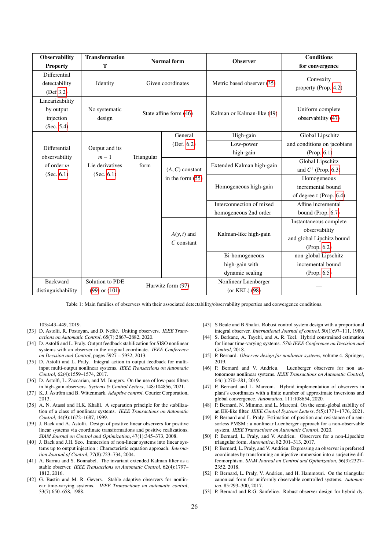| <b>Observability</b><br><b>Property</b>                    | <b>Transformation</b><br>T                                  |                        | <b>Normal</b> form                      | <b>Observer</b>            | <b>Conditions</b><br>for convergence   |  |
|------------------------------------------------------------|-------------------------------------------------------------|------------------------|-----------------------------------------|----------------------------|----------------------------------------|--|
| Differential<br>detectability<br>(Def 3.2)                 | Identity                                                    |                        | Given coordinates                       | Metric based observer (35) | Convexity<br>property (Prop. 4.2)      |  |
| Linearizability<br>by output<br>injection<br>(Sec. $5.4$ ) | No systematic<br>design                                     | State affine form (46) |                                         | Kalman or Kalman-like (49) | Uniform complete<br>observability (47) |  |
|                                                            |                                                             | Triangular<br>form     | General                                 | High-gain                  | Global Lipschitz                       |  |
| Differential                                               | Output and its<br>$m-1$<br>Lie derivatives<br>(Sec. $6.1$ ) |                        | (Def. 6.2)                              | Low-power                  | and conditions on jacobians            |  |
|                                                            |                                                             |                        |                                         | high-gain                  | (Prop. 6.1)                            |  |
| observability<br>of order $m$                              |                                                             |                        | $(A, C)$ constant<br>in the form $(55)$ | Extended Kalman high-gain  | Global Lipschitz                       |  |
| (Sec. $6.1$ )                                              |                                                             |                        |                                         |                            | and $C^1$ (Prop. 6.3)                  |  |
|                                                            |                                                             |                        |                                         | Homogeneous high-gain      | Homogeneous                            |  |
|                                                            |                                                             |                        |                                         |                            | incremental bound                      |  |
|                                                            |                                                             |                        |                                         |                            | of degree r (Prop. 6.4)                |  |
|                                                            |                                                             |                        |                                         | Interconnection of mixed   | Affine incremental                     |  |
|                                                            |                                                             |                        |                                         | homogeneous 2nd order      | bound (Prop. 6.7)                      |  |
|                                                            |                                                             |                        |                                         |                            | Instantaneous complete                 |  |
|                                                            |                                                             |                        | $A(y, t)$ and                           | Kalman-like high-gain      | observability                          |  |
|                                                            |                                                             | $C$ constant           |                                         | and global Lipchitz bound  |                                        |  |
|                                                            |                                                             |                        |                                         | (Prop. 6.2)                |                                        |  |
|                                                            |                                                             |                        |                                         | Bi-homogeneous             | non-global Lipschitz                   |  |
|                                                            |                                                             |                        |                                         | high-gain with             | incremental bound                      |  |
|                                                            |                                                             |                        |                                         | dynamic scaling            | (Prop. 6.5)                            |  |
| <b>Backward</b>                                            | Solution to PDE                                             |                        | Hurwitz form (97)                       | Nonlinear Luenberger       |                                        |  |
| distinguishability                                         | $(99)$ or $(101)$                                           |                        |                                         | (or KKL) (98)              |                                        |  |

Table 1: Main families of observers with their associated detectability/observability properties and convergence conditions.

103:443–449, 2019.

- [33] D. Astolfi, R. Postoyan, and D. Nešić. Uniting observers. *IEEE Transactions on Automatic Control*, 65(7):2867–2882, 2020.
- [34] D. Astolfi and L. Praly. Output feedback stabilization for SISO nonlinear systems with an observer in the original coordinate. *IEEE Conference on Decision and Control*, pages 5927 – 5932, 2013.
- [35] D. Astolfi and L. Praly. Integral action in output feedback for multiinput multi-output nonlinear systems. *IEEE Transactions on Automatic Control*, 62(4):1559–1574, 2017.
- [36] D. Astolfi, L. Zaccarian, and M. Jungers. On the use of low-pass filters in high-gain observers. *Systems* & *Control Letters*, 148:104856, 2021.
- [37] K. J. Åström and B. Wittenmark. Adaptive control. Courier Corporation, 2013.
- [38] A. N. Atassi and H.K. Khalil. A separation principle for the stabilization of a class of nonlinear systems. *IEEE Transactions on Automatic Control*, 44(9):1672–1687, 1999.
- [39] J. Back and A. Astolfi. Design of positive linear observers for positive linear systems via coordinate transformations and positive realizations. *SIAM Journal on Control and Optimization*, 47(1):345–373, 2008.
- [40] J. Back and J.H. Seo. Immersion of non-linear systems into linear systems up to output injection : Characteristic equation approach. *Internation Journal of Control*, 77(8):723–734, 2004.
- [41] A. Barrau and S. Bonnabel. The invariant extended Kalman filter as a stable observer. *IEEE Transactions on Automatic Control*, 62(4):1797– 1812, 2016.
- [42] G. Bastin and M. R. Gevers. Stable adaptive observers for nonlinear time-varying systems. *IEEE Transactions on automatic control*, 33(7):650–658, 1988.
- [43] S Beale and B Shafai. Robust control system design with a proportional integral observer. *International Journal of control*, 50(1):97–111, 1989.
- [44] S. Berkane, A. Tayebi, and A. R. Teel. Hybrid constrained estimation for linear time-varying systems. *57th IEEE Conference on Decision and Control*, 2018.
- [45] P. Bernard. *Observer design for nonlinear systems*, volume 4. Springer, 2019.<br>[46] P. Bernard and V. Andrieu.
- Luenberger observers for non autonomous nonlinear systems. *IEEE Transactions on Automatic Control*, 64(1):270–281, 2019.
- [47] P. Bernard and L. Marconi. Hybrid implementation of observers in plant's coordinates with a finite number of approximate inversions and global convergence. *Automatica*, 111:108654, 2020.
- [48] P. Bernard, N. Mimmo, and L. Marconi. On the semi-global stability of an EK-like filter. *IEEE Control Systems Letters*, 5(5):1771–1776, 2021.
- [49] P. Bernard and L. Praly. Estimation of position and resistance of a sensorless PMSM : a nonlinear Luenberger approach for a non-observable system. *IEEE Transactions on Automatic Control*, 2020.
- [50] P. Bernard, L. Praly, and V. Andrieu. Observers for a non-Lipschitz triangular form. *Automatica*, 82:301–313, 2017.
- [51] P. Bernard, L. Praly, and V. Andrieu. Expressing an observer in preferred coordinates by transforming an injective immersion into a surjective diffeomorphism. *SIAM Journal on Control and Optimization*, 56(3):2327– 2352, 2018.
- [52] P. Bernard, L. Praly, V. Andrieu, and H. Hammouri. On the triangular canonical form for uniformly observable controlled systems. *Automatica*, 85:293–300, 2017.
- [53] P. Bernard and R.G. Sanfelice. Robust observer design for hybrid dy-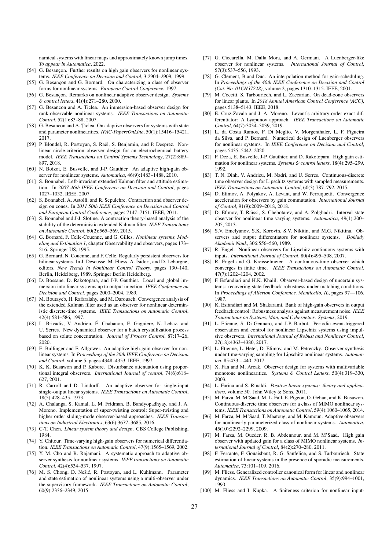namical systems with linear maps and approximately known jump times. *To appear in Automatica*, 2022.

- [54] G. Besançon. Further results on high gain observers for nonlinear systems. *IEEE Conference on Decision and Control*, 3:2904–2909, 1999.
- [55] G. Besançon and G. Bornard. On characterizing a class of observer forms for nonlinear systems. *European Control Conference*, 1997.
- [56] G. Besançon. Remarks on nonlinear adaptive observer design. *Systems* & *control letters*, 41(4):271–280, 2000.
- [57] G. Besancon and A. Ticlea. An immersion-based observer design for rank-observable nonlinear systems. *IEEE Transactions on Automatic Control*, 52(1):83–88, 2007.
- [58] G. Besancon and A. Ticlea. On adaptive observers for systems with state and parameter nonlinearities. *IFAC-PapersOnLine*, 50(1):15416–15421, 2017.
- [59] P. Blondel, R. Postoyan, S. Raël, S. Benjamin, and P. Desprez. Nonlinear circle-criterion observer design for an electrochemical battery model. *IEEE Transactions on Control Systems Technology*, 27(2):889– 897, 2018.
- [60] N. Boizot, E. Busvelle, and J-P. Gauthier. An adaptive high-gain observer for nonlinear systems. *Automatica*, 46(9):1483–1488, 2010.
- [61] S. Bonnabel. Left-invariant extended Kalman filter and attitude estimation. In *2007 46th IEEE Conference on Decision and Control*, pages 1027–1032. IEEE, 2007.
- [62] S. Bonnabel, A. Astolfi, and R. Sepulchre. Contraction and observer design on cones. In *2011 50th IEEE Conference on Decision and Control and European Control Conference*, pages 7147–7151. IEEE, 2011.
- [63] S. Bonnabel and J-J. Slotine. A contraction theory-based analysis of the stability of the deterministic extended Kalman filter. *IEEE Transactions on Automatic Control*, 60(2):565–569, 2015.
- [64] G. Bornard, F. Celle-Couenne, and G. Gilles. *Nonlinear systems, Modeling and Estimation 1*, chapter Observability and observers, pages 173– 216. Springer US, 1995.
- [65] G. Bornard, N. Couenne, and F. Celle. Regularly persistent observers for bilinear systems. In J. Descusse, M. Fliess, A. Isidori, and D. Leborgne, editors, *New Trends in Nonlinear Control Theory*, pages 130–140, Berlin, Heidelberg, 1989. Springer Berlin Heidelberg.
- [66] D. Bossane, D. Rakotopara, and J-P. Gauthier. Local and global immersion into linear systems up to output injection. *IEEE Conference on Decision and Control*, pages 2000–2004, 1989.
- [67] M. Boutayeb, H. Rafaralahy, and M. Darouach. Convergence analysis of the extended Kalman filter used as an observer for nonlinear deterministic discrete-time systems. *IEEE Transactions on Automatic Control*, 42(4):581–586, 1997.
- [68] L. Brivadis, V. Andrieu, E. Chabanon, E. Gagniere, N. Lebaz, and ´ U. Serres. New dynamical observer for a batch crystallization process based on solute concentration. *Journal of Process Control*, 87:17–26, 2020.
- [69] E. Bullinger and F. Allgower. An adaptive high-gain observer for nonlinear systems. In *Proceedings of the 36th IEEE Conference on Decision and Control*, volume 5, pages 4348–4353. IEEE, 1997.
- [70] K. K. Busawon and P. Kabore. Disturbance attenuation using proportional integral observers. *International Journal of control*, 74(6):618– 627, 2001.
- [71] R. Carroll and D. Lindorff. An adaptive observer for single-input single-output linear systems. *IEEE Transactions on Automatic Control*, 18(5):428–435, 1973.
- [72] A. Chalanga, S. Kamal, L. M. Fridman, B. Bandyopadhyay, and J. A. Moreno. Implementation of super-twisting control: Super-twisting and higher order sliding-mode observer-based approaches. *IEEE Transactions on Industrial Electronics*, 63(6):3677–3685, 2016.
- [73] C-T. Chen. *Linear system theory and design*. CBS College Publishing, 1984.
- [74] Y. Chitour. Time-varying high-gain observers for numerical differentiation. *IEEE Transactions on Automatic Control*, 47(9):1565–1569, 2002.
- [75] Y. M. Cho and R. Rajamani. A systematic approach to adaptive observer synthesis for nonlinear systems. *IEEE transactions on Automatic Control*, 42(4):534–537, 1997.
- [76] M. S. Chong, D. Nešić, R. Postoyan, and L. Kuhlmann. Parameter and state estimation of nonlinear systems using a multi-observer under the supervisory framework. *IEEE Transactions on Automatic Control*, 60(9):2336–2349, 2015.
- [77] G. Ciccarella, M. Dalla Mora, and A. Germani. A Luenberger-like observer for nonlinear systems. *International Journal of Control*, 57(3):537–556, 1993.
- [78] G. Clement, B.and Duc. An interpolation method for gain-scheduling. In *Proceedings of the 40th IEEE Conference on Decision and Control (Cat. No. 01CH37228)*, volume 2, pages 1310–1315. IEEE, 2001.
- [79] M. Cocetti, S. Tarbouriech, and L. Zaccarian. On dead-zone observers for linear plants. In *2018 Annual American Control Conference (ACC)*, pages 5138–5143. IEEE, 2018.
- [80] E. Cruz-Zavala and J. A. Moreno. Levant's arbitrary-order exact differentiator: A Lyapunov approach. *IEEE Transactions on Automatic Control*, 64(7):3034–3039, 2019.
- [81] L. da Costa Ramos, F. Di Meglio, V. Morgenthaler, L. F. Figueira da Silva, and P. Bernard. Numerical design of Luenberger observers for nonlinear systems. In *IEEE Conference on Decision and Control*, pages 5435–5442, 2020.
- [82] F. Deza, E. Busvelle, J-P. Gauthier, and D. Rakotopara. High gain estimation for nonlinear systems. *Systems* & *control letters*, 18(4):295–299, 1992.
- [83] T. N. Dinh, V. Andrieu, M. Nadri, and U. Serres. Continuous-discrete time observer design for Lipschitz systems with sampled measurements. *IEEE Transactions on Automatic Control*, 60(3):787–792, 2015.
- [84] D. Efimov, A. Polyakov, A. Levant, and W. Perruquetti. Convergence acceleration for observers by gain commutation. *International Journal of Control*, 91(9):2009–2018, 2018.
- [85] D. Efimov, T. Raïssi, S. Chebotarev, and A. Zolghadri. Interval state observer for nonlinear time varying systems. *Automatica*, 49(1):200– 205, 2013.
- [86] S.V. Emelyanov, S.K. Korovin, S.V. Nikitin, and M.G. Nikitina. Observers and output differentiators for nonlinear systems. *Doklady Akademii Nauk*, 306:556–560, 1989.
- [87] R. Engel. Nonlinear observers for Lipschitz continuous systems with inputs. *International Journal of Control*, 80(4):495–508, 2007.
- [88] R. Engel and G. Kreisselmeier. A continuous-time observer which converges in finite time. *IEEE Transactions on Automatic Control*, 47(7):1202–1204, 2002.
- [89] F. Esfandiari and H.K. Khalil. Observer-based design of uncertain systems: recovering state feedback robustness under matching conditions. In *Proceedings of Allerton Conference, Monticello, IL*, pages 97––106, 1987.
- [90] K. Esfandiari and M. Shakarami. Bank of high-gain observers in output feedback control: Robustness analysis against measurement noise. *IEEE Transactions on Systems, Man, and Cybernetics: Systems*, 2019.
- [91] L. Etienne, S. Di Gennaro, and J-P. Barbot. Periodic event-triggered observation and control for nonlinear Lipschitz systems using impulsive observers. *International Journal of Robust and Nonlinear Control*, 27(18):4363–4380, 2017.
- [92] L. Etienne, L. Hetel, D. Efimov, and M. Petreczky. Observer synthesis under time-varying sampling for Lipschitz nonlinear systems. *Automatica*, 85:433 – 440, 2017.
- [93] X. Fan and M. Arcak. Observer design for systems with multivariable monotone nonlinearities. *Systems* & *Control Letters*, 50(4):319–330, 2003.
- [94] L. Farina and S. Rinaldi. *Positive linear systems: theory and applications*, volume 50. John Wiley & Sons, 2011.
- [95] M. Farza, M. M'Saad, M. L. Fall, E. Pigeon, O. Gehan, and K. Busawon. Continuous-discrete time observers for a class of MIMO nonlinear systems. *IEEE Transactions on Automatic Control*, 59(4):1060–1065, 2014.
- [96] M. Farza, M. M'Saad, T. Maatoug, and M. Kamoun. Adaptive observers for nonlinearly parameterized class of nonlinear systems. *Automatica*, 45(10):2292–2299, 2009.
- [97] M. Farza, M. Oueder, R. B. Abdennour, and M. M'Saad. High gain observer with updated gain for a class of MIMO nonlinear systems. *International Journal of Control*, 84(2):270–280, 2011.
- [98] F. Ferrante, F. Gouaisbaut, R. G. Sanfelice, and S. Tarbouriech. State estimation of linear systems in the presence of sporadic measurements. *Automatica*, 73:101–109, 2016.
- [99] M. Fliess. Generalized controller canonical form for linear and nonlinear dynamics. *IEEE Transactions on Automatic Control*, 35(9):994–1001, 1990.
- [100] M. Fliess and I. Kupka. A finiteness criterion for nonlinear input-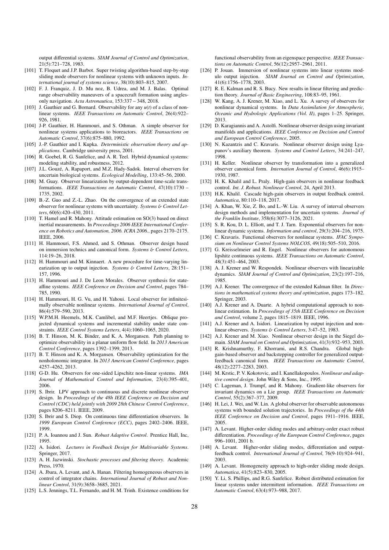output differential systems. *SIAM Journal of Control and Optimization*, 21(5):721–728, 1983.

- [101] T. Floquet and J.P. Barbot. Super twisting algorithm-based step-by-step sliding mode observers for nonlinear systems with unknown inputs. *International journal of systems science*, 38(10):803–815, 2007.
- [102] F. J. Franquiz, J. D. Mu noz, B. Udrea, and M. J. Balas. Optimal range observability maneuvers of a spacecraft formation using anglesonly navigation. *Acta Astronautica*, 153:337 – 348, 2018.
- [103] J. Gauthier and G. Bornard. Observability for any *u*(*t*) of a class of nonlinear systems. *IEEE Transactions on Automatic Control*, 26(4):922– 926, 1981.
- [104] J-P. Gauthier, H. Hammouri, and S. Othman. A simple observer for nonlinear systems applications to bioreactors. *IEEE Transactions on Automatic Control*, 37(6):875–880, 1992.
- [105] J.-P. Gauthier and I. Kupka. *Deterministic observation theory and applications*. Cambridge university press, 2001.
- [106] R. Goebel, R. G. Sanfelice, and A. R. Teel. Hybrid dynamical systems: modeling stability, and robustness, 2012.
- [107] J.L. Gouzé, A. Rapaport, and M.Z. Hady-Sadok. Interval observers for uncertain biological systems. *Ecological Modelling*, 133:45–56, 2000.
- [108] M. Guay. Observer linearization by output-dependent time-scale transformations. *IEEE Transactions on Automatic Control*, 47(10):1730 – 1735, 2002.
- [109] B.-Z. Guo and Z.-L. Zhao. On the convergence of an extended state observer for nonlinear systems with uncertainty. *Systems* & *Control Letters*, 60(6):420–430, 2011.
- [110] T. Hamel and R. Mahony. Attitude estimation on SO(3) based on direct inertial measurements. In *Proceedings 2006 IEEE International Conference on Robotics and Automation, 2006. ICRA 2006.*, pages 2170–2175. IEEE, 2006.
- [111] H. Hammouri, F.S. Ahmed, and S. Othman. Observer design based on immersion technics and canonical form. *Systems* & *Control Letters*, 114:19–26, 2018.
- [112] H. Hammouri and M. Kinnaert. A new procedure for time-varying linearization up to output injection. *Systems* & *Control Letters*, 28:151– 157, 1996.
- [113] H. Hammouri and J. De Leon Morales. Observer synthesis for stateaffine systems. *IEEE Conference on Decision and Control*, pages 784– 785, 1990.
- [114] H. Hammouri, H. G. Vu, and H. Yahoui. Local observer for infinitesimally observable nonlinear systems. *International Journal of Control*, 86(4):579–590, 2013.
- [115] W.P.M.H. Heemels, M.K. Camlibel, and M.F. Heertjes. Oblique projected dynamical systems and incremental stability under state constraints. *IEEE Control Systems Letters*, 4(4):1060–1065, 2020.
- [116] B. T. Hinson, M. K. Binder, and K. A. Morgansen. Path planning to optimize observability in a planar uniform flow field. In *2013 American Control Conference*, pages 1392–1399, 2013.
- [117] B. T. Hinson and K. A. Morgansen. Observability optimization for the nonholonomic integrator. In *2013 American Control Conference*, pages 4257–4262, 2013.
- [118] G-D. Hu. Observers for one-sided Lipschitz non-linear systems. *IMA Journal of Mathematical Control and Information*, 23(4):395–401, 2006.
- [119] S. Ibrir. LPV approach to continuous and discrete nonlinear observer design. In *Proceedings of the 48h IEEE Conference on Decision and Control (CDC) held jointly with 2009 28th Chinese Control Conference*, pages 8206–8211. IEEE, 2009.
- [120] S. Ibrir and S. Diop. On continuous time differentiation observers. In *1999 European Control Conference (ECC)*, pages 2402–2406. IEEE, 1999.
- [121] P. A. Ioannou and J. Sun. *Robust Adaptive Control*. Prentice Hall, Inc, 1995.
- [122] A. Isidori. *Lectures in Feedback Design for Multivariable Systems*. Springer, 2017.
- [123] A. H. Jazwinski. *Stochastic processes and filtering theory*. Academic Press, 1970.
- [124] A. Jbara, A. Levant, and A. Hanan. Filtering homogeneous observers in control of integrator chains. *International Journal of Robust and Nonlinear Control*, 31(9):3658–3685, 2021.
- [125] L.S. Jennings, T.L. Fernando, and H. M. Trinh. Existence conditions for

functional observability from an eigenspace perspective. *IEEE Transactions on Automatic Control*, 56(12):2957–2961, 2011.

- [126] P. Jouan. Immersion of nonlinear systems into linear systems modulo output injection. *SIAM Journal on Control and Optimization*, 41(6):1756–1778, 2003.
- [127] R. E. Kalman and R. S. Bucy. New results in linear filtering and prediction theory. *Journal of Basic Engineering*, 108:83–95, 1961.
- [128] W. Kang, A. J. Krener, M. Xiao, and L. Xu. A survey of observers for nonlinear dynamical systems. In *Data Assimilation for Atmospheric, Oceanic and Hydrologic Applications (Vol. II)*, pages 1–25. Springer, 2013.
- [129] D. Karagiannis and A. Astolfi. Nonlinear observer design using invariant manifolds and applications. *IEEE Conference on Decision and Control and European Control Conference*, 2005.
- [130] N. Kazantzis and C. Kravaris. Nonlinear observer design using Lyapunov's auxiliary theorem. *Systems and Control Letters*, 34:241–247, 1998.
- [131] H. Keller. Nonlinear observer by transformation into a generalized observer canonical form. *Internation Journal of Control*, 46(6):1915– 1930, 1987.
- [132] H. K. Khalil and L. Praly. High-gain observers in nonlinear feedback control. *Int. J. Robust. Nonlinear Control*, 24, April 2013.
- [133] H.K. Khalil. Cascade high-gain observers in output feedback control. *Automatica*, 80:110–118, 2017.
- [134] A. Khan, W. Xie, Z. Bo, and L.-W. Liu. A survey of interval observers design methods and implementation for uncertain systems. *Journal of the Franklin Institute*, 358(6):3077–3126, 2021.
- [135] S. R. Kou, D. L. Elliott, and T. J. Tarn. Exponential observers for nonlinear dynamic systems. *Information and control*, 29(3):204–216, 1975.
- [136] C. Kravaris. Functional observers for nonlinear systems. *IFAC Symposium on Nonlinear Control Systems NOLCOS*, 49(18):505–510, 2016.
- [137] G. Kreisselmeier and R. Engel. Nonlinear observers for autonomous lipshitz continuous systems. *IEEE Transactions on Automatic Control*, 48(3):451–464, 2003.
- [138] A. J. Krener and W. Respondek. Nonlinear observers with linearizable dynamics. *SIAM Journal of Control and Optimization*, 23(2):197–216, 1985.
- [139] A.J. Krener. The convergence of the extended Kalman filter. In *Directions in mathematical systems theory and optimization*, pages 173–182. Springer, 2003.
- [140] A.J. Krener and A. Duarte. A hybrid computational approach to nonlinear estimation. In *Proceedings of 35th IEEE Conference on Decision and Control*, volume 2, pages 1815–1819. IEEE, 1996.
- [141] A.J. Krener and A. Isidori. Linearization by output injection and nonlinear observers. *Systems* & *Control Letters*, 3:47–52, 1983.
- [142] A.J. Krener and M. Xiao. Nonlinear observer design in the Siegel domain. *SIAM Journal on Control and Optimization*, 41(3):932–953, 2003.
- [143] R. Krishnamurthy, F. Khorrami, and R.S. Chandra. Global highgain-based observer and backstepping controller for generalized outputfeedback canonical form. *IEEE Transactions on Automatic Control*, 48(12):2277–2283, 2003.
- [144] M. Krstic, P. V. Kokotovic, and I. Kanellakopoulos. *Nonlinear and adaptive control design*. John Wiley & Sons, Inc., 1995.
- [145] C. Lageman, J. Trumpf, and R. Mahony. Gradient-like observers for invariant dynamics on a Lie group. *IEEE Transactions on Automatic Control*, 55(2):367–377, 2009.
- [146] H. Lei, J. Wei, and W. Lin. A global observer for observable autonomous systems with bounded solution trajectories. In *Proceedings of the 44th IEEE Conference on Decision and Control*, pages 1911–1916. IEEE, 2005.
- [147] A. Levant. Higher-order sliding modes and arbitrary-order exact robust differentiation. *Proceedings of the European Control Conference*, pages 996–1001, 2001 b.
- [148] A. Levant. Higher-order sliding modes, differentiation and outputfeedback control. *International Journal of Control*, 76(9-10):924–941, 2003.
- [149] A. Levant. Homogeneity approach to high-order sliding mode design. *Automatica*, 41(5):823–830, 2005.
- [150] Y. Li, S. Phillips, and R.G. Sanfelice. Robust distributed estimation for linear systems under intermittent information. *IEEE Transactions on Automatic Control*, 63(4):973–988, 2017.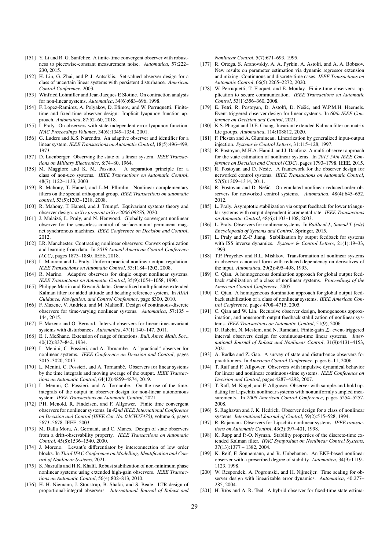- [151] Y. Li and R. G. Sanfelice. A finite-time convergent observer with robustness to piecewise-constant measurement noise. *Automatica*, 57:222– 230, 2015.
- [152] H. Lin, G. Zhai, and P. J. Antsaklis. Set-valued observer design for a class of uncertain linear systems with persistent disturbance. *American Control Conference*, 2003.
- [153] Winfried Lohmiller and Jean-Jacques E Slotine. On contraction analysis for non-linear systems. *Automatica*, 34(6):683–696, 1998.
- [154] F. Lopez-Ramirez, A. Polyakov, D. Efimov, and W. Perruquetti. Finitetime and fixed-time observer design: Implicit lyapunov function approach. *Automatica*, 87:52–60, 2018.
- [155] L.Praly. On observers with state independent error lyapunov function. *IFAC Proceedings Volumes*, 34(6):1349–1354, 2001.
- [156] G. Luders and K.S. Narendra. An adaptive observer and identifier for a linear system. *IEEE Transactions on Automatic Control*, 18(5):496–499, 1973.
- [157] D. Luenberger. Observing the state of a linear system. *IEEE Transactions on Military Electronics*, 8:74–80, 1964.
- [158] M. Maggiore and K. M. Passino. A separation principle for a class of non-uco systems. *IEEE Transactions on Automatic Control*, 48(7):1122–1133, 2003.
- [159] R. Mahony, T. Hamel, and J.-M. Pflimlin. Nonlinear complementary filters on the special orthogonal group. *IEEE Transactions on automatic control*, 53(5):1203–1218, 2008.
- [160] R. Mahony, T. Hamel, and J. Trumpf. Equivariant systems theory and observer design. *arXiv preprint arXiv:2006.08276*, 2020.
- [161] J. Malaizé, L. Praly, and N. Henwood. Globally convergent nonlinear observer for the sensorless control of surface-mount permanent magnet synchronous machines. *IEEE Conference on Decision and Control*, 2012.
- [162] I.R. Manchester. Contracting nonlinear observers: Convex optimization and learning from data. In *2018 Annual American Control Conference (ACC)*, pages 1873–1880. IEEE, 2018.
- [163] L. Marconi and L. Praly. Uniform practical nonlinear output regulation. *IEEE Transactions on Automatic Control*, 53:1184–1202, 2008.
- [164] R. Marino. Adaptive observers for single output nonlinear systems. *IEEE Transactions on Automatic Control*, 35(9):1054–1058, 1990.
- [165] Philippe Martin and Erwan Salaun. Generalized multiplicative extended Kalman filter for aided attitude and heading reference system. In *AIAA Guidance, Navigation, and Control Conference*, page 8300, 2010.
- [166] F. Mazenc, V. Andrieu, and M. Malisoff. Design of continuous-discrete observers for time-varying nonlinear systems. *Automatica*, 57:135 – 144, 2015.
- [167] F. Mazenc and O. Bernard. Interval observers for linear time-invariant systems with disturbances. *Automatica*, 47(1):140–147, 2011.
- [168] E. J. McShane. Extension of range of functions. *Bull. Amer. Math. Soc.*, 40(12):837–842, 1934.
- [169] L. Menini, C. Possieri, and A. Tornambe. A "practical" observer for nonlinear systems. *IEEE Conference on Decision and Control*, pages 3015–3020, 2017.
- [170] L. Menini, C. Possieri, and A. Tornambè. Observers for linear systems by the time integrals and moving average of the output. *IEEE Transactions on Automatic Control*, 64(12):4859–4874, 2019.
- [171] L. Menini, C. Possieri, and A. Tornambe. On the use of the timeintegrals of the output in observer design for non-linear autonomous system. *IEEE Transactions on Automatic Control*, 2021.
- [172] P.H. Menold, R. Findeisen, and F. Allgower. Finite time convergent observers for nonlinear systems. In *42nd IEEE International Conference on Decision and Control (IEEE Cat. No. 03CH37475)*, volume 6, pages 5673–5678. IEEE, 2003.
- [173] M. Dalla Mora, A. Germani, and C. Manes. Design of state observers from a drift-observability property. *IEEE Transactions on Automatic Control*, 45(8):1536–1540, 2000.
- [174] J. Moreno. Levant's differentiator by interconnection of low order blocks. In *Third IFAC Conference on Modelling, Identification and Control of Nonlinear Systems*, 2021.
- [175] S. Nazrulla and H.K. Khalil. Robust stabilization of non-minimum phase nonlinear systems using extended high-gain observers. *IEEE Transactions on Automatic Control*, 56(4):802–813, 2010.
- [176] H. H. Niemann, J. Stoustrup, B. Shafai, and S. Beale. LTR design of proportional-integral observers. *International Journal of Robust and*

*Nonlinear Control*, 5(7):671–693, 1995.

- [177] R. Ortega, S. Aranovskiy, A. A. Pyrkin, A. Astolfi, and A. A. Bobtsov. New results on parameter estimation via dynamic regressor extension and mixing: Continuous and discrete-time cases. *IEEE Transactions on Automatic Control*, 66(5):2265–2272, 2020.
- [178] W. Perruquetti, T. Floquet, and E. Moulay. Finite-time observers: application to secure communication. *IEEE Transactions on Automatic Control*, 53(1):356–360, 2008.
- [179] E. Petri, R. Postoyan, D. Astolfi, D. Nešić, and W.P.M.H. Heemels. Event-triggered observer design for linear systems. In *60th IEEE Conference on Decision and Control*, 2021.
- [180] K.S. Phogat and D.E. Chang. Invariant extended Kalman filter on matrix Lie groups. *Automatica*, 114:108812, 2020.
- [181] F. Plestan and A. Glumineau. Linearization by generalized input-output injection. *Systems* & *Control Letters*, 31:115–128, 1997.
- [182] R. Postovan, M.H.A. Hamid, and J. Daafouz. A multi-observer approach for the state estimation of nonlinear systems. In *2015 54th IEEE Conference on Decision and Control (CDC)*, pages 1793–1798. IEEE, 2015.
- [183] R. Postoyan and D. Nesic. A framework for the observer design for networked control systems. *IEEE Transactions on Automatic Control*, 57(5):1309–1314, 2011.
- [184] R. Postoyan and D. Nešić. On emulated nonlinear reduced-order observers for networked control systems. *Automatica*, 48(4):645–652, 2012.
- [185] L. Praly. Asymptotic stabilization via output feedback for lower triangular systems with output dependent incremental rate. *IEEE Transactions on Automatic Control*, 48(6):1103–1108, 2003.
- [186] L. Praly. Observers for nonlinear systems. In *Baillieul J., Samad T. (eds) Encyclopedia of Systems and Control*. Springer, 2015.
- [187] L. Praly and Z.-P. Jiang. Stabilization by output feedback for systems with ISS inverse dynamics. *Systems* & *Control Letters*, 21(1):19–33, 1993.
- [188] T.P. Proychev and R.L. Mishkov. Transformation of nonlinear systems in observer canonical form with reduced dependency on derivatives of the input. *Automatica*, 29(2):495–498, 1993.
- [189] C. Qian. A homogeneous domination approach for global output feedback stabilization of a class of nonlinear systems. *Proceedings of the American Control Conference*, 2005.
- [190] C. Qian. A homogeneous domination approach for global output feedback stabilization of a class of nonlinear systems. *IEEE American Control Conference*, pages 4708–4715, 2005.
- [191] C. Qian and W. Lin. Recursive observer design, homogeneous approximation, and nonsmooth output feedback stabilization of nonlinear systems. *IEEE Transactions on Automatic Control*, 51(9), 2006.
- [192] D. Rabehi, N. Meslem, and N. Ramdani. Finite-gain  $\mathcal{L}_1$  event-triggered interval observers design for continuous-time linear systems. *International Journal of Robust and Nonlinear Control*, 31(9):4131–4153, 2021.
- [193] A. Radke and Z. Gao. A survey of state and disturbance observers for practitioners. In *American Control Conference*, pages 6–11, 2006.
- [194] T. Raff and F. Allgöwer. Observers with impulsive dynamical behavior for linear and nonlinear continuous-time systems. *IEEE Conference on Decision and Control*, pages 4287–4292, 2007.
- [195] T. Raff, M. Kogel, and F. Allgower. Observer with sample-and-hold updating for Lipschitz nonlinear systems with nonuniformly sampled measurements. In *2008 American Control Conference*, pages 5254–5257, 2008.
- [196] S. Raghavan and J. K. Hedrick. Observer design for a class of nonlinear systems. *International Journal of Control*, 59(2):515–528, 1994.
- [197] R. Rajamani. Observers for Lipschitz nonlinear systems. *IEEE transactions on Automatic Control*, 43(3):397–401, 1998.
- [198] K. Rapp and P.-O. Nyman. Stability properties of the discrete-time extended Kalman filter. *IFAC Symposium on Nonlinear Control Systems*, 37(13):1377 – 1382, 2004.
- [199] K. Reif, F. Sonnemann, and R. Unbehauen. An EKF-based nonlinear observer with a prescribed degree of stability. *Automatica*, 34(9):1119– 1123, 1998.
- [200] W. Respondek, A. Pogromski, and H. Nijmeijer. Time scaling for observer design with linearizable error dynamics. *Automatica*, 40:277– 285, 2004.
- [201] H. Ríos and A. R. Teel. A hybrid observer for fixed-time state estima-